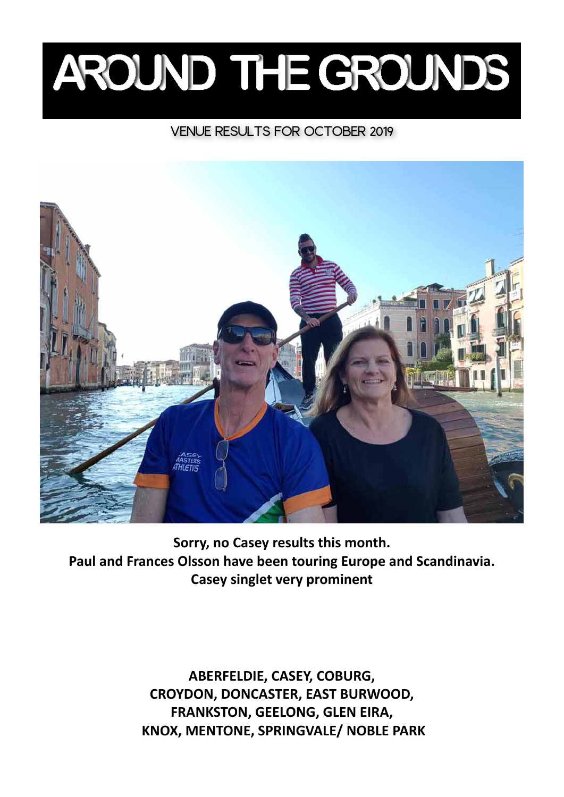# AROUND THE GROUNDS

## VENUE RESULTS FOR OCTOBER 2019



**Sorry, no Casey results this month. Paul and Frances Olsson have been touring Europe and Scandinavia. Casey singlet very prominent**

> **ABERFELDIE, CASEY, COBURG, CROYDON, DONCASTER, EAST BURWOOD, FRANKSTON, GEELONG, GLEN EIRA, KNOX, MENTONE, SPRINGVALE/ NOBLE PARK**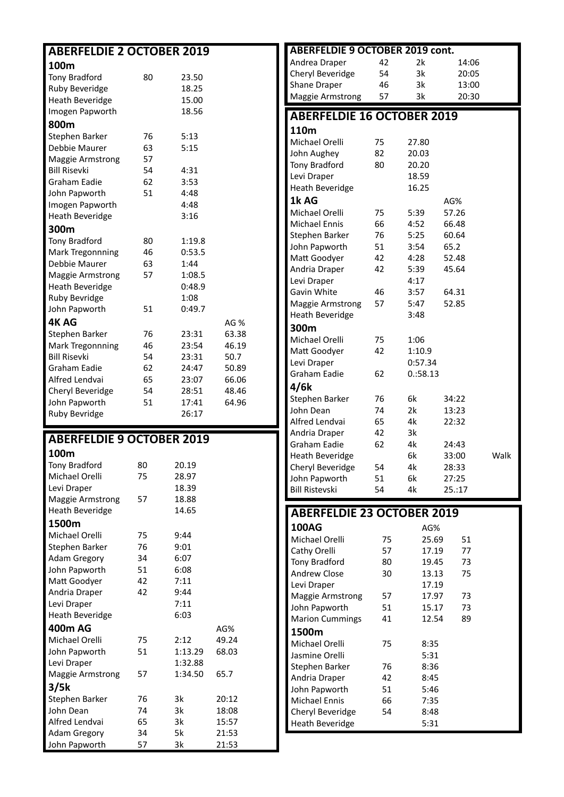| <b>ABERFELDIE 2 OCTOBER 2019</b>        |          |          |                | <b>ABERFELDIE 9 OCTOBER 2019 cont.</b> |          |                |        |      |
|-----------------------------------------|----------|----------|----------------|----------------------------------------|----------|----------------|--------|------|
| 100m                                    |          |          |                | Andrea Draper                          | 42       | 2k             | 14:06  |      |
| <b>Tony Bradford</b>                    | 80       | 23.50    |                | Cheryl Beveridge                       | 54       | 3k             | 20:05  |      |
| Ruby Beveridge                          |          | 18.25    |                | Shane Draper                           | 46       | 3k             | 13:00  |      |
| <b>Heath Beveridge</b>                  |          | 15.00    |                | <b>Maggie Armstrong</b>                | 57       | 3k             | 20:30  |      |
| Imogen Papworth                         |          | 18.56    |                |                                        |          |                |        |      |
| 800m                                    |          |          |                | <b>ABERFELDIE 16 OCTOBER 2019</b>      |          |                |        |      |
| Stephen Barker                          | 76       | 5:13     |                | 110m                                   |          |                |        |      |
| Debbie Maurer                           | 63       | 5:15     |                | Michael Orelli                         | 75       | 27.80          |        |      |
|                                         |          |          |                | John Aughey                            | 82       | 20.03          |        |      |
| Maggie Armstrong<br><b>Bill Risevki</b> | 57       | 4:31     |                | Tony Bradford                          | 80       | 20.20          |        |      |
|                                         | 54       |          |                | Levi Draper                            |          | 18.59          |        |      |
| Graham Eadie                            | 62       | 3:53     |                | Heath Beveridge                        |          | 16.25          |        |      |
| John Papworth                           | 51       | 4:48     |                | 1k AG                                  |          |                | AG%    |      |
| Imogen Papworth                         |          | 4:48     |                | Michael Orelli                         | 75       | 5:39           | 57.26  |      |
| <b>Heath Beveridge</b>                  |          | 3:16     |                | <b>Michael Ennis</b>                   | 66       | 4:52           | 66.48  |      |
| 300m                                    |          |          |                | Stephen Barker                         | 76       | 5:25           | 60.64  |      |
| <b>Tony Bradford</b>                    | 80       | 1:19.8   |                | John Papworth                          | 51       | 3:54           | 65.2   |      |
| <b>Mark Tregonnning</b>                 | 46       | 0:53.5   |                | Matt Goodyer                           | 42       | 4:28           | 52.48  |      |
| Debbie Maurer                           | 63       | 1:44     |                | Andria Draper                          | 42       | 5:39           | 45.64  |      |
| <b>Maggie Armstrong</b>                 | 57       | 1:08.5   |                | Levi Draper                            |          | 4:17           |        |      |
| <b>Heath Beveridge</b>                  |          | 0:48.9   |                | Gavin White                            | 46       | 3:57           | 64.31  |      |
| Ruby Bevridge                           |          | 1:08     |                | Maggie Armstrong                       | 57       | 5:47           | 52.85  |      |
| John Papworth                           | 51       | 0:49.7   |                | <b>Heath Beveridge</b>                 |          | 3:48           |        |      |
| <b>4KAG</b>                             |          |          | AG %           | 300m                                   |          |                |        |      |
| Stephen Barker                          | 76       | 23:31    | 63.38          |                                        |          |                |        |      |
| <b>Mark Tregonnning</b>                 | 46       | 23:54    | 46.19          | Michael Orelli                         | 75       | 1:06           |        |      |
| <b>Bill Risevki</b>                     | 54       | 23:31    | 50.7           | Matt Goodyer                           | 42       | 1:10.9         |        |      |
| Graham Eadie                            | 62       | 24:47    | 50.89          | Levi Draper                            |          | 0:57.34        |        |      |
| Alfred Lendvai                          | 65       | 23:07    | 66.06          | Graham Eadie                           | 62       | 0.358.13       |        |      |
|                                         |          |          |                |                                        |          |                |        |      |
| Cheryl Beveridge                        | 54       | 28:51    | 48.46          | 4/6k                                   |          |                |        |      |
| John Papworth                           | 51       | 17:41    | 64.96          | Stephen Barker                         | 76       | 6k             | 34:22  |      |
| Ruby Bevridge                           |          | 26:17    |                | John Dean                              | 74       | 2k             | 13:23  |      |
|                                         |          |          |                | Alfred Lendvai                         | 65       | 4k             | 22:32  |      |
|                                         |          |          |                | Andria Draper                          | 42       | 3k             |        |      |
| <b>ABERFELDIE 9 OCTOBER 2019</b>        |          |          |                | Graham Eadie                           | 62       | 4k             | 24:43  |      |
| 100m                                    |          |          |                | <b>Heath Beveridge</b>                 |          | 6k             | 33:00  | Walk |
| Tony Bradford                           | 80       | 20.19    |                | Cheryl Beveridge                       | 54       | 4k             | 28:33  |      |
| Michael Orelli                          | 75       | 28.97    |                | John Papworth                          | 51       | 6k             | 27:25  |      |
| Levi Draper                             |          | 18.39    |                | <b>Bill Ristevski</b>                  | 54       | 4k             | 25.:17 |      |
| <b>Maggie Armstrong</b>                 | 57       | 18.88    |                |                                        |          |                |        |      |
| <b>Heath Beveridge</b>                  |          | 14.65    |                | <b>ABERFELDIE 23 OCTOBER 2019</b>      |          |                |        |      |
| 1500m                                   |          |          |                | <b>100AG</b>                           |          | AG%            |        |      |
| Michael Orelli                          | 75       | 9:44     |                | Michael Orelli                         | 75       | 25.69          | 51     |      |
| Stephen Barker                          | 76       | 9:01     |                |                                        |          | 17.19          | 77     |      |
| <b>Adam Gregory</b>                     | 34       | 6:07     |                | Cathy Orelli                           | 57       |                | 73     |      |
| John Papworth                           | 51       | 6:08     |                | Tony Bradford<br>Andrew Close          | 80<br>30 | 19.45<br>13.13 | 75     |      |
| Matt Goodyer                            | 42       | 7:11     |                | Levi Draper                            |          | 17.19          |        |      |
| Andria Draper                           | 42       | 9:44     |                |                                        |          |                |        |      |
| Levi Draper                             |          | 7:11     |                | <b>Maggie Armstrong</b>                | 57       | 17.97          | 73     |      |
| <b>Heath Beveridge</b>                  |          | 6:03     |                | John Papworth                          | 51       | 15.17          | 73     |      |
| <b>400m AG</b>                          |          |          | AG%            | <b>Marion Cummings</b>                 | 41       | 12.54          | 89     |      |
| Michael Orelli                          | 75       | 2:12     | 49.24          | 1500m                                  |          |                |        |      |
|                                         | 51       | 1:13.29  | 68.03          | Michael Orelli                         | 75       | 8:35           |        |      |
| John Papworth                           |          | 1:32.88  |                | Jasmine Orelli                         |          | 5:31           |        |      |
| Levi Draper                             | 57       | 1:34.50  | 65.7           | Stephen Barker                         | 76       | 8:36           |        |      |
| <b>Maggie Armstrong</b>                 |          |          |                | Andria Draper                          | 42       | 8:45           |        |      |
| 3/5k                                    |          |          |                | John Papworth                          | 51       | 5:46           |        |      |
| Stephen Barker                          | 76       | 3k       | 20:12          | Michael Ennis                          | 66       | 7:35           |        |      |
| John Dean                               | 74       | 3k       | 18:08          | Cheryl Beveridge                       | 54       | 8:48           |        |      |
| Alfred Lendvai<br><b>Adam Gregory</b>   | 65<br>34 | 3k<br>5k | 15:57<br>21:53 | <b>Heath Beveridge</b>                 |          | 5:31           |        |      |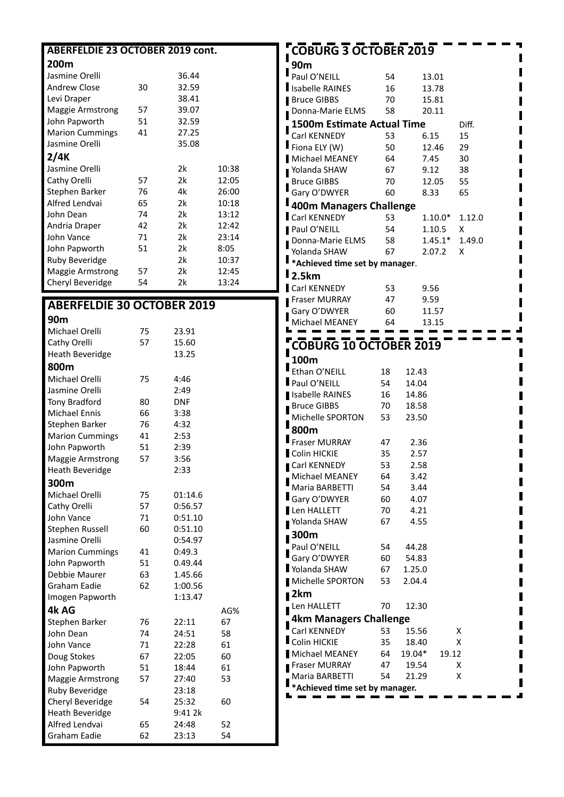| <b>ABERFELDIE 23 OCTOBER 2019 cont.</b> |          |            |       |
|-----------------------------------------|----------|------------|-------|
| 200m                                    |          |            |       |
| Jasmine Orelli                          |          | 36.44      |       |
| <b>Andrew Close</b>                     | 30       | 32.59      |       |
| Levi Draper                             |          | 38.41      |       |
| <b>Maggie Armstrong</b>                 | 57       | 39.07      |       |
| John Papworth                           | 51       | 32.59      |       |
| <b>Marion Cummings</b>                  | 41       | 27.25      |       |
| Jasmine Orelli                          |          | 35.08      |       |
|                                         |          |            |       |
| 2/4K                                    |          |            |       |
| Jasmine Orelli                          |          | 2k         | 10:38 |
| Cathy Orelli                            | 57       | 2k         | 12:05 |
| Stephen Barker                          | 76       | 4k         | 26:00 |
| Alfred Lendvai                          | 65       | 2k         | 10:18 |
| John Dean                               | 74       | 2k         | 13:12 |
| Andria Draper                           | 42       | 2k         | 12:42 |
| John Vance                              | 71<br>51 | 2k<br>2k   | 23:14 |
| John Papworth                           |          |            | 8:05  |
| Ruby Beveridge                          |          | 2k         | 10:37 |
| Maggie Armstrong                        | 57       | 2k         | 12:45 |
| Cheryl Beveridge                        | 54       | 2k         | 13:24 |
| <b>ABERFELDIE 30 OCTOBER 2019</b>       |          |            |       |
| 90m                                     |          |            |       |
| Michael Orelli                          | 75       | 23.91      |       |
| Cathy Orelli                            | 57       | 15.60      |       |
| <b>Heath Beveridge</b>                  |          | 13.25      |       |
| 800m                                    |          |            |       |
| Michael Orelli                          | 75       | 4:46       |       |
| Jasmine Orelli                          |          | 2:49       |       |
| <b>Tony Bradford</b>                    | 80       | <b>DNF</b> |       |
| <b>Michael Ennis</b>                    | 66       | 3:38       |       |
| Stephen Barker                          | 76       | 4:32       |       |
| <b>Marion Cummings</b>                  | 41       | 2:53       |       |
| John Papworth                           | 51       | 2:39       |       |
| <b>Maggie Armstrong</b>                 | 57       | 3:56       |       |
| <b>Heath Beveridge</b>                  |          | 2:33       |       |
| 300m                                    |          |            |       |
| Michael Orelli                          | 75       | 01:14.6    |       |
| Cathy Orelli                            | 57       | 0:56.57    |       |
| John Vance                              | 71       | 0:51.10    |       |
| Stephen Russell                         | 60       | 0:51.10    |       |
| Jasmine Orelli                          |          | 0:54.97    |       |
| <b>Marion Cummings</b>                  | 41       | 0:49.3     |       |
| John Papworth                           | 51       | 0.49.44    |       |
| Debbie Maurer                           | 63       | 1.45.66    |       |
| Graham Eadie                            | 62       | 1:00.56    |       |
| Imogen Papworth                         |          | 1:13.47    |       |
| 4k AG                                   |          |            | AG%   |
| Stephen Barker                          | 76       | 22:11      | 67    |
| John Dean                               | 74       | 24:51      | 58    |
| John Vance                              | 71       | 22:28      | 61    |
| Doug Stokes                             | 67       | 22:05      | 60    |
| John Papworth                           | 51       | 18:44      | 61    |
| <b>Maggie Armstrong</b>                 | 57       | 27:40      | 53    |
| Ruby Beveridge                          |          | 23:18      |       |
| Cheryl Beveridge                        | 54       | 25:32      | 60    |
| <b>Heath Beveridge</b>                  |          | 9:41 2k    |       |
| Alfred Lendvai                          | 65       | 24:48      | 52    |
| <b>Graham Eadie</b>                     | 62       | 23:13      | 54    |

| <b>COBURG 3 OCTOBER 2019</b>                  |          |                 |           |        |
|-----------------------------------------------|----------|-----------------|-----------|--------|
| I<br>90m                                      |          |                 |           |        |
| $\Gamma_{\text{Paul O'NEILL}}$                | 54       |                 | 13.01     |        |
| Isabelle RAINES                               | 16       |                 | 13.78     |        |
| Bruce GIBBS                                   | 70       |                 | 15.81     |        |
| Donna-Marie ELMS                              | 58       |                 | 20.11     |        |
| <b>1500m Estimate Actual Time</b>             |          |                 |           | Diff.  |
| Carl KENNEDY                                  | 53       |                 | 6.15      | 15     |
| $I$ Fiona ELY (W)                             | 50       |                 | 12.46     | 29     |
| Michael MEANEY                                | 64       |                 | 7.45      | 30     |
| Yolanda SHAW                                  | 67       |                 | 9.12      | 38     |
| Bruce GIBBS                                   | 70       |                 | 12.05     | 55     |
| Gary O'DWYER                                  | 60       |                 | 8.33      | 65     |
| 400m Managers Challenge                       |          |                 |           |        |
| Carl KENNEDY                                  | 53       |                 | $1.10.0*$ | 1.12.0 |
| Paul O'NEILL                                  | 54       |                 | 1.10.5    | x      |
| Donna-Marie ELMS                              | 58       |                 | $1.45.1*$ | 1.49.0 |
| Yolanda SHAW                                  | 67       |                 | 2.07.2    | х      |
| $\blacksquare$ *Achieved time set by manager. |          |                 |           |        |
| $\mathsf I$ 2.5km                             |          |                 |           |        |
| Carl KENNEDY                                  | 53       |                 | 9.56      |        |
| Fraser MURRAY                                 | 47       |                 | 9.59      |        |
| Gary O'DWYER                                  | 60       |                 | 11.57     |        |
| Michael MEANEY                                | 64       |                 | 13.15     |        |
|                                               |          |                 |           |        |
| <b>COBURG 10 OCTOBER 2019</b><br>П            |          |                 |           |        |
| 100m                                          |          |                 |           |        |
| $\mathbf{E}$ <sub>Ethan</sub> O'NEILL         | 18       | 12.43           |           |        |
| Paul O'NEILL                                  | 54       | 14.04           |           |        |
| Isabelle RAINES                               | 16       | 14.86           |           |        |
| <b>Bruce GIBBS</b><br>I                       | 70       | 18.58           |           |        |
| Michelle SPORTON<br>Γ                         | 53       | 23.50           |           |        |
| 800m                                          |          |                 |           |        |
| Fraser MURRAY                                 | 47       | 2.36            |           |        |
| Colin HICKIE                                  | 35       | 2.57            |           |        |
| Carl KENNEDY                                  | 53       | 2.58            |           |        |
| Michael MEANEY                                | 64       | 3.42            |           |        |
| Maria BARBETTI                                | 54       | 3.44            |           |        |
| Gary O'DWYER<br>Len HALLETT                   | 60       | 4.07            |           |        |
|                                               | 70<br>67 | 4.21<br>4.55    |           |        |
| Yolanda SHAW                                  |          |                 |           |        |
| <b>300m</b>                                   |          |                 |           |        |
| Paul O'NEILL                                  | 54       | 44.28           |           |        |
| Gary O'DWYER<br>Yolanda SHAW                  | 60       | 54.83<br>1.25.0 |           |        |
| Michelle SPORTON                              | 67<br>53 | 2.04.4          |           |        |
|                                               |          |                 |           |        |
| $\blacksquare$ 2km                            |          |                 |           |        |
| Len HALLETT                                   | 70       | 12.30           |           |        |
| 4km Managers Challenge<br>I                   |          |                 |           |        |
| Carl KENNEDY                                  | 53       | 15.56           |           | х      |
| Colin HICKIE                                  | 35       | 18.40           |           | Χ      |
| Michael MEANEY                                | 64       | 19.04*          | 19.12     |        |
| Fraser MURRAY                                 | 47       | 19.54           |           | х      |
| Maria BARBETTI                                | 54       | 21.29           |           | Χ      |
| $\blacksquare$ *Achieved time set by manager. |          |                 |           |        |
|                                               |          |                 |           |        |

ı  $\blacksquare$ I I г

ш

П

ı в

I Ш Ш I d<br>T  $\blacksquare$  $\blacksquare$ I Π Ī П Г П П Π Π Г П П П П П П П  $\blacksquare$ Ī П T I J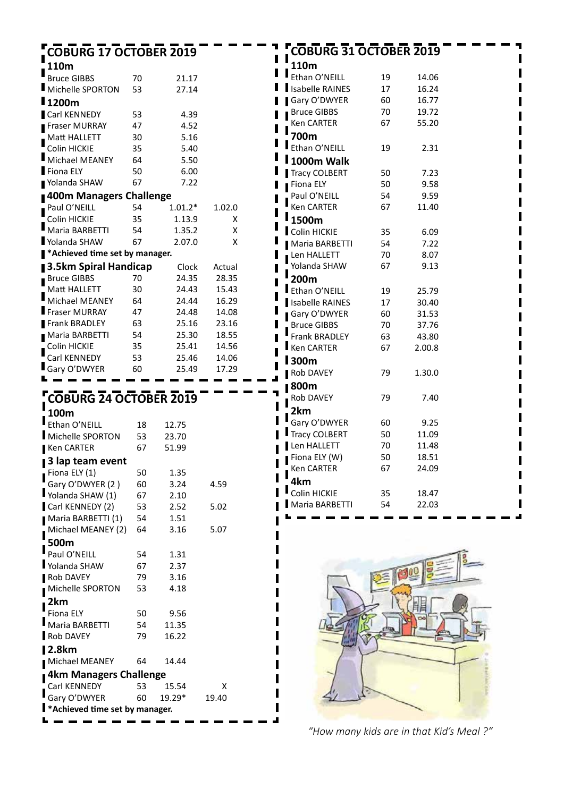| <b>COBURG 17 OCTOBER 2019</b>           |    |           |        | <b>COBURG 31 OCTOBER 2019</b> |    |        |  |
|-----------------------------------------|----|-----------|--------|-------------------------------|----|--------|--|
| 110m                                    |    |           |        | 110m                          |    |        |  |
| <b>Bruce GIBBS</b>                      | 70 | 21.17     |        | Ethan O'NEILL                 | 19 | 14.06  |  |
| Michelle SPORTON                        | 53 | 27.14     |        | <b>Isabelle RAINES</b>        | 17 | 16.24  |  |
| l 1200m                                 |    |           |        | Gary O'DWYER                  | 60 | 16.77  |  |
| Carl KENNEDY                            | 53 | 4.39      |        | <b>Bruce GIBBS</b>            | 70 | 19.72  |  |
| <b>Fraser MURRAY</b>                    | 47 | 4.52      |        | Ken CARTER                    | 67 | 55.20  |  |
| Matt HALLETT                            | 30 | 5.16      |        | 700m                          |    |        |  |
| Colin HICKIE                            | 35 | 5.40      |        | Ethan O'NEILL                 | 19 | 2.31   |  |
| Michael MEANEY                          | 64 | 5.50      |        | I 1000m Walk                  |    |        |  |
| Fiona ELY                               | 50 | 6.00      |        | Tracy COLBERT                 | 50 | 7.23   |  |
| Yolanda SHAW                            | 67 | 7.22      |        | Fiona ELY                     | 50 | 9.58   |  |
| 400m Managers Challenge                 |    |           |        | Paul O'NEILL                  | 54 | 9.59   |  |
| Paul O'NEILL                            | 54 | $1.01.2*$ | 1.02.0 | Ken CARTER                    | 67 | 11.40  |  |
| Colin HICKIE                            | 35 | 1.13.9    | X      | 1500m                         |    |        |  |
| Maria BARBETTI                          | 54 | 1.35.2    | X      | Colin HICKIE                  | 35 | 6.09   |  |
| Yolanda SHAW                            | 67 | 2.07.0    | X      | Maria BARBETTI                | 54 | 7.22   |  |
| ■ *Achieved time set by manager.        |    |           |        | Len HALLETT                   | 70 | 8.07   |  |
| <b>3.5km Spiral Handicap</b>            |    | Clock     | Actual | Yolanda SHAW                  | 67 | 9.13   |  |
| <b>Bruce GIBBS</b>                      | 70 | 24.35     | 28.35  | 200m                          |    |        |  |
| Matt HALLETT                            | 30 | 24.43     | 15.43  | Ethan O'NEILL                 | 19 | 25.79  |  |
| Michael MEANEY                          | 64 | 24.44     | 16.29  | Isabelle RAINES               | 17 | 30.40  |  |
| Fraser MURRAY                           | 47 | 24.48     | 14.08  | Gary O'DWYER                  | 60 | 31.53  |  |
| <b>Frank BRADLEY</b>                    | 63 | 25.16     | 23.16  | <b>Bruce GIBBS</b>            | 70 | 37.76  |  |
| Maria BARBETTI                          | 54 | 25.30     | 18.55  | Frank BRADLEY                 | 63 | 43.80  |  |
| Colin HICKIE                            | 35 | 25.41     | 14.56  | Ken CARTER                    | 67 | 2.00.8 |  |
| Carl KENNEDY                            | 53 | 25.46     | 14.06  | <b>I</b> 300m                 |    |        |  |
| Gary O'DWYER                            | 60 | 25.49     | 17.29  | Rob DAVEY                     | 79 |        |  |
|                                         |    |           |        |                               |    | 1.30.0 |  |
|                                         |    |           |        | <b>800m</b>                   |    |        |  |
| <b>COBURG 24 OCTOBER 2019</b>           |    |           |        | Rob DAVEY                     | 79 | 7.40   |  |
| 100m                                    |    |           |        | 2km                           |    |        |  |
| Ethan O'NEILL                           | 18 | 12.75     |        | Gary O'DWYER                  | 60 | 9.25   |  |
| Michelle SPORTON                        | 53 | 23.70     |        | <b>Tracy COLBERT</b>          | 50 | 11.09  |  |
| Ken CARTER                              | 67 | 51.99     |        | Len HALLETT                   | 70 | 11.48  |  |
| 3 lap team event                        |    |           |        | Fiona ELY $(W)$               | 50 | 18.51  |  |
| Fiona ELY (1)                           | 50 | 1.35      |        | Ken CARTER                    | 67 | 24.09  |  |
| Gary O'DWYER (2)                        | 60 | 3.24      | 4.59   | 4km                           |    |        |  |
| Yolanda SHAW (1)                        | 67 | 2.10      |        | Colin HICKIE                  | 35 | 18.47  |  |
| Carl KENNEDY (2)                        | 53 | 2.52      | 5.02   | Maria BARBETTI                | 54 | 22.03  |  |
| Maria BARBETTI (1)                      | 54 | 1.51      |        |                               |    |        |  |
| Michael MEANEY (2)                      | 64 | 3.16      | 5.07   |                               |    |        |  |
| 500m                                    |    |           |        |                               |    |        |  |
| Paul O'NEILL                            | 54 | 1.31      |        |                               |    |        |  |
| Yolanda SHAW                            | 67 | 2.37      |        |                               |    |        |  |
| Rob DAVEY                               | 79 | 3.16      |        |                               |    |        |  |
| Michelle SPORTON                        | 53 | 4.18      |        |                               |    |        |  |
| 2km                                     |    |           |        |                               |    |        |  |
| Fiona ELY                               | 50 | 9.56      |        |                               |    |        |  |
| Maria BARBETTI                          | 54 | 11.35     |        |                               |    |        |  |
| <b>Rob DAVEY</b>                        | 79 | 16.22     |        |                               |    |        |  |
| <b>2.8km</b>                            |    |           |        |                               |    |        |  |
| Michael MEANEY                          | 64 | 14.44     |        |                               |    |        |  |
|                                         |    |           |        |                               |    |        |  |
| 4km Managers Challenge                  |    |           |        |                               |    |        |  |
| Carl KENNEDY                            | 53 | 15.54     | X      |                               |    |        |  |
| Gary O'DWYER                            | 60 | 19.29*    | 19.40  |                               |    |        |  |
| <b>K</b> *Achieved time set by manager. |    |           |        |                               |    |        |  |
|                                         |    |           |        |                               |    |        |  |

*"How many kids are in that Kid's Meal ?"*

q,  $\blacksquare$  $\blacksquare$  $\blacksquare$  $\blacksquare$  $\blacksquare$  $\blacksquare$  $\blacksquare$  $\blacksquare$ Ī  $\blacksquare$ Ī  $\blacksquare$ Ī  $\blacksquare$  $\blacksquare$  $\blacksquare$  $\blacksquare$  $\blacksquare$  $\blacksquare$  $\blacksquare$  $\blacksquare$  $\overline{a}$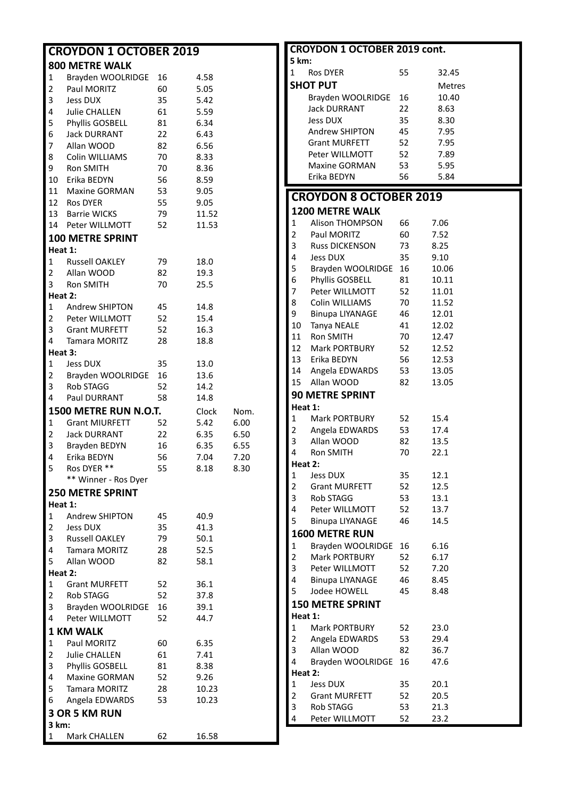| <b>CROYDON 1 OCTOBER 2019</b> |                         |    |       |      |  |  |
|-------------------------------|-------------------------|----|-------|------|--|--|
|                               | <b>800 METRE WALK</b>   |    |       |      |  |  |
| 1                             | Brayden WOOLRIDGE 16    |    | 4.58  |      |  |  |
| $\overline{2}$                | Paul MORITZ             | 60 | 5.05  |      |  |  |
| 3                             | Jess DUX                | 35 | 5.42  |      |  |  |
| 4                             | Julie CHALLEN           | 61 | 5.59  |      |  |  |
| 5                             | Phyllis GOSBELL         | 81 | 6.34  |      |  |  |
| 6                             | <b>Jack DURRANT</b>     | 22 | 6.43  |      |  |  |
| 7 <sup>7</sup>                | Allan WOOD              | 82 | 6.56  |      |  |  |
| 8                             | Colin WILLIAMS          | 70 | 8.33  |      |  |  |
| 9                             | Ron SMITH               | 70 | 8.36  |      |  |  |
| 10                            | Erika BEDYN             | 56 | 8.59  |      |  |  |
|                               | 11 Maxine GORMAN        | 53 | 9.05  |      |  |  |
|                               | 12 Ros DYER             | 55 | 9.05  |      |  |  |
|                               | 13 Barrie WICKS         | 79 | 11.52 |      |  |  |
|                               | 14 Peter WILLMOTT       | 52 | 11.53 |      |  |  |
|                               | <b>100 METRE SPRINT</b> |    |       |      |  |  |
| Heat 1:                       |                         |    |       |      |  |  |
| $1 \quad$                     | <b>Russell OAKLEY</b>   | 79 | 18.0  |      |  |  |
|                               | 2 Allan WOOD            | 82 | 19.3  |      |  |  |
| $3^{\circ}$                   | Ron SMITH               | 70 | 25.5  |      |  |  |
| Heat 2:                       |                         |    |       |      |  |  |
|                               | 1 Andrew SHIPTON        | 45 | 14.8  |      |  |  |
|                               | 2 Peter WILLMOTT        | 52 | 15.4  |      |  |  |
|                               | 3 Grant MURFETT         | 52 | 16.3  |      |  |  |
| 4                             | Tamara MORITZ           | 28 | 18.8  |      |  |  |
| Heat 3:                       |                         |    |       |      |  |  |
| 1                             | <b>Jess DUX</b>         | 35 | 13.0  |      |  |  |
| $2 \sqrt{2}$                  | Brayden WOOLRIDGE 16    |    | 13.6  |      |  |  |
| 3                             | <b>Rob STAGG</b>        | 52 | 14.2  |      |  |  |
| 4                             | Paul DURRANT            | 58 | 14.8  |      |  |  |
|                               | 1500 METRE RUN N.O.T.   |    | Clock | Nom. |  |  |
| $\mathbf{1}$                  | <b>Grant MIURFETT</b>   | 52 | 5.42  | 6.00 |  |  |
| $\overline{2}$                | <b>Jack DURRANT</b>     | 22 | 6.35  | 6.50 |  |  |
| 3                             | Brayden BEDYN           | 16 | 6.35  | 6.55 |  |  |
| 4                             | Erika BEDYN             | 56 | 7.04  | 7.20 |  |  |
| 5                             | Ros DYER **             | 55 | 8.18  | 8.30 |  |  |
|                               | ** Winner - Ros Dyer    |    |       |      |  |  |
|                               | <b>250 METRE SPRINT</b> |    |       |      |  |  |
| Heat 1:                       |                         |    |       |      |  |  |
| 1                             | <b>Andrew SHIPTON</b>   | 45 | 40.9  |      |  |  |
| $2 \overline{ }$              | <b>Jess DUX</b>         | 35 | 41.3  |      |  |  |
| $3^{\circ}$                   | Russell OAKLEY          | 79 | 50.1  |      |  |  |
| $\overline{4}$                | Tamara MORITZ           | 28 | 52.5  |      |  |  |
| 5                             | Allan WOOD              | 82 | 58.1  |      |  |  |
| Heat 2:                       |                         |    |       |      |  |  |
| 1                             | <b>Grant MURFETT</b>    | 52 | 36.1  |      |  |  |
| $2^{\circ}$                   | Rob STAGG               | 52 | 37.8  |      |  |  |
| 3 <sup>7</sup>                | Brayden WOOLRIDGE       | 16 | 39.1  |      |  |  |
| 4                             | Peter WILLMOTT          | 52 | 44.7  |      |  |  |
|                               | <b>1 KM WALK</b>        |    |       |      |  |  |
| $\mathbf{1}$                  | Paul MORITZ             | 60 | 6.35  |      |  |  |
| $\overline{2}$                | <b>Julie CHALLEN</b>    | 61 | 7.41  |      |  |  |
| 3                             | Phyllis GOSBELL         | 81 | 8.38  |      |  |  |
| 4                             | Maxine GORMAN           | 52 | 9.26  |      |  |  |
| 5                             | <b>Tamara MORITZ</b>    | 28 | 10.23 |      |  |  |
| 6                             | Angela EDWARDS          | 53 | 10.23 |      |  |  |
|                               | <b>3 OR 5 KM RUN</b>    |    |       |      |  |  |
| 3 km:                         |                         |    |       |      |  |  |
| 1                             | Mark CHALLEN            | 62 | 16.58 |      |  |  |

|                | <b>CROYDON 1 OCTOBER 2019 cont.</b>      |    |               |
|----------------|------------------------------------------|----|---------------|
| 5 km:          |                                          |    |               |
| 1              | <b>Ros DYER</b>                          | 55 | 32.45         |
|                | <b>SHOT PUT</b>                          |    | <b>Metres</b> |
|                | Brayden WOOLRIDGE                        | 16 | 10.40         |
|                | <b>Jack DURRANT</b>                      | 22 | 8.63          |
|                | Jess DUX                                 | 35 | 8.30          |
|                | Andrew SHIPTON                           | 45 | 7.95          |
|                | <b>Grant MURFETT</b>                     | 52 | 7.95          |
|                | Peter WILLMOTT                           | 52 | 7.89          |
|                | <b>Maxine GORMAN</b>                     | 53 | 5.95          |
|                | Erika BEDYN                              | 56 | 5.84          |
|                |                                          |    |               |
|                | <b>CROYDON 8 OCTOBER 2019</b>            |    |               |
|                | <b>1200 METRE WALK</b>                   |    |               |
| 1              | Alison THOMPSON                          | 66 | 7.06          |
| $\overline{2}$ | Paul MORITZ                              | 60 | 7.52          |
| 3              | <b>Russ DICKENSON</b>                    | 73 | 8.25          |
| 4              | <b>Jess DUX</b>                          | 35 | 9.10          |
| 5              | Brayden WOOLRIDGE                        | 16 | 10.06         |
| 6              | Phyllis GOSBELL                          | 81 | 10.11         |
| 7              | Peter WILLMOTT                           | 52 | 11.01         |
| 8              | Colin WILLIAMS                           | 70 | 11.52         |
| 9              | <b>Binupa LIYANAGE</b>                   | 46 | 12.01         |
| 10             | Tanya NEALE                              | 41 | 12.02         |
| 11             | <b>Ron SMITH</b>                         | 70 | 12.47         |
| 12             | <b>Mark PORTBURY</b>                     | 52 | 12.52         |
| 13             | Erika BEDYN                              | 56 | 12.53         |
| 14             | Angela EDWARDS                           | 53 | 13.05         |
| 15             | Allan WOOD                               | 82 | 13.05         |
|                | <b>90 METRE SPRINT</b>                   |    |               |
| Heat 1:        |                                          |    |               |
| 1              | <b>Mark PORTBURY</b>                     | 52 | 15.4          |
| 2              | Angela EDWARDS                           | 53 | 17.4          |
| 3              | Allan WOOD                               | 82 |               |
| 4              | <b>Ron SMITH</b>                         | 70 | 13.5<br>22.1  |
| Heat 2:        |                                          |    |               |
|                | <b>Jess DUX</b>                          |    | 12.1          |
| 1              |                                          | 35 |               |
| 2<br>3         | <b>Grant MURFETT</b><br><b>Rob STAGG</b> | 52 | 12.5          |
|                |                                          | 53 | 13.1          |
| 4              | Peter WILLMOTT                           | 52 | 13.7          |
| 5              | <b>Binupa LIYANAGE</b>                   | 46 | 14.5          |
|                | <b>1600 METRE RUN</b>                    |    |               |
| 1              | Brayden WOOLRIDGE                        | 16 | 6.16          |
| $\overline{2}$ | <b>Mark PORTBURY</b>                     | 52 | 6.17          |
| 3              | Peter WILLMOTT                           | 52 | 7.20          |
| 4              | <b>Binupa LIYANAGE</b>                   | 46 | 8.45          |
| 5              | Jodee HOWELL                             | 45 | 8.48          |
|                | <b>150 METRE SPRINT</b>                  |    |               |
| Heat 1:        |                                          |    |               |
| $\mathbf{1}$   | <b>Mark PORTBURY</b>                     | 52 | 23.0          |
| $\overline{2}$ | Angela EDWARDS                           | 53 | 29.4          |
| 3              | Allan WOOD                               | 82 | 36.7          |
| 4              | Brayden WOOLRIDGE                        | 16 | 47.6          |
| Heat 2:        |                                          |    |               |
| $\mathbf{1}$   | <b>Jess DUX</b>                          | 35 | 20.1          |
| $\overline{2}$ | <b>Grant MURFETT</b>                     | 52 | 20.5          |
| 3              | <b>Rob STAGG</b>                         | 53 | 21.3          |
| 4              | Peter WILLMOTT                           | 52 | 23.2          |
|                |                                          |    |               |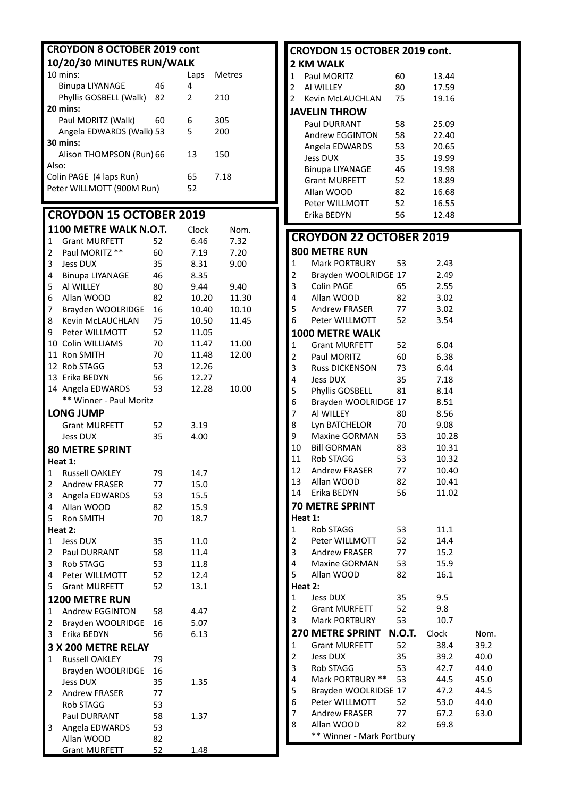| <b>CROYDON 8 OCTOBER 2019 cont</b>     |                                               |          |              |              |  |  |
|----------------------------------------|-----------------------------------------------|----------|--------------|--------------|--|--|
| 10/20/30 MINUTES RUN/WALK              |                                               |          |              |              |  |  |
|                                        | 10 mins:                                      |          | Laps         | Metres       |  |  |
|                                        | <b>Binupa LIYANAGE</b>                        | 46       | 4            |              |  |  |
|                                        | Phyllis GOSBELL (Walk)                        | 82       | 2            | 210          |  |  |
|                                        | 20 mins:                                      |          |              |              |  |  |
|                                        | Paul MORITZ (Walk)                            | 60       | 6            | 305          |  |  |
|                                        | Angela EDWARDS (Walk) 53                      |          | 5            | 200          |  |  |
|                                        | 30 mins:                                      |          |              |              |  |  |
|                                        | Alison THOMPSON (Run) 66                      |          | 13           | 150          |  |  |
| Also:                                  |                                               |          |              |              |  |  |
|                                        | Colin PAGE (4 laps Run)                       |          | 65           | 7.18         |  |  |
|                                        | Peter WILLMOTT (900M Run)                     |          | 52           |              |  |  |
|                                        |                                               |          |              |              |  |  |
|                                        | <b>CROYDON 15 OCTOBER 2019</b>                |          |              |              |  |  |
|                                        | 1100 METRE WALK N.O.T.                        |          | Clock        |              |  |  |
| 1                                      | <b>Grant MURFETT</b>                          | 52       | 6.46         | Nom.<br>7.32 |  |  |
| 2                                      | Paul MORITZ **                                | 60       | 7.19         | 7.20         |  |  |
| 3                                      | <b>Jess DUX</b>                               | 35       | 8.31         | 9.00         |  |  |
| 4                                      | <b>Binupa LIYANAGE</b>                        | 46       | 8.35         |              |  |  |
| 5                                      | AI WILLEY                                     | 80       | 9.44         | 9.40         |  |  |
| 6                                      | Allan WOOD                                    | 82       | 10.20        | 11.30        |  |  |
| 7                                      | Brayden WOOLRIDGE                             | 16       | 10.40        | 10.10        |  |  |
| 8                                      | <b>Kevin McLAUCHLAN</b>                       | 75       | 10.50        | 11.45        |  |  |
| 9                                      | Peter WILLMOTT                                | 52       | 11.05        |              |  |  |
|                                        | 10 Colin WILLIAMS                             | 70       | 11.47        | 11.00        |  |  |
|                                        | 11 Ron SMITH                                  | 70       | 11.48        | 12.00        |  |  |
|                                        | 12 Rob STAGG                                  | 53       | 12.26        |              |  |  |
|                                        | 13 Erika BEDYN                                | 56       | 12.27        |              |  |  |
|                                        | 14 Angela EDWARDS                             | 53       | 12.28        | 10.00        |  |  |
|                                        | ** Winner - Paul Moritz                       |          |              |              |  |  |
|                                        | <b>LONG JUMP</b>                              |          |              |              |  |  |
|                                        | <b>Grant MURFETT</b>                          | 52       | 3.19         |              |  |  |
|                                        | <b>Jess DUX</b>                               | 35       | 4.00         |              |  |  |
|                                        |                                               |          |              |              |  |  |
|                                        | <b>80 METRE SPRINT</b>                        |          |              |              |  |  |
|                                        | Heat 1:                                       | 79       |              |              |  |  |
| 1<br>2                                 | <b>Russell OAKLEY</b><br><b>Andrew FRASER</b> | 77       | 14.7         |              |  |  |
| 3                                      | Angela EDWARDS                                |          | 15.0         |              |  |  |
| 4                                      | Allan WOOD                                    | 53<br>82 | 15.5<br>15.9 |              |  |  |
| 5                                      | Ron SMITH                                     | 70       | 18.7         |              |  |  |
|                                        | Heat 2:                                       |          |              |              |  |  |
| 1                                      | <b>Jess DUX</b>                               | 35       | 11.0         |              |  |  |
| $\overline{2}$                         | Paul DURRANT                                  | 58       | 11.4         |              |  |  |
| $\mathbf{3}$                           | <b>Rob STAGG</b>                              | 53       | 11.8         |              |  |  |
| $\overline{4}$                         | Peter WILLMOTT                                | 52       | 12.4         |              |  |  |
| 5                                      | <b>Grant MURFETT</b>                          | 52       | 13.1         |              |  |  |
|                                        | 1200 METRE RUN                                |          |              |              |  |  |
|                                        | Andrew EGGINTON                               |          |              |              |  |  |
| $\mathbf 1$<br>$\overline{\mathbf{c}}$ |                                               | 58       | 4.47         |              |  |  |
| 3                                      | Brayden WOOLRIDGE<br>Erika BEDYN              | 16<br>56 | 5.07<br>6.13 |              |  |  |
|                                        |                                               |          |              |              |  |  |
|                                        | 3 X 200 METRE RELAY                           |          |              |              |  |  |
| $\mathbf{1}$                           | <b>Russell OAKLEY</b>                         | 79       |              |              |  |  |
|                                        | Brayden WOOLRIDGE                             | 16       |              |              |  |  |
|                                        | <b>Jess DUX</b>                               | 35       | 1.35         |              |  |  |
| 2                                      | <b>Andrew FRASER</b>                          | 77       |              |              |  |  |
|                                        | Rob STAGG                                     | 53       |              |              |  |  |
|                                        | Paul DURRANT                                  | 58       | 1.37         |              |  |  |
| 3                                      | Angela EDWARDS                                | 53       |              |              |  |  |
|                                        | Allan WOOD                                    | 82       |              |              |  |  |
|                                        | <b>Grant MURFETT</b>                          | 52       | <u>1.48</u>  |              |  |  |

| 2 KM WALK<br>1<br>Paul MORITZ<br>60<br>13.44<br>17.59<br>2<br>AI WILLEY<br>80<br>2<br><b>Kevin McLAUCHLAN</b><br>75<br>19.16<br><b>JAVELIN THROW</b><br><b>Paul DURRANT</b><br>58<br>25.09<br>Andrew EGGINTON<br>22.40<br>58<br>Angela EDWARDS<br>53<br>20.65<br><b>Jess DUX</b><br>35<br>19.99<br><b>Binupa LIYANAGE</b><br>46<br>19.98<br><b>Grant MURFETT</b><br>52<br>18.89<br>Allan WOOD<br>82<br>16.68<br>52<br>Peter WILLMOTT<br>16.55<br>56<br>Erika BEDYN<br>12.48<br><b>CROYDON 22 OCTOBER 2019</b><br><b>800 METRE RUN</b><br>Mark PORTBURY<br>1<br>53<br>2.43<br>2<br>Brayden WOOLRIDGE 17<br>2.49<br>3<br>Colin PAGE<br>65<br>2.55<br>Allan WOOD<br>4<br>82<br>3.02<br>5<br><b>Andrew FRASER</b><br>77<br>3.02<br>6<br>3.54<br>Peter WILLMOTT<br>52<br><b>1000 METRE WALK</b><br><b>Grant MURFETT</b><br>1<br>52<br>6.04<br>2<br>Paul MORITZ<br>60<br>6.38<br>3<br><b>Russ DICKENSON</b><br>73<br>6.44<br>4<br><b>Jess DUX</b><br>35<br>7.18<br>5<br>Phyllis GOSBELL<br>81<br>8.14<br>6<br>Brayden WOOLRIDGE 17<br>8.51<br>7<br>AI WILLEY<br>8.56<br>80<br>Lyn BATCHELOR<br>70<br>8<br>9.08<br><b>Maxine GORMAN</b><br>53<br>9<br>10.28<br>10<br><b>Bill GORMAN</b><br>83<br>10.31<br>53<br>11<br><b>Rob STAGG</b><br>10.32<br>12<br>Andrew FRASER<br>77<br>10.40<br>13<br>Allan WOOD<br>10.41<br>82<br>14<br>Erika BEDYN<br>56<br>11.02<br><b>70 METRE SPRINT</b><br>Heat 1:<br>Rob STAGG<br>1<br>53<br>11.1<br>2<br>Peter WILLMOTT<br>52<br>14.4<br>3<br>Andrew FRASER<br>77<br>15.2<br>4<br>Maxine GORMAN<br>53<br>15.9<br>5<br>Allan WOOD<br>82<br>16.1<br>Heat 2:<br>Jess DUX<br>35<br>1<br>9.5<br>2<br><b>Grant MURFETT</b><br>52<br>9.8<br>3<br>Mark PORTBURY<br>53<br>10.7<br><b>N.O.T.</b><br><b>270 METRE SPRINT</b><br>Clock<br>Nom.<br><b>Grant MURFETT</b><br>52<br>38.4<br>1<br>39.2<br>2<br>35<br><b>Jess DUX</b><br>39.2<br>40.0<br>3<br>53<br>42.7<br><b>Rob STAGG</b><br>44.0<br>4<br>Mark PORTBURY **<br>53<br>44.5<br>45.0<br>5<br>Brayden WOOLRIDGE 17<br>47.2<br>44.5<br>6<br>Peter WILLMOTT<br>52<br>53.0<br>44.0<br>7<br>Andrew FRASER<br>77<br>67.2<br>63.0<br>Allan WOOD<br>8<br>82<br>69.8<br>** Winner - Mark Portbury | <b>CROYDON 15 OCTOBER 2019 cont.</b> |  |  |
|-----------------------------------------------------------------------------------------------------------------------------------------------------------------------------------------------------------------------------------------------------------------------------------------------------------------------------------------------------------------------------------------------------------------------------------------------------------------------------------------------------------------------------------------------------------------------------------------------------------------------------------------------------------------------------------------------------------------------------------------------------------------------------------------------------------------------------------------------------------------------------------------------------------------------------------------------------------------------------------------------------------------------------------------------------------------------------------------------------------------------------------------------------------------------------------------------------------------------------------------------------------------------------------------------------------------------------------------------------------------------------------------------------------------------------------------------------------------------------------------------------------------------------------------------------------------------------------------------------------------------------------------------------------------------------------------------------------------------------------------------------------------------------------------------------------------------------------------------------------------------------------------------------------------------------------------------------------------------------------------------------------------------------------------------------------------------------------------------------------------------------------------------------------------|--------------------------------------|--|--|
|                                                                                                                                                                                                                                                                                                                                                                                                                                                                                                                                                                                                                                                                                                                                                                                                                                                                                                                                                                                                                                                                                                                                                                                                                                                                                                                                                                                                                                                                                                                                                                                                                                                                                                                                                                                                                                                                                                                                                                                                                                                                                                                                                                 |                                      |  |  |
|                                                                                                                                                                                                                                                                                                                                                                                                                                                                                                                                                                                                                                                                                                                                                                                                                                                                                                                                                                                                                                                                                                                                                                                                                                                                                                                                                                                                                                                                                                                                                                                                                                                                                                                                                                                                                                                                                                                                                                                                                                                                                                                                                                 |                                      |  |  |
|                                                                                                                                                                                                                                                                                                                                                                                                                                                                                                                                                                                                                                                                                                                                                                                                                                                                                                                                                                                                                                                                                                                                                                                                                                                                                                                                                                                                                                                                                                                                                                                                                                                                                                                                                                                                                                                                                                                                                                                                                                                                                                                                                                 |                                      |  |  |
|                                                                                                                                                                                                                                                                                                                                                                                                                                                                                                                                                                                                                                                                                                                                                                                                                                                                                                                                                                                                                                                                                                                                                                                                                                                                                                                                                                                                                                                                                                                                                                                                                                                                                                                                                                                                                                                                                                                                                                                                                                                                                                                                                                 |                                      |  |  |
|                                                                                                                                                                                                                                                                                                                                                                                                                                                                                                                                                                                                                                                                                                                                                                                                                                                                                                                                                                                                                                                                                                                                                                                                                                                                                                                                                                                                                                                                                                                                                                                                                                                                                                                                                                                                                                                                                                                                                                                                                                                                                                                                                                 |                                      |  |  |
|                                                                                                                                                                                                                                                                                                                                                                                                                                                                                                                                                                                                                                                                                                                                                                                                                                                                                                                                                                                                                                                                                                                                                                                                                                                                                                                                                                                                                                                                                                                                                                                                                                                                                                                                                                                                                                                                                                                                                                                                                                                                                                                                                                 |                                      |  |  |
|                                                                                                                                                                                                                                                                                                                                                                                                                                                                                                                                                                                                                                                                                                                                                                                                                                                                                                                                                                                                                                                                                                                                                                                                                                                                                                                                                                                                                                                                                                                                                                                                                                                                                                                                                                                                                                                                                                                                                                                                                                                                                                                                                                 |                                      |  |  |
|                                                                                                                                                                                                                                                                                                                                                                                                                                                                                                                                                                                                                                                                                                                                                                                                                                                                                                                                                                                                                                                                                                                                                                                                                                                                                                                                                                                                                                                                                                                                                                                                                                                                                                                                                                                                                                                                                                                                                                                                                                                                                                                                                                 |                                      |  |  |
|                                                                                                                                                                                                                                                                                                                                                                                                                                                                                                                                                                                                                                                                                                                                                                                                                                                                                                                                                                                                                                                                                                                                                                                                                                                                                                                                                                                                                                                                                                                                                                                                                                                                                                                                                                                                                                                                                                                                                                                                                                                                                                                                                                 |                                      |  |  |
|                                                                                                                                                                                                                                                                                                                                                                                                                                                                                                                                                                                                                                                                                                                                                                                                                                                                                                                                                                                                                                                                                                                                                                                                                                                                                                                                                                                                                                                                                                                                                                                                                                                                                                                                                                                                                                                                                                                                                                                                                                                                                                                                                                 |                                      |  |  |
|                                                                                                                                                                                                                                                                                                                                                                                                                                                                                                                                                                                                                                                                                                                                                                                                                                                                                                                                                                                                                                                                                                                                                                                                                                                                                                                                                                                                                                                                                                                                                                                                                                                                                                                                                                                                                                                                                                                                                                                                                                                                                                                                                                 |                                      |  |  |
|                                                                                                                                                                                                                                                                                                                                                                                                                                                                                                                                                                                                                                                                                                                                                                                                                                                                                                                                                                                                                                                                                                                                                                                                                                                                                                                                                                                                                                                                                                                                                                                                                                                                                                                                                                                                                                                                                                                                                                                                                                                                                                                                                                 |                                      |  |  |
|                                                                                                                                                                                                                                                                                                                                                                                                                                                                                                                                                                                                                                                                                                                                                                                                                                                                                                                                                                                                                                                                                                                                                                                                                                                                                                                                                                                                                                                                                                                                                                                                                                                                                                                                                                                                                                                                                                                                                                                                                                                                                                                                                                 |                                      |  |  |
|                                                                                                                                                                                                                                                                                                                                                                                                                                                                                                                                                                                                                                                                                                                                                                                                                                                                                                                                                                                                                                                                                                                                                                                                                                                                                                                                                                                                                                                                                                                                                                                                                                                                                                                                                                                                                                                                                                                                                                                                                                                                                                                                                                 |                                      |  |  |
|                                                                                                                                                                                                                                                                                                                                                                                                                                                                                                                                                                                                                                                                                                                                                                                                                                                                                                                                                                                                                                                                                                                                                                                                                                                                                                                                                                                                                                                                                                                                                                                                                                                                                                                                                                                                                                                                                                                                                                                                                                                                                                                                                                 |                                      |  |  |
|                                                                                                                                                                                                                                                                                                                                                                                                                                                                                                                                                                                                                                                                                                                                                                                                                                                                                                                                                                                                                                                                                                                                                                                                                                                                                                                                                                                                                                                                                                                                                                                                                                                                                                                                                                                                                                                                                                                                                                                                                                                                                                                                                                 |                                      |  |  |
|                                                                                                                                                                                                                                                                                                                                                                                                                                                                                                                                                                                                                                                                                                                                                                                                                                                                                                                                                                                                                                                                                                                                                                                                                                                                                                                                                                                                                                                                                                                                                                                                                                                                                                                                                                                                                                                                                                                                                                                                                                                                                                                                                                 |                                      |  |  |
|                                                                                                                                                                                                                                                                                                                                                                                                                                                                                                                                                                                                                                                                                                                                                                                                                                                                                                                                                                                                                                                                                                                                                                                                                                                                                                                                                                                                                                                                                                                                                                                                                                                                                                                                                                                                                                                                                                                                                                                                                                                                                                                                                                 |                                      |  |  |
|                                                                                                                                                                                                                                                                                                                                                                                                                                                                                                                                                                                                                                                                                                                                                                                                                                                                                                                                                                                                                                                                                                                                                                                                                                                                                                                                                                                                                                                                                                                                                                                                                                                                                                                                                                                                                                                                                                                                                                                                                                                                                                                                                                 |                                      |  |  |
|                                                                                                                                                                                                                                                                                                                                                                                                                                                                                                                                                                                                                                                                                                                                                                                                                                                                                                                                                                                                                                                                                                                                                                                                                                                                                                                                                                                                                                                                                                                                                                                                                                                                                                                                                                                                                                                                                                                                                                                                                                                                                                                                                                 |                                      |  |  |
|                                                                                                                                                                                                                                                                                                                                                                                                                                                                                                                                                                                                                                                                                                                                                                                                                                                                                                                                                                                                                                                                                                                                                                                                                                                                                                                                                                                                                                                                                                                                                                                                                                                                                                                                                                                                                                                                                                                                                                                                                                                                                                                                                                 |                                      |  |  |
|                                                                                                                                                                                                                                                                                                                                                                                                                                                                                                                                                                                                                                                                                                                                                                                                                                                                                                                                                                                                                                                                                                                                                                                                                                                                                                                                                                                                                                                                                                                                                                                                                                                                                                                                                                                                                                                                                                                                                                                                                                                                                                                                                                 |                                      |  |  |
|                                                                                                                                                                                                                                                                                                                                                                                                                                                                                                                                                                                                                                                                                                                                                                                                                                                                                                                                                                                                                                                                                                                                                                                                                                                                                                                                                                                                                                                                                                                                                                                                                                                                                                                                                                                                                                                                                                                                                                                                                                                                                                                                                                 |                                      |  |  |
|                                                                                                                                                                                                                                                                                                                                                                                                                                                                                                                                                                                                                                                                                                                                                                                                                                                                                                                                                                                                                                                                                                                                                                                                                                                                                                                                                                                                                                                                                                                                                                                                                                                                                                                                                                                                                                                                                                                                                                                                                                                                                                                                                                 |                                      |  |  |
|                                                                                                                                                                                                                                                                                                                                                                                                                                                                                                                                                                                                                                                                                                                                                                                                                                                                                                                                                                                                                                                                                                                                                                                                                                                                                                                                                                                                                                                                                                                                                                                                                                                                                                                                                                                                                                                                                                                                                                                                                                                                                                                                                                 |                                      |  |  |
|                                                                                                                                                                                                                                                                                                                                                                                                                                                                                                                                                                                                                                                                                                                                                                                                                                                                                                                                                                                                                                                                                                                                                                                                                                                                                                                                                                                                                                                                                                                                                                                                                                                                                                                                                                                                                                                                                                                                                                                                                                                                                                                                                                 |                                      |  |  |
|                                                                                                                                                                                                                                                                                                                                                                                                                                                                                                                                                                                                                                                                                                                                                                                                                                                                                                                                                                                                                                                                                                                                                                                                                                                                                                                                                                                                                                                                                                                                                                                                                                                                                                                                                                                                                                                                                                                                                                                                                                                                                                                                                                 |                                      |  |  |
|                                                                                                                                                                                                                                                                                                                                                                                                                                                                                                                                                                                                                                                                                                                                                                                                                                                                                                                                                                                                                                                                                                                                                                                                                                                                                                                                                                                                                                                                                                                                                                                                                                                                                                                                                                                                                                                                                                                                                                                                                                                                                                                                                                 |                                      |  |  |
|                                                                                                                                                                                                                                                                                                                                                                                                                                                                                                                                                                                                                                                                                                                                                                                                                                                                                                                                                                                                                                                                                                                                                                                                                                                                                                                                                                                                                                                                                                                                                                                                                                                                                                                                                                                                                                                                                                                                                                                                                                                                                                                                                                 |                                      |  |  |
|                                                                                                                                                                                                                                                                                                                                                                                                                                                                                                                                                                                                                                                                                                                                                                                                                                                                                                                                                                                                                                                                                                                                                                                                                                                                                                                                                                                                                                                                                                                                                                                                                                                                                                                                                                                                                                                                                                                                                                                                                                                                                                                                                                 |                                      |  |  |
|                                                                                                                                                                                                                                                                                                                                                                                                                                                                                                                                                                                                                                                                                                                                                                                                                                                                                                                                                                                                                                                                                                                                                                                                                                                                                                                                                                                                                                                                                                                                                                                                                                                                                                                                                                                                                                                                                                                                                                                                                                                                                                                                                                 |                                      |  |  |
|                                                                                                                                                                                                                                                                                                                                                                                                                                                                                                                                                                                                                                                                                                                                                                                                                                                                                                                                                                                                                                                                                                                                                                                                                                                                                                                                                                                                                                                                                                                                                                                                                                                                                                                                                                                                                                                                                                                                                                                                                                                                                                                                                                 |                                      |  |  |
|                                                                                                                                                                                                                                                                                                                                                                                                                                                                                                                                                                                                                                                                                                                                                                                                                                                                                                                                                                                                                                                                                                                                                                                                                                                                                                                                                                                                                                                                                                                                                                                                                                                                                                                                                                                                                                                                                                                                                                                                                                                                                                                                                                 |                                      |  |  |
|                                                                                                                                                                                                                                                                                                                                                                                                                                                                                                                                                                                                                                                                                                                                                                                                                                                                                                                                                                                                                                                                                                                                                                                                                                                                                                                                                                                                                                                                                                                                                                                                                                                                                                                                                                                                                                                                                                                                                                                                                                                                                                                                                                 |                                      |  |  |
|                                                                                                                                                                                                                                                                                                                                                                                                                                                                                                                                                                                                                                                                                                                                                                                                                                                                                                                                                                                                                                                                                                                                                                                                                                                                                                                                                                                                                                                                                                                                                                                                                                                                                                                                                                                                                                                                                                                                                                                                                                                                                                                                                                 |                                      |  |  |
|                                                                                                                                                                                                                                                                                                                                                                                                                                                                                                                                                                                                                                                                                                                                                                                                                                                                                                                                                                                                                                                                                                                                                                                                                                                                                                                                                                                                                                                                                                                                                                                                                                                                                                                                                                                                                                                                                                                                                                                                                                                                                                                                                                 |                                      |  |  |
|                                                                                                                                                                                                                                                                                                                                                                                                                                                                                                                                                                                                                                                                                                                                                                                                                                                                                                                                                                                                                                                                                                                                                                                                                                                                                                                                                                                                                                                                                                                                                                                                                                                                                                                                                                                                                                                                                                                                                                                                                                                                                                                                                                 |                                      |  |  |
|                                                                                                                                                                                                                                                                                                                                                                                                                                                                                                                                                                                                                                                                                                                                                                                                                                                                                                                                                                                                                                                                                                                                                                                                                                                                                                                                                                                                                                                                                                                                                                                                                                                                                                                                                                                                                                                                                                                                                                                                                                                                                                                                                                 |                                      |  |  |
|                                                                                                                                                                                                                                                                                                                                                                                                                                                                                                                                                                                                                                                                                                                                                                                                                                                                                                                                                                                                                                                                                                                                                                                                                                                                                                                                                                                                                                                                                                                                                                                                                                                                                                                                                                                                                                                                                                                                                                                                                                                                                                                                                                 |                                      |  |  |
|                                                                                                                                                                                                                                                                                                                                                                                                                                                                                                                                                                                                                                                                                                                                                                                                                                                                                                                                                                                                                                                                                                                                                                                                                                                                                                                                                                                                                                                                                                                                                                                                                                                                                                                                                                                                                                                                                                                                                                                                                                                                                                                                                                 |                                      |  |  |
|                                                                                                                                                                                                                                                                                                                                                                                                                                                                                                                                                                                                                                                                                                                                                                                                                                                                                                                                                                                                                                                                                                                                                                                                                                                                                                                                                                                                                                                                                                                                                                                                                                                                                                                                                                                                                                                                                                                                                                                                                                                                                                                                                                 |                                      |  |  |
|                                                                                                                                                                                                                                                                                                                                                                                                                                                                                                                                                                                                                                                                                                                                                                                                                                                                                                                                                                                                                                                                                                                                                                                                                                                                                                                                                                                                                                                                                                                                                                                                                                                                                                                                                                                                                                                                                                                                                                                                                                                                                                                                                                 |                                      |  |  |
|                                                                                                                                                                                                                                                                                                                                                                                                                                                                                                                                                                                                                                                                                                                                                                                                                                                                                                                                                                                                                                                                                                                                                                                                                                                                                                                                                                                                                                                                                                                                                                                                                                                                                                                                                                                                                                                                                                                                                                                                                                                                                                                                                                 |                                      |  |  |
|                                                                                                                                                                                                                                                                                                                                                                                                                                                                                                                                                                                                                                                                                                                                                                                                                                                                                                                                                                                                                                                                                                                                                                                                                                                                                                                                                                                                                                                                                                                                                                                                                                                                                                                                                                                                                                                                                                                                                                                                                                                                                                                                                                 |                                      |  |  |
|                                                                                                                                                                                                                                                                                                                                                                                                                                                                                                                                                                                                                                                                                                                                                                                                                                                                                                                                                                                                                                                                                                                                                                                                                                                                                                                                                                                                                                                                                                                                                                                                                                                                                                                                                                                                                                                                                                                                                                                                                                                                                                                                                                 |                                      |  |  |
|                                                                                                                                                                                                                                                                                                                                                                                                                                                                                                                                                                                                                                                                                                                                                                                                                                                                                                                                                                                                                                                                                                                                                                                                                                                                                                                                                                                                                                                                                                                                                                                                                                                                                                                                                                                                                                                                                                                                                                                                                                                                                                                                                                 |                                      |  |  |
|                                                                                                                                                                                                                                                                                                                                                                                                                                                                                                                                                                                                                                                                                                                                                                                                                                                                                                                                                                                                                                                                                                                                                                                                                                                                                                                                                                                                                                                                                                                                                                                                                                                                                                                                                                                                                                                                                                                                                                                                                                                                                                                                                                 |                                      |  |  |
|                                                                                                                                                                                                                                                                                                                                                                                                                                                                                                                                                                                                                                                                                                                                                                                                                                                                                                                                                                                                                                                                                                                                                                                                                                                                                                                                                                                                                                                                                                                                                                                                                                                                                                                                                                                                                                                                                                                                                                                                                                                                                                                                                                 |                                      |  |  |
|                                                                                                                                                                                                                                                                                                                                                                                                                                                                                                                                                                                                                                                                                                                                                                                                                                                                                                                                                                                                                                                                                                                                                                                                                                                                                                                                                                                                                                                                                                                                                                                                                                                                                                                                                                                                                                                                                                                                                                                                                                                                                                                                                                 |                                      |  |  |
|                                                                                                                                                                                                                                                                                                                                                                                                                                                                                                                                                                                                                                                                                                                                                                                                                                                                                                                                                                                                                                                                                                                                                                                                                                                                                                                                                                                                                                                                                                                                                                                                                                                                                                                                                                                                                                                                                                                                                                                                                                                                                                                                                                 |                                      |  |  |
|                                                                                                                                                                                                                                                                                                                                                                                                                                                                                                                                                                                                                                                                                                                                                                                                                                                                                                                                                                                                                                                                                                                                                                                                                                                                                                                                                                                                                                                                                                                                                                                                                                                                                                                                                                                                                                                                                                                                                                                                                                                                                                                                                                 |                                      |  |  |
|                                                                                                                                                                                                                                                                                                                                                                                                                                                                                                                                                                                                                                                                                                                                                                                                                                                                                                                                                                                                                                                                                                                                                                                                                                                                                                                                                                                                                                                                                                                                                                                                                                                                                                                                                                                                                                                                                                                                                                                                                                                                                                                                                                 |                                      |  |  |
|                                                                                                                                                                                                                                                                                                                                                                                                                                                                                                                                                                                                                                                                                                                                                                                                                                                                                                                                                                                                                                                                                                                                                                                                                                                                                                                                                                                                                                                                                                                                                                                                                                                                                                                                                                                                                                                                                                                                                                                                                                                                                                                                                                 |                                      |  |  |
|                                                                                                                                                                                                                                                                                                                                                                                                                                                                                                                                                                                                                                                                                                                                                                                                                                                                                                                                                                                                                                                                                                                                                                                                                                                                                                                                                                                                                                                                                                                                                                                                                                                                                                                                                                                                                                                                                                                                                                                                                                                                                                                                                                 |                                      |  |  |
|                                                                                                                                                                                                                                                                                                                                                                                                                                                                                                                                                                                                                                                                                                                                                                                                                                                                                                                                                                                                                                                                                                                                                                                                                                                                                                                                                                                                                                                                                                                                                                                                                                                                                                                                                                                                                                                                                                                                                                                                                                                                                                                                                                 |                                      |  |  |
|                                                                                                                                                                                                                                                                                                                                                                                                                                                                                                                                                                                                                                                                                                                                                                                                                                                                                                                                                                                                                                                                                                                                                                                                                                                                                                                                                                                                                                                                                                                                                                                                                                                                                                                                                                                                                                                                                                                                                                                                                                                                                                                                                                 |                                      |  |  |
|                                                                                                                                                                                                                                                                                                                                                                                                                                                                                                                                                                                                                                                                                                                                                                                                                                                                                                                                                                                                                                                                                                                                                                                                                                                                                                                                                                                                                                                                                                                                                                                                                                                                                                                                                                                                                                                                                                                                                                                                                                                                                                                                                                 |                                      |  |  |
|                                                                                                                                                                                                                                                                                                                                                                                                                                                                                                                                                                                                                                                                                                                                                                                                                                                                                                                                                                                                                                                                                                                                                                                                                                                                                                                                                                                                                                                                                                                                                                                                                                                                                                                                                                                                                                                                                                                                                                                                                                                                                                                                                                 |                                      |  |  |
|                                                                                                                                                                                                                                                                                                                                                                                                                                                                                                                                                                                                                                                                                                                                                                                                                                                                                                                                                                                                                                                                                                                                                                                                                                                                                                                                                                                                                                                                                                                                                                                                                                                                                                                                                                                                                                                                                                                                                                                                                                                                                                                                                                 |                                      |  |  |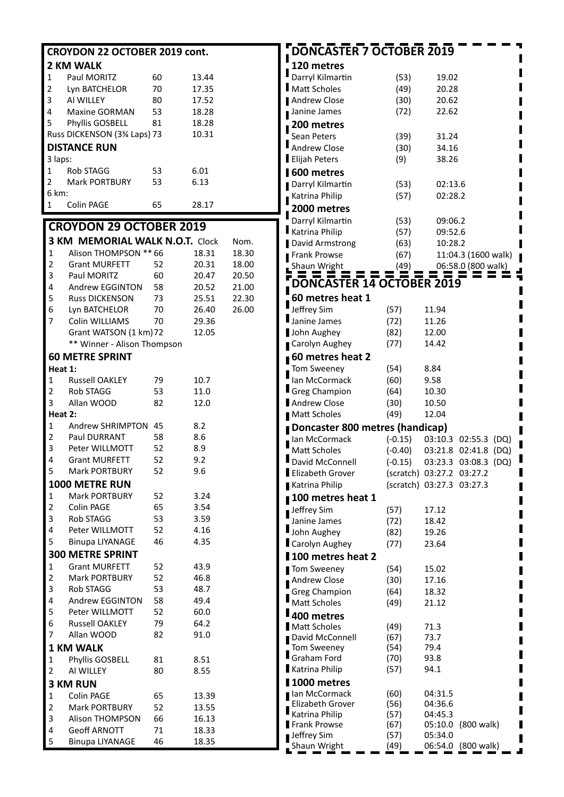| CROYDON 22 OCTOBER 2019 cont. |                                        |          |              |               |  |  |
|-------------------------------|----------------------------------------|----------|--------------|---------------|--|--|
|                               | 2 KM WALK                              |          |              |               |  |  |
| 1                             | Paul MORITZ                            | 60       | 13.44        |               |  |  |
| $\overline{2}$                | Lyn BATCHELOR                          | 70       | 17.35        |               |  |  |
| 3                             | AI WILLEY                              | 80       | 17.52        |               |  |  |
| 4                             | Maxine GORMAN                          | 53       | 18.28        |               |  |  |
| 5                             | Phyllis GOSBELL                        | 81       | 18.28        |               |  |  |
|                               | Russ DICKENSON (3% Laps) 73            |          | 10.31        |               |  |  |
|                               | <b>DISTANCE RUN</b>                    |          |              |               |  |  |
| 3 laps:                       |                                        |          |              |               |  |  |
| 1                             | Rob STAGG                              | 53       | 6.01         |               |  |  |
| 2                             | <b>Mark PORTBURY</b>                   | 53       | 6.13         |               |  |  |
| 6 km:                         |                                        |          |              |               |  |  |
| 1                             | Colin PAGE                             | 65       | 28.17        |               |  |  |
|                               | <b>CROYDON 29 OCTOBER 2019</b>         |          |              |               |  |  |
|                               | <b>3 KM MEMORIAL WALK N.O.T. Clock</b> |          |              |               |  |  |
| 1                             | Alison THOMPSON ** 66                  |          | 18.31        | Nom.<br>18.30 |  |  |
| $\overline{2}$                | <b>Grant MURFETT</b>                   | 52       | 20.31        | 18.00         |  |  |
| 3                             | Paul MORITZ                            | 60       | 20.47        | 20.50         |  |  |
| 4                             | Andrew EGGINTON                        | 58       | 20.52        | 21.00         |  |  |
| 5                             | <b>Russ DICKENSON</b>                  | 73       | 25.51        | 22.30         |  |  |
| 6                             | Lyn BATCHELOR                          | 70       | 26.40        | 26.00         |  |  |
| 7                             | Colin WILLIAMS                         | 70       | 29.36        |               |  |  |
|                               | Grant WATSON (1 km) 72                 |          | 12.05        |               |  |  |
|                               | ** Winner - Alison Thompson            |          |              |               |  |  |
|                               | <b>60 METRE SPRINT</b>                 |          |              |               |  |  |
| Heat 1:                       |                                        |          |              |               |  |  |
| 1                             | <b>Russell OAKLEY</b>                  | 79       | 10.7         |               |  |  |
| 2                             | <b>Rob STAGG</b>                       | 53       | 11.0         |               |  |  |
| 3                             | Allan WOOD                             | 82       | 12.0         |               |  |  |
| Heat 2:                       |                                        |          |              |               |  |  |
| 1                             | Andrew SHRIMPTON 45                    |          | 8.2          |               |  |  |
| $\overline{2}$                | <b>Paul DURRANT</b>                    | 58       | 8.6          |               |  |  |
| 3                             | Peter WILLMOTT                         | 52       | 8.9          |               |  |  |
| 4                             | <b>Grant MURFETT</b>                   | 52       | 9.2          |               |  |  |
| 5                             | <b>Mark PORTBURY</b>                   | 52       | 9.6          |               |  |  |
|                               | 1000 METRE RUN                         |          |              |               |  |  |
| 1                             | <b>Mark PORTBURY</b>                   | 52       | 3.24         |               |  |  |
| $\overline{c}$                | Colin PAGE                             | 65       | 3.54         |               |  |  |
| 3<br>4                        | <b>Rob STAGG</b><br>Peter WILLMOTT     | 53<br>52 | 3.59<br>4.16 |               |  |  |
| 5                             | <b>Binupa LIYANAGE</b>                 | 46       | 4.35         |               |  |  |
|                               | <b>300 METRE SPRINT</b>                |          |              |               |  |  |
| $\mathbf 1$                   | <b>Grant MURFETT</b>                   | 52       | 43.9         |               |  |  |
| $\overline{\mathbf{c}}$       | <b>Mark PORTBURY</b>                   | 52       | 46.8         |               |  |  |
| 3                             | <b>Rob STAGG</b>                       | 53       | 48.7         |               |  |  |
| 4                             | Andrew EGGINTON                        | 58       | 49.4         |               |  |  |
| 5                             | Peter WILLMOTT                         | 52       | 60.0         |               |  |  |
| 6                             | <b>Russell OAKLEY</b>                  | 79       | 64.2         |               |  |  |
| 7                             | Allan WOOD                             | 82       | 91.0         |               |  |  |
|                               | <b>1 KM WALK</b>                       |          |              |               |  |  |
| $\mathbf 1$                   | Phyllis GOSBELL                        | 81       | 8.51         |               |  |  |
| 2                             | AI WILLEY                              | 80       | 8.55         |               |  |  |
|                               | <b>3 KM RUN</b>                        |          |              |               |  |  |
| $\mathbf{1}$                  | Colin PAGE                             | 65       | 13.39        |               |  |  |
| $\overline{\mathbf{c}}$       | Mark PORTBURY                          | 52       | 13.55        |               |  |  |
| 3                             | <b>Alison THOMPSON</b>                 | 66       | 16.13        |               |  |  |
| 4                             | <b>Geoff ARNOTT</b>                    | 71       | 18.33        |               |  |  |
| 5                             | <b>Binupa LIYANAGE</b>                 | 46       | 18.35        |               |  |  |

| <b>DONCASTER 7 OCTOBER 2019</b>                  |              |                           |                     |
|--------------------------------------------------|--------------|---------------------------|---------------------|
| 120 metres                                       |              |                           |                     |
| Darryl Kilmartin                                 | (53)         | 19.02                     |                     |
| <b>Matt Scholes</b>                              | (49)         | 20.28                     |                     |
| <b>Andrew Close</b>                              | (30)         | 20.62                     |                     |
| Janine James                                     | (72)         | 22.62                     |                     |
| 200 metres                                       |              |                           |                     |
| <b>Sean Peters</b>                               | (39)         | 31.24                     |                     |
| <b>Andrew Close</b>                              | (30)         | 34.16                     |                     |
| Elijah Peters                                    | (9)          | 38.26                     |                     |
| 600 metres                                       |              |                           |                     |
| Darryl Kilmartin                                 | (53)         | 02:13.6                   |                     |
| Katrina Philip                                   | (57)         | 02:28.2                   |                     |
| 2000 metres                                      |              |                           |                     |
| Darryl Kilmartin                                 | (53)         | 09:06.2                   |                     |
| Katrina Philip                                   | (57)         | 09:52.6                   |                     |
| David Armstrong                                  | (63)         | 10:28.2                   |                     |
| Frank Prowse                                     | (67)         |                           | 11:04.3 (1600 walk) |
| Shaun Wright                                     | (49)         |                           | 06:58.0 (800 walk)  |
| <b>DNCASTER 14 OCTOBER 2019</b>                  |              |                           |                     |
| 60 metres heat 1                                 |              |                           |                     |
| Jeffrey Sim                                      | (57)         | 11.94                     |                     |
| Janine James                                     | (72)         | 11.26                     |                     |
| John Aughey                                      | (82)         | 12.00                     |                     |
| Carolyn Aughey                                   | (77)         | 14.42                     |                     |
| 60 metres heat 2                                 |              |                           |                     |
| <b>Tom Sweeney</b>                               | (54)         | 8.84                      |                     |
| Ian McCormack                                    | (60)         | 9.58                      |                     |
| <b>Greg Champion</b>                             | (64)         | 10.30                     |                     |
| <b>Andrew Close</b>                              | (30)<br>(49) | 10.50<br>12.04            |                     |
| Matt Scholes                                     |              |                           |                     |
| Doncaster 800 metres (handicap)<br>Ian McCormack | $(-0.15)$    | 03:10.3                   | 02:55.3<br>(DQ)     |
| <b>Matt Scholes</b>                              | $(-0.40)$    | 03:21.8                   | 02:41.8<br>(DQ)     |
| David McConnell                                  | $(-0.15)$    | 03:23.3                   | 03:08.3<br>(DQ)     |
| Elizabeth Grover                                 |              | (scratch) 03:27.2 03:27.2 |                     |
| Katrina Philip                                   |              | (scratch) 03:27.3         | 03:27.3             |
| 100 metres heat 1                                |              |                           |                     |
| Jeffrey Sim                                      | (57)         | 17.12                     |                     |
| Janine James                                     | (72)         | 18.42                     |                     |
| John Aughey                                      | (82)         | 19.26                     |                     |
| Carolyn Aughey                                   | (77)         | 23.64                     |                     |
| 100 metres heat 2                                |              |                           |                     |
| Tom Sweeney                                      | (54)         | 15.02                     |                     |
| Andrew Close                                     | (30)         | 17.16                     |                     |
| <b>Greg Champion</b>                             | (64)         | 18.32                     |                     |
| Matt Scholes                                     | (49)         | 21.12                     |                     |
| 400 metres                                       |              |                           |                     |
| <b>Matt Scholes</b><br>David McConnell           | (49)<br>(67) | 71.3<br>73.7              |                     |
| <b>Tom Sweeney</b>                               | (54)         | 79.4                      |                     |
| Graham Ford                                      | (70)         | 93.8                      |                     |
| <b>Katrina Philip</b>                            | (57)         | 94.1                      |                     |
| 1000 metres                                      |              |                           |                     |
| Ian McCormack                                    | (60)         | 04:31.5                   |                     |
| Elizabeth Grover                                 | (56)         | 04:36.6                   |                     |
| Katrina Philip<br><b>Frank Prowse</b>            | (57)<br>(67) | 04:45.3<br>05:10.0        | (800 walk)          |
| Jeffrey Sim                                      | (57)         | 05:34.0                   |                     |
| Shaun Wright                                     | (49)         | 06:54.0                   | (800 walk)          |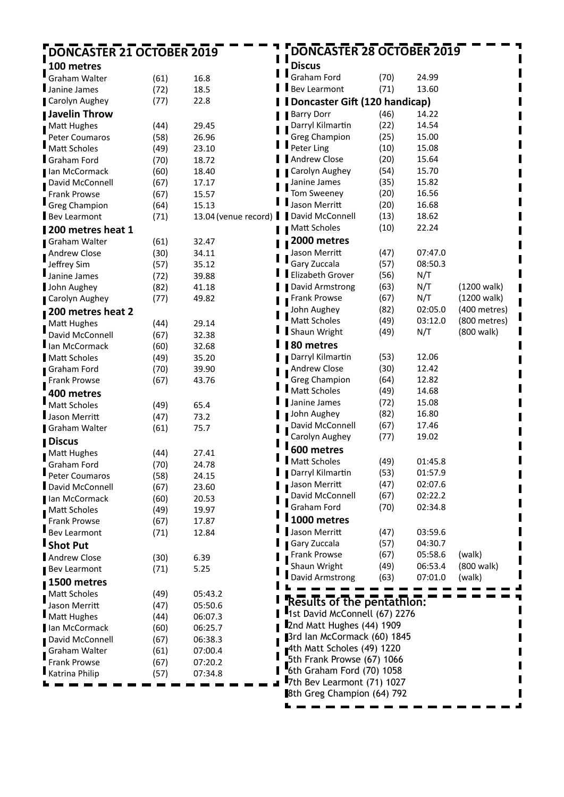| <b>DONCASTER 21 OCTOBER 2019</b> |              |                      | DONCASTER 28 OCTOBER 2019                                |      |         |              |
|----------------------------------|--------------|----------------------|----------------------------------------------------------|------|---------|--------------|
| 100 metres                       |              |                      | <b>Discus</b>                                            |      |         |              |
| Graham Walter                    | (61)         | п<br>16.8            | Graham Ford                                              | (70) | 24.99   |              |
| Janine James                     | (72)         | 18.5                 | <b>Bev Learmont</b>                                      | (71) | 13.60   |              |
| <b>Carolyn Aughey</b>            | (77)         | 22.8                 | Doncaster Gift (120 handicap)                            |      |         |              |
| ∎ Javelin Throw                  |              |                      |                                                          | (46) | 14.22   |              |
|                                  |              |                      | <b>Barry Dorr</b><br>Darryl Kilmartin                    | (22) | 14.54   |              |
| Matt Hughes<br>Peter Coumaros    | (44)<br>(58) | 29.45<br>26.96       | <b>Greg Champion</b>                                     | (25) | 15.00   |              |
| Matt Scholes                     | (49)         | 23.10                | Peter Ling                                               | (10) | 15.08   |              |
| Graham Ford                      | (70)         | 18.72                | <b>Andrew Close</b>                                      | (20) | 15.64   |              |
| Ian McCormack                    | (60)         | 18.40                | Carolyn Aughey                                           | (54) | 15.70   |              |
| David McConnell                  | (67)         | 17.17                | Janine James                                             | (35) | 15.82   |              |
| Frank Prowse                     | (67)         | 15.57                | Tom Sweeney                                              | (20) | 16.56   |              |
| <b>Greg Champion</b>             | (64)         | 15.13                | Jason Merritt                                            | (20) | 16.68   |              |
| <b>Bev Learmont</b>              | (71)         | 13.04 (venue record) | David McConnell<br>п                                     | (13) | 18.62   |              |
| 200 metres heat 1                |              |                      | Matt Scholes                                             | (10) | 22.24   |              |
| Graham Walter                    | (61)         | 32.47                | 2000 metres                                              |      |         |              |
| Andrew Close                     | (30)         | 34.11                | Jason Merritt                                            | (47) | 07:47.0 |              |
| Jeffrey Sim                      | (57)         | 35.12                | Gary Zuccala                                             | (57) | 08:50.3 |              |
| Janine James                     | (72)         | 39.88                | Elizabeth Grover                                         | (56) | N/T     |              |
| John Aughey                      | (82)         | 41.18                | David Armstrong                                          | (63) | N/T     | (1200 walk)  |
| Carolyn Aughey                   | (77)         | 49.82                | Frank Prowse                                             | (67) | N/T     | (1200 walk)  |
| 200 metres heat 2                |              |                      | John Aughey                                              | (82) | 02:05.0 | (400 metres) |
| Matt Hughes                      | (44)         | 29.14                | Matt Scholes                                             | (49) | 03:12.0 | (800 metres) |
| David McConnell                  | (67)         | 32.38                | Shaun Wright                                             | (49) | N/T     | (800 walk)   |
| lan McCormack                    | (60)         | 32.68                | 80 metres                                                |      |         |              |
| <b>Matt Scholes</b>              | (49)         | 35.20                | Darryl Kilmartin                                         | (53) | 12.06   |              |
| Graham Ford                      | (70)         | 39.90                | Andrew Close                                             | (30) | 12.42   |              |
| Frank Prowse                     | (67)         | 43.76                | <b>Greg Champion</b>                                     | (64) | 12.82   |              |
| 400 metres                       |              |                      | <b>Matt Scholes</b>                                      | (49) | 14.68   |              |
| Matt Scholes                     | (49)         | 65.4                 | Janine James                                             | (72) | 15.08   |              |
| Jason Merritt                    | (47)         | 73.2                 | John Aughey                                              | (82) | 16.80   |              |
| <b>Graham Walter</b>             | (61)         | 75.7                 | David McConnell                                          | (67) | 17.46   |              |
| <b>Discus</b>                    |              |                      | Carolyn Aughey                                           | (77) | 19.02   |              |
| <b>Matt Hughes</b>               | (44)         | 27.41                | 600 metres                                               |      |         |              |
| Graham Ford                      | (70)         | 24.78                | Matt Scholes                                             | (49) | 01:45.8 |              |
| Peter Coumaros                   | (58)         | 24.15                | Darryl Kilmartin                                         | (53) | 01:57.9 |              |
| David McConnell                  | (67)         | 23.60                | Jason Merritt                                            | (47) | 02:07.6 |              |
| Ian McCormack                    | (60)         | 20.53                | David McConnell                                          | (67) | 02:22.2 |              |
| Matt Scholes                     | (49)         | 19.97                | Graham Ford                                              | (70) | 02:34.8 |              |
| Frank Prowse                     | (67)         | 17.87                | I 1000 metres                                            |      |         |              |
| <b>Bev Learmont</b>              | (71)         | 12.84                | Jason Merritt                                            | (47) | 03:59.6 |              |
| Shot Put                         |              |                      | Gary Zuccala                                             | (57) | 04:30.7 |              |
| <b>Andrew Close</b>              | (30)         | 6.39                 | Frank Prowse                                             | (67) | 05:58.6 | (walk)       |
| <b>Bev Learmont</b>              | (71)         | 5.25                 | Shaun Wright                                             | (49) | 06:53.4 | (800 walk)   |
| 1500 metres                      |              |                      | David Armstrong                                          | (63) | 07:01.0 | (walk)       |
| Matt Scholes                     | (49)         | 05:43.2              |                                                          |      |         |              |
| Jason Merritt                    | (47)         | 05:50.6              | <b>Results of the pentathion:</b>                        |      |         |              |
| Matt Hughes                      | (44)         | 06:07.3              | 1st David McConnell (67) 2276                            |      |         |              |
| lan McCormack                    | (60)         | 06:25.7              | 2nd Matt Hughes (44) 1909                                |      |         |              |
| David McConnell                  | (67)         | 06:38.3              | 3rd Ian McCormack (60) 1845                              |      |         |              |
| Graham Walter                    | (61)         | 07:00.4              | 4th Matt Scholes (49) 1220<br>5th Frank Prowse (67) 1066 |      |         |              |
| <b>Frank Prowse</b>              | (67)         | 07:20.2              | 6th Graham Ford (70) 1058                                |      |         |              |
| Katrina Philip                   | (57)         | 07:34.8              | 7th Bev Learmont (71) 1027                               |      |         |              |
|                                  |              |                      | 8th Greg Champion (64) 792                               |      |         |              |
|                                  |              |                      |                                                          |      |         |              |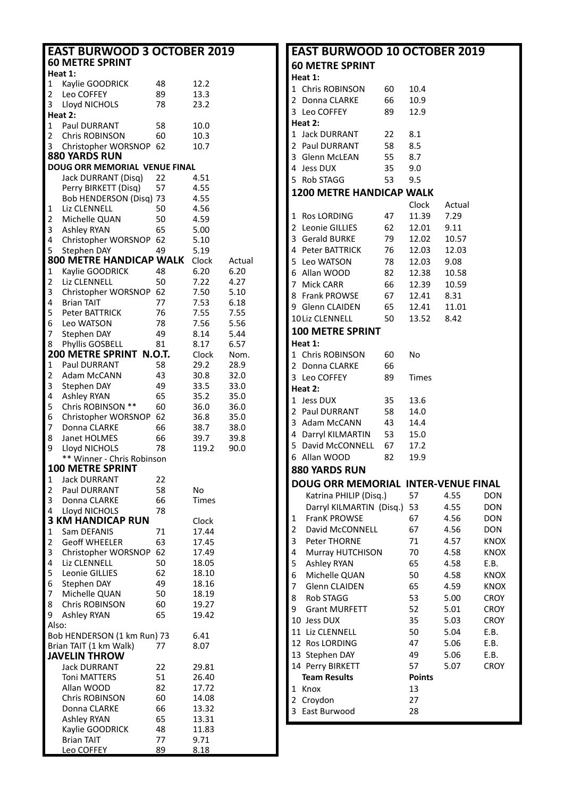|                         | <b>EAST BURWOOD 3 OCTOBER 2019</b><br><b>60 METRE SPRINT</b> |    |       |        |
|-------------------------|--------------------------------------------------------------|----|-------|--------|
|                         | Heat 1:                                                      |    |       |        |
| 1                       | Kaylie GOODRICK                                              | 48 | 12.2  |        |
| 2                       | Leo COFFEY                                                   | 89 | 13.3  |        |
| 3                       | Lloyd NICHOLS                                                | 78 | 23.2  |        |
|                         | Heat 2:                                                      |    |       |        |
|                         |                                                              |    |       |        |
| $\mathbf{1}$            | Paul DURRANT                                                 | 58 | 10.0  |        |
| 2                       | <b>Chris ROBINSON</b>                                        | 60 | 10.3  |        |
| 3                       | Christopher WORSNOP                                          | 62 | 10.7  |        |
|                         | 880 YARDS RUN                                                |    |       |        |
|                         | DOUG ORR MEMORIAL VENUE FINAL                                |    |       |        |
|                         | Jack DURRANT (Disq)                                          | 22 | 4.51  |        |
|                         | Perry BIRKETT (Disq)                                         | 57 | 4.55  |        |
|                         | Bob HENDERSON (Disq) 73                                      |    | 4.55  |        |
| 1                       | Liz CLENNELL                                                 | 50 | 4.56  |        |
| 2                       | Michelle QUAN                                                | 50 | 4.59  |        |
| 3                       |                                                              | 65 |       |        |
|                         | Ashley RYAN                                                  |    | 5.00  |        |
| 4                       | Christopher WORSNOP                                          | 62 | 5.10  |        |
| 5                       | Stephen DAY                                                  | 49 | 5.19  |        |
|                         | <b>800 METRE HANDICAP WALK</b>                               |    | Clock | Actual |
| $\mathbf{1}$            | Kaylie GOODRICK                                              | 48 | 6.20  | 6.20   |
| 2                       | Liz CLENNELL                                                 | 50 | 7.22  | 4.27   |
| 3                       | Christopher WORSNOP                                          | 62 | 7.50  | 5.10   |
| 4                       | <b>Brian TAIT</b>                                            | 77 | 7.53  | 6.18   |
| 5                       | <b>Peter BATTRICK</b>                                        | 76 | 7.55  | 7.55   |
| 6                       | Leo WATSON                                                   | 78 | 7.56  | 5.56   |
|                         |                                                              |    |       |        |
| 7                       | Stephen DAY                                                  | 49 | 8.14  | 5.44   |
| 8                       | Phyllis GOSBELL                                              | 81 | 8.17  | 6.57   |
|                         | 200 METRE SPRINT N.O.T.                                      |    | Clock | Nom.   |
| $\mathbf{1}$            | Paul DURRANT                                                 | 58 | 29.2  | 28.9   |
| 2                       | Adam McCANN                                                  | 43 | 30.8  | 32.0   |
| 3                       | Stephen DAY                                                  | 49 | 33.5  | 33.0   |
| 4                       | Ashley RYAN                                                  | 65 | 35.2  | 35.0   |
| 5                       | Chris ROBINSON **                                            | 60 | 36.0  | 36.0   |
| 6                       | Christopher WORSNOP                                          | 62 | 36.8  | 35.0   |
| 7                       |                                                              |    |       |        |
|                         | Donna CLARKE                                                 | 66 | 38.7  | 38.0   |
| 8                       | Janet HOLMES                                                 | 66 | 39.7  | 39.8   |
| 9                       | Lloyd NICHOLS                                                | 78 | 119.2 | 90.0   |
|                         | ** Winner - Chris Robinson                                   |    |       |        |
|                         | 100 METRE SPRINT                                             |    |       |        |
| 1                       | Jack DURRANT                                                 | 22 |       |        |
| $\overline{\mathbf{c}}$ | Paul DURRANT                                                 | 58 | No    |        |
| 3                       | Donna CLARKE                                                 | 66 | Times |        |
| 4                       | Lloyd NICHOLS                                                | 78 |       |        |
|                         | <b>3 KM HANDICAP RUN</b>                                     |    | Clock |        |
| 1                       | Sam DEFANIS                                                  | 71 |       |        |
|                         |                                                              |    | 17.44 |        |
| 2                       | <b>Geoff WHEELER</b>                                         | 63 | 17.45 |        |
| 3                       | Christopher WORSNOP                                          | 62 | 17.49 |        |
| 4                       | Liz CLENNELL                                                 | 50 | 18.05 |        |
| 5                       | Leonie GILLIES                                               | 62 | 18.10 |        |
| 6                       | Stephen DAY                                                  | 49 | 18.16 |        |
| 7                       | Michelle QUAN                                                | 50 | 18.19 |        |
| 8                       | <b>Chris ROBINSON</b>                                        | 60 | 19.27 |        |
| 9                       | <b>Ashley RYAN</b>                                           | 65 | 19.42 |        |
|                         |                                                              |    |       |        |
| Also:                   |                                                              |    |       |        |
|                         | Bob HENDERSON (1 km Run) 73                                  |    | 6.41  |        |
|                         | Brian TAIT (1 km Walk)                                       | 77 | 8.07  |        |
|                         | <b>JAVELIN THROW</b>                                         |    |       |        |
|                         | <b>Jack DURRANT</b>                                          | 22 | 29.81 |        |
|                         | <b>Toni MATTERS</b>                                          | 51 | 26.40 |        |
|                         | Allan WOOD                                                   | 82 | 17.72 |        |
|                         | Chris ROBINSON                                               | 60 | 14.08 |        |
|                         |                                                              |    |       |        |
|                         | Donna CLARKE                                                 | 66 | 13.32 |        |
|                         | <b>Ashley RYAN</b>                                           | 65 | 13.31 |        |
|                         | Kaylie GOODRICK                                              | 48 | 11.83 |        |
|                         | <b>Brian TAIT</b>                                            | 77 | 9.71  |        |
|                         | <b>Leo COFFEY</b>                                            | 89 | 8.18  |        |

|              | <b>EAST BURWOOD 10 OCTOBER 2019</b> |      |               |        |             |
|--------------|-------------------------------------|------|---------------|--------|-------------|
|              | <b>60 METRE SPRINT</b>              |      |               |        |             |
|              | Heat 1:                             |      |               |        |             |
|              | 1 Chris ROBINSON                    | 60   | 10.4          |        |             |
|              | 2 Donna CLARKE                      | 66   | 10.9          |        |             |
|              | 3 Leo COFFEY                        | 89   | 12.9          |        |             |
|              | Heat 2:                             |      |               |        |             |
|              | 1 Jack DURRANT                      | 22   | 8.1           |        |             |
|              | 2 Paul DURRANT                      | 58   | 8.5           |        |             |
| 3            | Glenn McLEAN                        | 55   | 8.7           |        |             |
|              | 4 Jess DUX                          | 35   | 9.0           |        |             |
|              | 5 Rob STAGG                         | 53   | 9.5           |        |             |
|              | <b>1200 METRE HANDICAP WALK</b>     |      |               |        |             |
|              |                                     |      | Clock         | Actual |             |
| $\mathbf{1}$ | Ros LORDING                         | 47   | 11.39         | 7.29   |             |
|              | 2 Leonie GILLIES                    | 62   | 12.01         | 9.11   |             |
|              | 3 Gerald BURKE                      | 79   | 12.02         | 10.57  |             |
|              | 4 Peter BATTRICK                    | 76   | 12.03         | 12.03  |             |
|              | 5 Leo WATSON                        | 78   | 12.03         | 9.08   |             |
| 6            | Allan WOOD                          | 82   | 12.38         | 10.58  |             |
| 7            | Mick CARR                           | 66   | 12.39         | 10.59  |             |
| 8            | Frank PROWSE                        | 67 — | 12.41         | 8.31   |             |
|              | 9 Glenn CLAIDEN                     | 65   | 12.41         | 11.01  |             |
|              | 10Liz CLENNELL                      | 50   | 13.52         | 8.42   |             |
|              |                                     |      |               |        |             |
|              | <b>100 METRE SPRINT</b>             |      |               |        |             |
|              | Heat 1:                             |      |               |        |             |
|              | 1 Chris ROBINSON                    | 60   | No            |        |             |
|              | 2 Donna CLARKE                      | 66   |               |        |             |
|              | 3 Leo COFFEY                        | 89   | Times         |        |             |
|              | Heat 2:                             |      |               |        |             |
|              | 1 Jess DUX                          | 35   | 13.6          |        |             |
|              | 2 Paul DURRANT                      | 58   | 14.0          |        |             |
|              | 3 Adam McCANN                       | 43   | 14.4          |        |             |
|              | 4 Darryl KILMARTIN 53               |      | 15.0          |        |             |
|              | 5 David McCONNELL 67                |      | 17.2          |        |             |
|              | 6 Allan WOOD                        | 82   | 19.9          |        |             |
|              | <b>880 YARDS RUN</b>                |      |               |        |             |
|              | DOUG ORR MEMORIAL INTER-VENUE FINAL |      |               |        |             |
|              | Katrina PHILIP (Disq.)              |      | 57            | 4.55   | <b>DON</b>  |
|              | Darryl KILMARTIN (Disq.)            |      | 53            | 4.55   | <b>DON</b>  |
| 1            | <b>FranK PROWSE</b>                 |      | 67            | 4.56   | <b>DON</b>  |
| 2            | David McCONNELL                     |      | 67            | 4.56   | <b>DON</b>  |
| 3            | Peter THORNE                        |      | 71            | 4.57   | <b>KNOX</b> |
| 4            | Murray HUTCHISON                    |      | 70            | 4.58   | <b>KNOX</b> |
| 5            | <b>Ashley RYAN</b>                  |      | 65            | 4.58   | E.B.        |
| 6            | Michelle QUAN                       |      | 50            | 4.58   | <b>KNOX</b> |
| 7            | <b>Glenn CLAIDEN</b>                |      | 65            | 4.59   | <b>KNOX</b> |
| 8            | <b>Rob STAGG</b>                    |      | 53            | 5.00   | <b>CROY</b> |
| 9            | <b>Grant MURFETT</b>                |      | 52            | 5.01   | <b>CROY</b> |
| 10           | Jess DUX                            |      | 35            | 5.03   | <b>CROY</b> |
| 11           | Liz CLENNELL                        |      | 50            | 5.04   | E.B.        |
| 12           | Ros LORDING                         |      | 47            | 5.06   | E.B.        |
| 13           | Stephen DAY                         |      | 49            | 5.06   | E.B.        |
|              | 14 Perry BIRKETT                    |      | 57            | 5.07   | <b>CROY</b> |
|              | <b>Team Results</b>                 |      | <b>Points</b> |        |             |
| 1            | Knox                                |      | 13            |        |             |
| 2            | Croydon                             |      | 27            |        |             |
| 3            | East Burwood                        |      | 28            |        |             |
|              |                                     |      |               |        |             |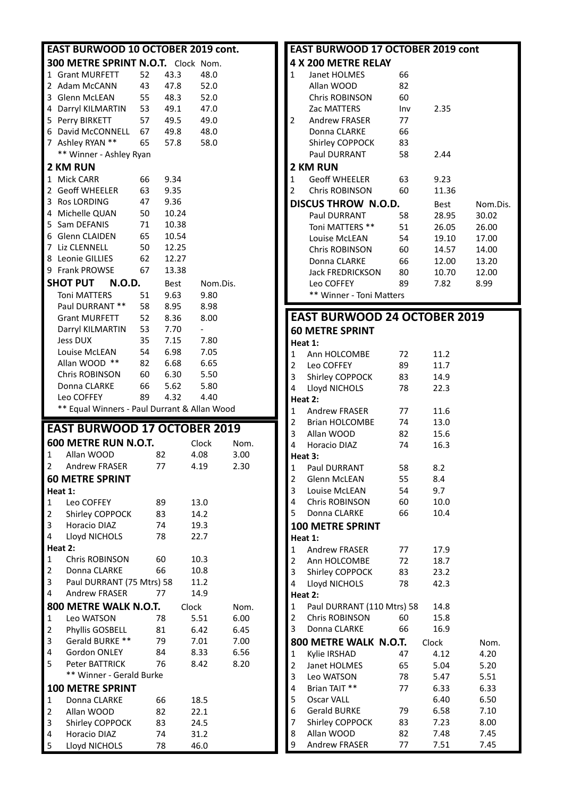|                         | EAST BURWOOD 10 OCTOBER 2019 cont.           |          |                |              |      |
|-------------------------|----------------------------------------------|----------|----------------|--------------|------|
|                         | 300 METRE SPRINT N.O.T. Clock Nom.           |          |                |              |      |
| 1                       | <b>Grant MURFETT</b>                         | 52       | 43.3           | 48.0         |      |
| 2                       | Adam McCANN                                  | 43       | 47.8           | 52.0         |      |
| 3                       | Glenn McLEAN                                 | 55       | 48.3           | 52.0         |      |
| 4                       | Darryl KILMARTIN 53                          |          | 49.1           | 47.0         |      |
| 5                       | Perry BIRKETT                                | 57       | 49.5           | 49.0         |      |
| 6                       | David McCONNELL 67                           |          | 49.8           | 48.0         |      |
| 7                       | Ashley RYAN **                               | 65       | 57.8           | 58.0         |      |
|                         | ** Winner - Ashley Ryan                      |          |                |              |      |
|                         | 2 KM RUN                                     |          |                |              |      |
| 1                       | <b>Mick CARR</b>                             | 66       | 9.34           |              |      |
| 2                       | <b>Geoff WHEELER</b>                         | 63       | 9.35           |              |      |
| 3<br>4                  | <b>Ros LORDING</b>                           | 47       | 9.36           |              |      |
| 5                       | Michelle QUAN<br>Sam DEFANIS                 | 50<br>71 | 10.24<br>10.38 |              |      |
| 6                       | <b>Glenn CLAIDEN</b>                         | 65       | 10.54          |              |      |
| 7                       | Liz CLENNELL                                 | 50       | 12.25          |              |      |
| 8                       | Leonie GILLIES                               | 62       | 12.27          |              |      |
|                         | 9 Frank PROWSE                               | 67       | 13.38          |              |      |
|                         | <b>SHOT PUT</b><br>N.O.D.                    |          | Best           | Nom.Dis.     |      |
|                         | <b>Toni MATTERS</b>                          | 51       | 9.63           | 9.80         |      |
|                         | Paul DURRANT **                              | 58       | 8.95           | 8.98         |      |
|                         | <b>Grant MURFETT</b>                         | 52       | 8.36           | 8.00         |      |
|                         | Darryl KILMARTIN                             | 53       | 7.70           |              |      |
|                         | Jess DUX                                     | 35       | 7.15           | 7.80         |      |
|                         | Louise McLEAN                                | 54       | 6.98           | 7.05         |      |
|                         | Allan WOOD **                                | 82       | 6.68           | 6.65         |      |
|                         | Chris ROBINSON                               | 60       | 6.30           | 5.50         |      |
|                         | Donna CLARKE                                 | 66       | 5.62           | 5.80         |      |
|                         |                                              |          |                |              |      |
|                         | Leo COFFEY                                   | 89       | 4.32           | 4.40         |      |
|                         | ** Equal Winners - Paul Durrant & Allan Wood |          |                |              |      |
|                         | <b>EAST BURWOOD 17 OCTOBER 2019</b>          |          |                |              |      |
|                         | 600 METRE RUN N.O.T.                         |          |                | Clock        | Nom. |
| 1                       | Allan WOOD                                   |          | 82             | 4.08         | 3.00 |
| 2                       | <b>Andrew FRASER</b>                         |          | 77             | 4.19         | 2.30 |
|                         | <b>60 METRE SPRINT</b>                       |          |                |              |      |
|                         | Heat 1:                                      |          |                |              |      |
| 1                       | Leo COFFEY                                   |          | 89             | 13.0         |      |
| $\overline{\mathbf{c}}$ | Shirley COPPOCK                              |          | 83             | 14.2         |      |
| 3                       | Horacio DIAZ                                 |          | 74             | 19.3         |      |
| 4                       | Lloyd NICHOLS<br>Heat 2:                     |          | 78             | 22.7         |      |
| 1                       | <b>Chris ROBINSON</b>                        |          | 60             | 10.3         |      |
| $\overline{\mathbf{c}}$ | Donna CLARKE                                 |          | 66             | 10.8         |      |
| 3                       | Paul DURRANT (75 Mtrs) 58                    |          |                | 11.2         |      |
| 4                       | <b>Andrew FRASER</b>                         |          | 77             | 14.9         |      |
|                         | 800 METRE WALK N.O.T.                        |          |                | Clock        | Nom. |
| 1                       | Leo WATSON                                   |          | 78             | 5.51         | 6.00 |
| 2                       | Phyllis GOSBELL                              |          | 81             | 6.42         | 6.45 |
| 3                       | Gerald BURKE **                              |          | 79             | 7.01         | 7.00 |
| 4                       | <b>Gordon ONLEY</b>                          |          | 84             | 8.33         | 6.56 |
| 5                       | Peter BATTRICK                               |          | 76             | 8.42         | 8.20 |
|                         | ** Winner - Gerald Burke                     |          |                |              |      |
|                         | <b>100 METRE SPRINT</b>                      |          |                |              |      |
| 1                       | Donna CLARKE                                 |          | 66             | 18.5         |      |
| $\overline{\mathbf{c}}$ | Allan WOOD                                   |          | 82             | 22.1         |      |
| 3<br>4                  | Shirley COPPOCK<br><b>Horacio DIAZ</b>       |          | 83<br>74       | 24.5<br>31.2 |      |

#### **EAST BURWOOD 24 OCTOBER 2019 60 METRE SPRINT Heat 1:** 1 Ann HOLCOMBE 72 11.2 2 Leo COFFEY 89 11.7 3 Shirley COPPOCK 83 14.9 4 Lloyd NICHOLS 78 22.3 **Heat 2:** 1 Andrew FRASER 77 11.6 2 Brian HOLCOMBE 74 13.0 3 Allan WOOD 82 15.6 4 Horacio DIAZ 74 16.3 **Heat 3:** 1 Paul DURRANT 58 8.2 2 Glenn McLEAN 55 8.4 3 Louise McLEAN 54 9.7 4 Chris ROBINSON 60 10.0 5 Donna CLARKE 66 10.4 **100 METRE SPRINT Heat 1:** 1 Andrew FRASER 77 17.9 2 Ann HOLCOMBE 72 18.7 3 Shirley COPPOCK 83 23.2 4 Lloyd NICHOLS 78 42.3 **Heat 2:** 1 Paul DURRANT (110 Mtrs) 58 14.8 2 Chris ROBINSON 60 15.8 3 Donna CLARKE 66 16.9 **800 METRE WALK N.O.T.** Clock Nom. 1 Kylie IRSHAD 47 4.12 4.20 2 Janet HOLMES 65 5.04 5.20 3 Leo WATSON 78 5.47 5.51 4 Brian TAIT \*\* 77 6.33 6.33 5 Oscar VALL 6.40 6.50<br>16 Gerald BURKE 79 6.58 7.10 6 Gerald BURKE 79 6.58 7.10 7 Shirley COPPOCK 83 7.23 8.00 8 Allan WOOD 82 7.48 7.45 9 Andrew FRASER 77 7.51 7.45 **EAST BURWOOD 17 OCTOBER 2019 cont 4 X 200 METRE RELAY**  1 Janet HOLMES 66 Allan WOOD 82 Chris ROBINSON 60 Zac MATTERS Inv 2.35 2 Andrew FRASER 77 Donna CLARKE 66 Shirley COPPOCK 83 Paul DURRANT 58 2.44 **2 KM RUN**  1 Geoff WHEELER 63 9.23 2 Chris ROBINSON 60 11.36 **DISCUS THROW N.O.D.** Best Nom.Dis.<br>Paul DURRANT 58 28.95 30.02 Paul DURRANT Toni MATTERS \*\* 51 26.05 26.00 Louise McLEAN 54 19.10 17.00 Chris ROBINSON 60 14.57 14.00 Donna CLARKE 66 12.00 13.20 Jack FREDRICKSON 80 10.70 12.00 Leo COFFEY 89 7.82 8.99 \*\* Winner - Toni Matters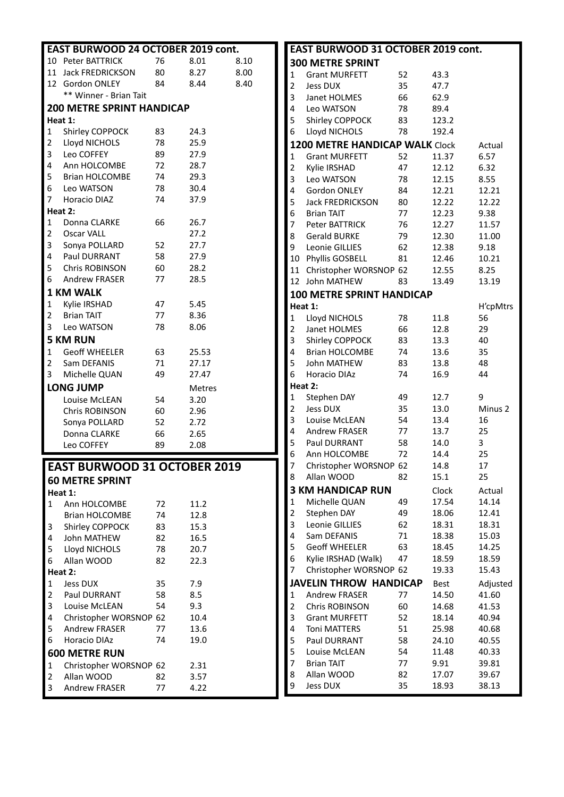|                | EAST BURWOOD 24 OCTOBER 2019 cont. |    |               |      |
|----------------|------------------------------------|----|---------------|------|
|                | 10 Peter BATTRICK                  | 76 | 8.01          | 8.10 |
| 11             | Jack FREDRICKSON                   | 80 | 8.27          | 8.00 |
| 12             | Gordon ONLEY                       | 84 | 8.44          | 8.40 |
|                | ** Winner - Brian Tait             |    |               |      |
|                | <b>200 METRE SPRINT HANDICAP</b>   |    |               |      |
|                | Heat 1:                            |    |               |      |
| 1              | Shirley COPPOCK                    | 83 | 24.3          |      |
| 2              | Lloyd NICHOLS                      | 78 | 25.9          |      |
| 3              | Leo COFFEY                         | 89 | 27.9          |      |
| 4              | Ann HOLCOMBE                       | 72 | 28.7          |      |
| 5 <sup>7</sup> | <b>Brian HOLCOMBE</b>              | 74 | 29.3          |      |
| 6              | Leo WATSON                         | 78 | 30.4          |      |
| 7              | <b>Horacio DIAZ</b>                | 74 | 37.9          |      |
|                | Heat 2:                            |    |               |      |
| $\mathbf 1$    | Donna CLARKE                       | 66 | 26.7          |      |
| 2              | <b>Oscar VALL</b>                  |    | 27.2          |      |
| 3              | Sonya POLLARD                      | 52 | 27.7          |      |
| 4              | <b>Paul DURRANT</b>                | 58 | 27.9          |      |
| 5              | Chris ROBINSON                     | 60 | 28.2          |      |
| 6              | Andrew FRASER                      | 77 | 28.5          |      |
|                | <b>1 KM WALK</b>                   |    |               |      |
| $\mathbf{1}$   | Kylie IRSHAD                       | 47 | 5.45          |      |
| 2              | <b>Brian TAIT</b>                  | 77 | 8.36          |      |
| 3              | Leo WATSON                         | 78 | 8.06          |      |
|                | <b>5 KM RUN</b>                    |    |               |      |
| $\mathbf{1}$   | <b>Geoff WHEELER</b>               | 63 | 25.53         |      |
| 2              | Sam DEFANIS                        | 71 | 27.17         |      |
| 3              | Michelle QUAN                      | 49 | 27.47         |      |
|                | <b>LONG JUMP</b>                   |    | <b>Metres</b> |      |
|                | Louise McLEAN                      | 54 | 3.20          |      |
|                | <b>Chris ROBINSON</b>              | 60 | 2.96          |      |
|                | Sonya POLLARD                      | 52 | 2.72          |      |
|                | Donna CLARKE                       | 66 | 2.65          |      |
|                | Leo COFFEY                         | 89 | 2.08          |      |
|                |                                    |    |               |      |
|                | EAST BURWOOD 31 OCTOBER 2019       |    |               |      |
|                | <b>60 METRE SPRINT</b>             |    |               |      |
|                | Heat 1:                            |    |               |      |
| 1              | Ann HOLCOMBE                       | 72 | 11.2          |      |
|                | <b>Brian HOLCOMBE</b>              | 74 | 12.8          |      |
| 3              | Shirley COPPOCK                    | 83 | 15.3          |      |
| 4              | John MATHEW                        | 82 | 16.5          |      |
| 5              | Lloyd NICHOLS                      | 78 | 20.7          |      |
| 6              | Allan WOOD                         | 82 | 22.3          |      |
|                | Heat 2:                            |    |               |      |
| 1              | <b>Jess DUX</b>                    | 35 | 7.9           |      |
|                | Paul DURRANT                       | 58 | 8.5           |      |
| $\overline{2}$ |                                    |    |               |      |
| 3              | Louise McLEAN                      | 54 | 9.3           |      |
| 4              | Christopher WORSNOP 62             |    | 10.4          |      |
| 5              | <b>Andrew FRASER</b>               | 77 | 13.6          |      |
| 6              | Horacio DIAz                       | 74 | 19.0          |      |
|                | <b>600 METRE RUN</b>               |    |               |      |
| 1              | Christopher WORSNOP 62             |    | 2.31          |      |
| $\overline{2}$ | Allan WOOD                         | 82 | 3.57          |      |

| EAST BURWOOD 31 OCTOBER 2019 cont. |                                  |        |       |                    |
|------------------------------------|----------------------------------|--------|-------|--------------------|
|                                    | <b>300 METRE SPRINT</b>          |        |       |                    |
| 1                                  | <b>Grant MURFETT</b>             | 52     | 43.3  |                    |
| 2                                  | Jess DUX                         | 35     | 47.7  |                    |
| 3                                  | Janet HOLMES                     | 66     | 62.9  |                    |
| 4                                  | Leo WATSON                       | 78     | 89.4  |                    |
| 5                                  | Shirley COPPOCK                  | 83     | 123.2 |                    |
| 6                                  | Lloyd NICHOLS                    | 78     | 192.4 |                    |
|                                    | 1200 METRE HANDICAP WALK Clock   |        |       | Actual             |
| 1                                  | <b>Grant MURFETT</b>             | 52     | 11.37 | 6.57               |
| $\overline{\mathbf{c}}$            | Kylie IRSHAD                     | 47     | 12.12 | 6.32               |
| 3                                  | Leo WATSON                       | 78     | 12.15 | 8.55               |
| 4                                  | Gordon ONLEY                     | 84     | 12.21 | 12.21              |
| 5                                  | <b>Jack FREDRICKSON</b>          | 80     | 12.22 | 12.22              |
| 6                                  | <b>Brian TAIT</b>                | 77     | 12.23 | 9.38               |
| 7                                  | Peter BATTRICK                   | 76     | 12.27 | 11.57              |
| 8                                  | <b>Gerald BURKE</b>              | 79     | 12.30 | 11.00              |
| 9                                  | Leonie GILLIES                   | 62     | 12.38 | 9.18               |
| 10                                 | Phyllis GOSBELL                  | 81     | 12.46 | 10.21              |
| 11                                 | Christopher WORSNOP 62           |        | 12.55 | 8.25               |
| 12                                 | John MATHEW                      | 83     | 13.49 | 13.19              |
|                                    | <b>100 METRE SPRINT HANDICAP</b> |        |       |                    |
|                                    | Heat 1:                          |        |       | H'cpMtrs           |
| 1                                  | Lloyd NICHOLS                    | 78     | 11.8  | 56                 |
| 2                                  | Janet HOLMES                     | 66     | 12.8  | 29                 |
| 3                                  | Shirley COPPOCK                  | 83     | 13.3  | 40                 |
| 4                                  | <b>Brian HOLCOMBE</b>            | 74     | 13.6  | 35                 |
| 5                                  | <b>John MATHEW</b>               | 83     | 13.8  | 48                 |
| 6                                  | Horacio DIAz                     | 74     | 16.9  | 44                 |
|                                    | Heat 2:                          |        |       |                    |
| 1                                  | Stephen DAY                      | 49     | 12.7  | 9                  |
| 2                                  | <b>Jess DUX</b>                  | 35     | 13.0  | Minus <sub>2</sub> |
| 3                                  | Louise McLEAN                    | 54     | 13.4  | 16                 |
| 4                                  | <b>Andrew FRASER</b>             | 77     | 13.7  | 25                 |
| 5                                  | Paul DURRANT                     | 58     | 14.0  | 3                  |
| 6                                  | Ann HOLCOMBE                     | 72     | 14.4  | 25                 |
| 7                                  | Christopher WORSNOP 62           |        | 14.8  | 17                 |
| 8                                  | Allan WOOD                       | 82     | 15.1  | 25                 |
|                                    | <b>3 KM HANDICAP RUN</b>         |        | Clock | Actual             |
| 1                                  | Michelle QUAN                    | 49     | 17.54 | 14.14              |
| 2                                  | Stephen DAY                      | 49     | 18.06 | 12.41              |
| 3                                  | Leonie GILLIES                   | 62     | 18.31 | 18.31              |
| 4                                  | Sam DEFANIS                      | $71\,$ | 18.38 | 15.03              |
| 5                                  | <b>Geoff WHEELER</b>             | 63     | 18.45 | 14.25              |
| 6                                  | Kylie IRSHAD (Walk)              | 47     | 18.59 | 18.59              |
| 7                                  | Christopher WORSNOP 62           |        | 19.33 | 15.43              |
|                                    | <b>JAVELIN THROW HANDICAP</b>    |        | Best  | Adjusted           |
| 1                                  | <b>Andrew FRASER</b>             | 77     | 14.50 | 41.60              |
| $\overline{\mathbf{c}}$            | Chris ROBINSON                   | 60     | 14.68 | 41.53              |
| 3                                  | <b>Grant MURFETT</b>             | 52     | 18.14 | 40.94              |
| 4                                  | <b>Toni MATTERS</b>              | 51     | 25.98 | 40.68              |
| 5                                  | Paul DURRANT                     | 58     | 24.10 | 40.55              |
| 5                                  | Louise McLEAN                    | 54     | 11.48 | 40.33              |
| 7                                  | <b>Brian TAIT</b>                | 77     | 9.91  | 39.81              |
| 8                                  | Allan WOOD                       | 82     | 17.07 | 39.67              |
| 9                                  | Jess DUX                         | 35     | 18.93 | 38.13              |
|                                    |                                  |        |       |                    |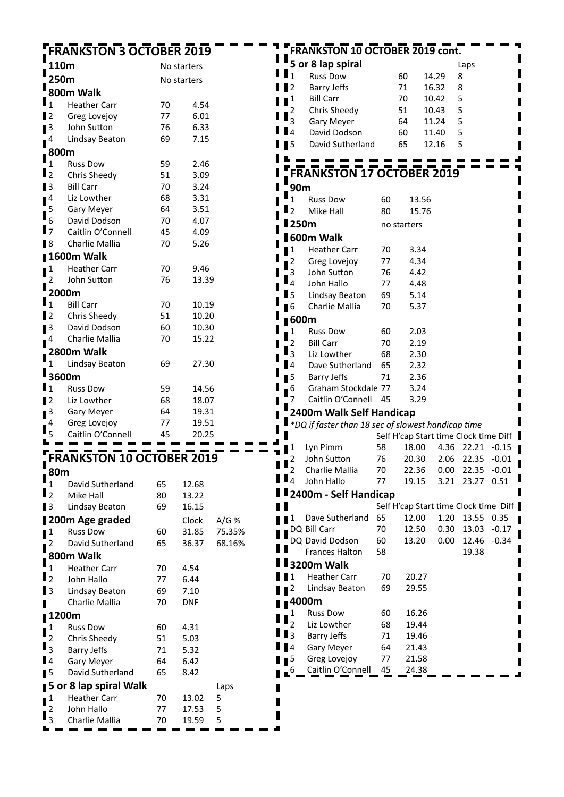## **FRANKSTON 3 OCTOBER 2019**

 $\sim$   $\sim$   $\sim$ 

 $\blacksquare$ п

|                     | 110m                             |    | No starters |  |  |
|---------------------|----------------------------------|----|-------------|--|--|
|                     | 250m                             |    | No starters |  |  |
|                     | 800m Walk                        |    |             |  |  |
| l $_{1}$            | <b>Heather Carr</b>              | 70 | 4.54        |  |  |
| l 2                 | Greg Lovejoy                     | 77 | 6.01        |  |  |
| 3                   | John Sutton                      | 76 | 6.33        |  |  |
| 4                   | Lindsay Beaton                   | 69 | 7.15        |  |  |
| 800m                |                                  |    |             |  |  |
| 1                   | <b>Russ Dow</b>                  | 59 | 2.46        |  |  |
| $\overline{2}$      | Chris Sheedy                     | 51 | 3.09        |  |  |
| 3                   | <b>Bill Carr</b>                 | 70 | 3.24        |  |  |
| 4                   | Liz Lowther                      | 68 | 3.31        |  |  |
| 5                   | <b>Gary Meyer</b>                | 64 | 3.51        |  |  |
| 6                   | David Dodson                     | 70 | 4.07        |  |  |
| $\mathsf I$ 7       | Caitlin O'Connell                | 45 | 4.09        |  |  |
| $\blacksquare$      | Charlie Mallia                   | 70 | 5.26        |  |  |
|                     | 1600m Walk                       |    |             |  |  |
| $\mathbf{1}$        | <b>Heather Carr</b>              | 70 | 9.46        |  |  |
| 2                   | John Sutton                      | 76 | 13.39       |  |  |
|                     | 2000m                            |    |             |  |  |
| 1                   | <b>Bill Carr</b>                 | 70 | 10.19       |  |  |
| $\overline{2}$<br>П | Chris Sheedy                     | 51 | 10.20       |  |  |
| $\blacksquare$      | David Dodson                     | 60 | 10.30       |  |  |
| 4                   | Charlie Mallia                   | 70 | 15.22       |  |  |
|                     | 2800m Walk                       |    |             |  |  |
| 1                   | Lindsay Beaton                   | 69 | 27.30       |  |  |
|                     | 3600m                            |    |             |  |  |
| $\mathbf{1}$        | <b>Russ Dow</b>                  | 59 | 14.56       |  |  |
| $\overline{2}$      | Liz Lowther                      | 68 | 18.07       |  |  |
| 3                   | Gary Meyer                       | 64 | 19.31       |  |  |
| 4                   | Greg Lovejoy                     | 77 | 19.51       |  |  |
| 5                   | Caitlin O'Connell                | 45 | 20.25       |  |  |
|                     |                                  |    |             |  |  |
|                     | <b>FRANKSTON 10 OCTOBER 2019</b> |    |             |  |  |
| 80m                 |                                  |    |             |  |  |
| 1                   | David Sutherland                 | 65 | 12.68       |  |  |

| $\mathbf{I}_1$ | David Sutherland       | 65 | 12.68      |        |
|----------------|------------------------|----|------------|--------|
| $\mathbf{I}_2$ | Mike Hall              | 80 | 13.22      |        |
| $\mathbf{I}$   | Lindsay Beaton         | 69 | 16.15      |        |
|                | ∎200m Age graded       |    | Clock      | A/G %  |
| 1<br>ı         | <b>Russ Dow</b>        | 60 | 31.85      | 75.35% |
| $\overline{2}$ | David Sutherland       | 65 | 36.37      | 68.16% |
|                | . 800m Walk            |    |            |        |
| ı<br>1         | <b>Heather Carr</b>    | 70 | 4.54       |        |
| $\mathbf{I}_2$ | John Hallo             | 77 | 6.44       |        |
| $\blacksquare$ | Lindsay Beaton         | 69 | 7.10       |        |
| ı              | Charlie Mallia         | 70 | <b>DNF</b> |        |
|                | 1200m                  |    |            |        |
| $\frac{1}{2}$  | <b>Russ Dow</b>        | 60 | 4.31       |        |
|                | Chris Sheedy           | 51 | 5.03       |        |
| $\mathbf{I}_3$ | Barry Jeffs            | 71 | 5.32       |        |
| $\blacksquare$ | <b>Gary Meyer</b>      | 64 | 6.42       |        |
| 15             | David Sutherland       | 65 | 8.42       |        |
|                | 5 or 8 lap spiral Walk |    |            | Laps   |
| $\mathbf{I}^1$ | <b>Heather Carr</b>    | 70 | 13.02      | 5      |
| $\overline{2}$ | John Hallo             | 77 | 17.53      | 5      |
| $\mathbf{I}_3$ | Charlie Mallia         | 70 | 19.59      | 5      |
|                |                        |    |            |        |

|   |                         | <b>FRANKSTON 10 OCTOBER 2019 cont.</b>             |    |             |       |      |                  |                                       |
|---|-------------------------|----------------------------------------------------|----|-------------|-------|------|------------------|---------------------------------------|
|   |                         | 5 or 8 lap spiral                                  |    |             |       |      |                  |                                       |
|   | 1                       |                                                    |    |             |       |      | Laps             |                                       |
|   |                         | <b>Russ Dow</b>                                    |    | 60          | 14.29 | 8    |                  |                                       |
|   | 2                       | <b>Barry Jeffs</b>                                 |    | 71          | 16.32 | 8    |                  |                                       |
|   | 1                       | <b>Bill Carr</b>                                   |    | 70          | 10.42 | 5    |                  |                                       |
|   | $\overline{\mathbf{c}}$ | Chris Sheedy                                       |    | 51          | 10.43 | 5    |                  |                                       |
|   | 3                       | Gary Meyer                                         |    | 64          | 11.24 | 5    |                  |                                       |
|   | 4                       | David Dodson                                       |    | 60          | 11.40 | 5    |                  |                                       |
|   | 5                       | David Sutherland                                   |    | 65          | 12.16 | 5    |                  |                                       |
|   |                         |                                                    |    |             |       |      |                  |                                       |
|   |                         | <b>FRANKSTON 17 OCTOBER 2019</b>                   |    |             |       |      |                  |                                       |
|   | 90m                     |                                                    |    |             |       |      |                  |                                       |
|   | 1                       | <b>Russ Dow</b>                                    | 60 | 13.56       |       |      |                  |                                       |
|   | $\overline{2}$          | Mike Hall                                          | 80 | 15.76       |       |      |                  |                                       |
|   | l 250m                  |                                                    |    | no starters |       |      |                  |                                       |
|   |                         | <b>1600m Walk</b>                                  |    |             |       |      |                  |                                       |
|   | 1                       | <b>Heather Carr</b>                                | 70 | 3.34        |       |      |                  |                                       |
|   | 2                       | Greg Lovejoy                                       | 77 | 4.34        |       |      |                  |                                       |
|   | 3                       | John Sutton                                        | 76 | 4.42        |       |      |                  |                                       |
|   | 4                       | John Hallo                                         | 77 | 4.48        |       |      |                  |                                       |
|   | l 5                     | Lindsay Beaton                                     | 69 | 5.14        |       |      |                  |                                       |
|   | l 6                     | Charlie Mallia                                     | 70 | 5.37        |       |      |                  |                                       |
|   |                         |                                                    |    |             |       |      |                  |                                       |
|   | 600m                    |                                                    |    |             |       |      |                  |                                       |
|   | 1                       | <b>Russ Dow</b>                                    | 60 | 2.03        |       |      |                  |                                       |
| п | $\overline{2}$          | <b>Bill Carr</b>                                   | 70 | 2.19        |       |      |                  |                                       |
|   | 3                       | Liz Lowther                                        | 68 | 2.30        |       |      |                  |                                       |
| ı | <b>4</b>                | Dave Sutherland                                    | 65 | 2.32        |       |      |                  |                                       |
|   | 15                      | <b>Barry Jeffs</b>                                 | 71 | 2.36        |       |      |                  |                                       |
|   | 6                       | Graham Stockdale 77                                |    | 3.24        |       |      |                  |                                       |
| п | 7                       | Caitlin O'Connell                                  | 45 | 3.29        |       |      |                  |                                       |
|   |                         | 2400m Walk Self Handicap                           |    |             |       |      |                  |                                       |
| п |                         | *DQ if faster than 18 sec of slowest handicap time |    |             |       |      |                  |                                       |
|   |                         |                                                    |    |             |       |      |                  | Self H'cap Start time Clock time Diff |
| ۷ |                         | Lyn Pimm                                           | 58 | 18.00       |       | 4.36 | 22.21            | $-0.15$                               |
|   | 2                       | John Sutton                                        | 76 |             |       |      | 20.30 2.06 22.35 | -0.01                                 |
|   | $\mathbf{P}_2$          | Charlie Mallia                                     | 70 | 22.36       |       | 0.00 | 22.35            | $-0.01$                               |
|   | $\mathbf{I}$            | John Hallo                                         | 77 | 19.15       |       | 3.21 | 23.27            | 0.51                                  |
|   |                         | 2400m - Self Handicap                              |    |             |       |      |                  |                                       |
|   |                         |                                                    |    |             |       |      |                  | Self H'cap Start time Clock time Diff |
|   | 1                       | Dave Sutherland                                    | 65 | 12.00       |       | 1.20 | 13.55            | 0.35                                  |
|   |                         | DQ Bill Carr                                       | 70 | 12.50       |       | 0.30 | 13.03            | $-0.17$                               |
|   |                         | DQ David Dodson                                    | 60 | 13.20       |       | 0.00 | 12.46            | $-0.34$                               |
| П |                         | <b>Frances Halton</b>                              | 58 |             |       |      | 19.38            |                                       |
|   |                         | <b>3200m Walk</b>                                  |    |             |       |      |                  |                                       |
|   | $\mathbf 1$             | <b>Heather Carr</b>                                | 70 | 20.27       |       |      |                  |                                       |
|   | 2                       | Lindsay Beaton                                     | 69 | 29.55       |       |      |                  |                                       |
|   |                         | ∎4000m                                             |    |             |       |      |                  |                                       |
|   | 1                       | <b>Russ Dow</b>                                    | 60 | 16.26       |       |      |                  |                                       |
|   | $\overline{2}$          | Liz Lowther                                        | 68 | 19.44       |       |      |                  |                                       |
|   | $\overline{3}$          | Barry Jeffs                                        | 71 | 19.46       |       |      |                  |                                       |
|   | 4                       | Gary Meyer                                         | 64 | 21.43       |       |      |                  |                                       |
|   | 5                       | Greg Lovejoy                                       | 77 | 21.58       |       |      |                  |                                       |
|   | $\overline{6}$          | Caitlin O'Connell                                  | 45 | 24.38       |       |      |                  |                                       |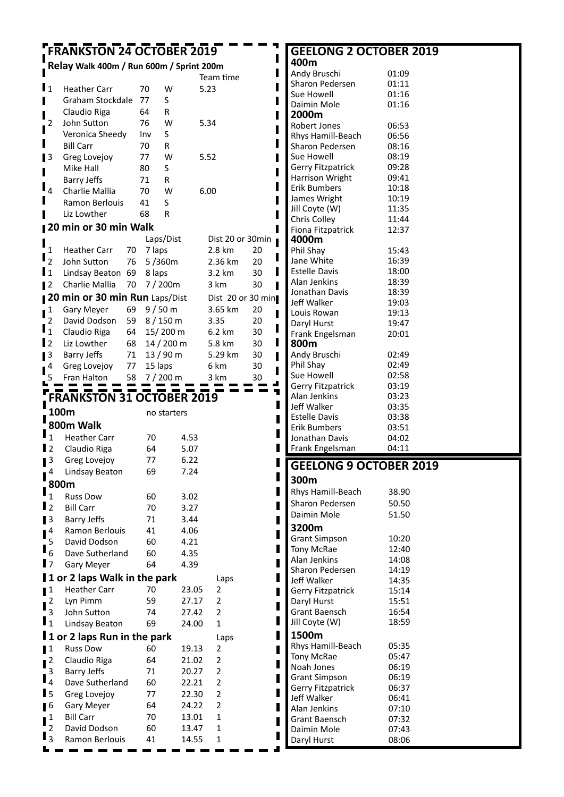#### **FRANKSTON 24 OCTOBER 2019** ſ

### **Relay Walk 400m / Run 600m / Sprint 200m**

|                                                                 |                                  |         |                    | Team time               |    |
|-----------------------------------------------------------------|----------------------------------|---------|--------------------|-------------------------|----|
| $\mathbf{I}_1$                                                  | <b>Heather Carr</b>              | 70      | w                  | 5.23                    |    |
| П                                                               | Graham Stockdale                 | 77      | S                  |                         |    |
| П                                                               | Claudio Riga                     | 64      | R                  |                         |    |
| 2                                                               | John Sutton                      | 76      | w                  | 5.34                    |    |
| П                                                               | Veronica Sheedy                  | Inv     | S                  |                         |    |
| Π                                                               | <b>Bill Carr</b>                 | 70      | R                  |                         |    |
| $\blacksquare$                                                  | Greg Lovejoy                     | 77      | w                  | 5.52                    |    |
| Π                                                               | Mike Hall                        | 80      | S                  |                         |    |
|                                                                 | Barry Jeffs                      | 71      | R                  |                         |    |
| 4                                                               | Charlie Mallia                   | 70      | w                  | 6.00                    |    |
| Π                                                               | Ramon Berlouis                   | 41      | S                  |                         |    |
| П                                                               | Liz Lowther                      | 68      | R                  |                         |    |
|                                                                 | 20 min or 30 min Walk            |         |                    |                         |    |
|                                                                 |                                  |         | Laps/Dist          | Dist 20 or 30min        |    |
| 1                                                               | <b>Heather Carr</b><br>70        | 7 laps  |                    | 2.8 km                  | 20 |
| $\overline{2}$                                                  | John Sutton<br>76                |         | 5/360m             | 2.36 km                 | 20 |
| $\mathbf{I}$ 1                                                  | Lindsay Beaton<br>69             | 8 laps  |                    | 3.2 km                  | 30 |
| $\blacksquare$                                                  | Charlie Mallia<br>70             |         | 7/200m             | 3 km                    | 30 |
|                                                                 | 20 min or 30 min Run Laps/Dist   |         |                    | Dist 20 or 30 min       |    |
| 1                                                               | 69<br>Gary Meyer                 |         | 9/50 m             | 3.65 km                 | 20 |
| 2                                                               | David Dodson<br>59               |         | 8 / 150 m          | 3.35                    | 20 |
| $\mathbf{1}$                                                    | Claudio Riga<br>64               |         | 15/200 m           | 6.2 km                  | 30 |
| $\mathbf{I}$ 2                                                  | Liz Lowther<br>68                |         | $14/200 \text{ m}$ | 5.8 km                  | 30 |
| $\blacksquare$                                                  | <b>Barry Jeffs</b><br>71         |         | 13/90 m            | 5.29 km                 | 30 |
| 4                                                               | 77<br>Greg Lovejoy               | 15 laps |                    | 6 km                    | 30 |
|                                                                 | Fran Halton<br>58                |         | 7/200 m            | 3 km                    | 30 |
|                                                                 |                                  |         |                    |                         |    |
|                                                                 | <b>FRANKSTON 31 OCTOBER 2019</b> |         |                    |                         |    |
| ı                                                               | 100m                             |         | no starters        |                         |    |
|                                                                 | 800m Walk                        |         |                    |                         |    |
|                                                                 |                                  |         |                    |                         |    |
|                                                                 |                                  |         |                    |                         |    |
| $\mathbf{1}$                                                    | <b>Heather Carr</b>              | 70      | 4.53               |                         |    |
|                                                                 | Claudio Riga                     | 64      | 5.07               |                         |    |
| 3                                                               | Greg Lovejoy                     | 77      | 6.22               |                         |    |
| 4                                                               | Lindsay Beaton                   | 69      | 7.24               |                         |    |
|                                                                 | 800m                             |         |                    |                         |    |
| $\overline{1}$                                                  | <b>Russ Dow</b>                  | 60      | 3.02               |                         |    |
|                                                                 | <b>Bill Carr</b>                 | 70      | 3.27               |                         |    |
| 3                                                               | Barry Jeffs                      | 71      | 3.44               |                         |    |
| 4                                                               | Ramon Berlouis                   | 41      | 4.06               |                         |    |
| 5                                                               | David Dodson                     | 60      | 4.21               |                         |    |
| 6                                                               | Dave Sutherland                  | 60      | 4.35               |                         |    |
|                                                                 | Gary Meyer                       | 64      | 4.39               |                         |    |
|                                                                 | 1 or 2 laps Walk in the park     |         |                    | Laps                    |    |
| 1                                                               | <b>Heather Carr</b>              | 70      | 23.05              | 2                       |    |
| $\overline{\mathbf{c}}$                                         | Lyn Pimm                         | 59      | 27.17              | $\overline{\mathbf{c}}$ |    |
| 3                                                               | John Sutton                      | 74      | 27.42              | 2                       |    |
|                                                                 | Lindsay Beaton                   | 69      | 24.00              | $\mathbf 1$             |    |
| $\mathbf{I}$<br>$\mathbf{I}_2$<br>$\mathbf{I}$<br>$\mathsf I_1$ | 1 or 2 laps Run in the park      |         |                    | Laps                    |    |
|                                                                 | <b>Russ Dow</b>                  | 60      | 19.13              | 2                       |    |
| $\overline{\mathbf{c}}$                                         | Claudio Riga                     | 64      | 21.02              | 2                       |    |
| ∎1<br>3                                                         | <b>Barry Jeffs</b>               | 71      | 20.27              | 2                       |    |
| $\overline{4}$                                                  | Dave Sutherland                  | 60      | 22.21              | 2                       |    |
| l 5                                                             | Greg Lovejoy                     | 77      | 22.30              | 2                       |    |
| 6                                                               | Gary Meyer                       | 64      | 24.22              | 2                       |    |
| 1                                                               | <b>Bill Carr</b>                 | 70      | 13.01              | $\mathbf 1$             |    |
| $\overline{c}$<br>$\overline{3}$                                | David Dodson                     | 60      | 13.47<br>14.55     | 1<br>1                  |    |

#### **GEELONG 2 OCTOBER 2019 400m** Andy Bruschi 01:09 Sharon Pedersen 01:11<br>Sue Howell 01:16 Sue Howell 01:16<br>Daimin Mole 01:16 Daimin Mole **2000m** Robert Jones 06:53<br>Rhys Hamill-Beach 06:56 Rhys Hamill-Beach 06:56<br>Sharon Pedersen 08:16 Sharon Pedersen Sue Howell 08:19 Gerry Fitzpatrick 09:28 Harrison Wright 09:41 Erik Bumbers 10:18 James Wright 10:19

Jill Coyte (W) 11:35 Chris Colley 11:44<br>Fiona Fitzpatrick 12:37

Fiona Fitzpatrick

П  $\blacksquare$  $\blacksquare$ 

П

ı  $\blacksquare$ П

ı П I

П ı ı П Ī ▟ Ŧ  $\blacksquare$ Π П П

| 4000m                    |       |  |
|--------------------------|-------|--|
| Phil Shay                | 15:43 |  |
| Jane White               | 16:39 |  |
| Estelle Davis            | 18:00 |  |
| Alan Jenkins             | 18:39 |  |
| Jonathan Davis           | 18:39 |  |
| Jeff Walker              | 19:03 |  |
| Louis Rowan              | 19:13 |  |
| Daryl Hurst              | 19:47 |  |
| Frank Engelsman          | 20:01 |  |
| 800m                     |       |  |
| Andy Bruschi             | 02:49 |  |
| Phil Shay                | 02:49 |  |
| Sue Howell               | 02:58 |  |
| <b>Gerry Fitzpatrick</b> | 03:19 |  |
| Alan Jenkins             | 03:23 |  |
| Jeff Walker              | 03:35 |  |
| <b>Estelle Davis</b>     | 03:38 |  |
| Erik Bumbers             | 03:51 |  |

## **GEELONG 9 OCTOBER 2019**

Jonathan Davis 04:02 Frank Engelsman 04:11

**300m**

| Rhys Hamill-Beach        | 38.90 |
|--------------------------|-------|
| Sharon Pedersen          | 50.50 |
| Daimin Mole              | 51.50 |
| 3200m                    |       |
| <b>Grant Simpson</b>     | 10:20 |
| Tony McRae               | 12:40 |
| Alan Jenkins             | 14:08 |
| Sharon Pedersen          | 14:19 |
| Jeff Walker              | 14:35 |
| <b>Gerry Fitzpatrick</b> | 15:14 |
| Daryl Hurst              | 15:51 |
| Grant Baensch            | 16:54 |
| Jill Coyte (W)           | 18:59 |
| 1500m                    |       |
| Rhys Hamill-Beach        | 05:35 |
| <b>Tony McRae</b>        | 05:47 |
| Noah Jones               | 06:19 |
| <b>Grant Simpson</b>     | 06:19 |
| <b>Gerry Fitzpatrick</b> | 06:37 |
| Jeff Walker              | 06:41 |
| Alan Jenkins             | 07:10 |
| Grant Baensch            | 07:32 |
| Daimin Mole              | 07:43 |
| Daryl Hurst              | 08:06 |
|                          |       |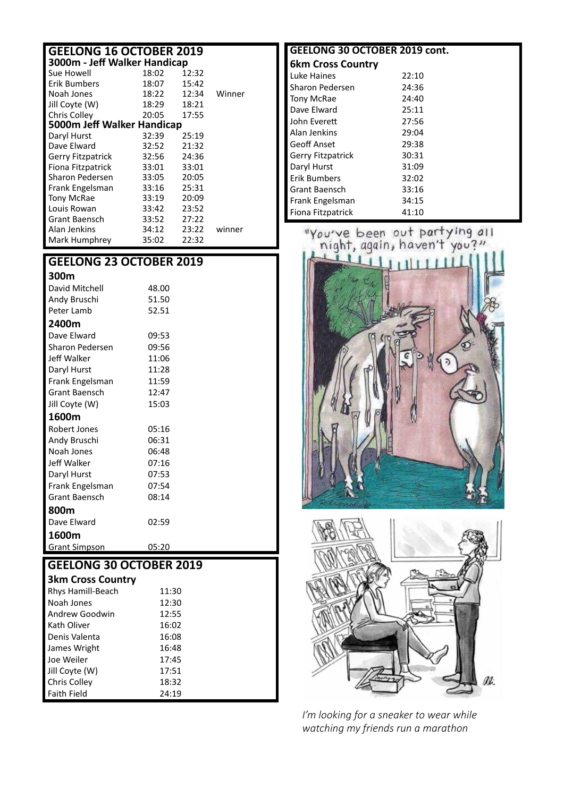## **GEELONG 16 OCTOBER 2019**

| 3000m - Jeff Walker Handicap |       |       |        |  |  |
|------------------------------|-------|-------|--------|--|--|
| Sue Howell                   | 18:02 | 12:32 |        |  |  |
| Erik Bumbers                 | 18:07 | 15:42 |        |  |  |
| Noah Jones                   | 18:22 | 12:34 | Winner |  |  |
| Jill Coyte (W)               | 18:29 | 18:21 |        |  |  |
| Chris Colley                 | 20:05 | 17:55 |        |  |  |
| 5000m Jeff Walker Handicap   |       |       |        |  |  |
| Daryl Hurst                  | 32:39 | 25:19 |        |  |  |
| Dave Elward                  | 32:52 | 21:32 |        |  |  |
| <b>Gerry Fitzpatrick</b>     | 32:56 | 24:36 |        |  |  |
| Fiona Fitzpatrick            | 33:01 | 33:01 |        |  |  |
| Sharon Pedersen              | 33:05 | 20:05 |        |  |  |
| Frank Engelsman              | 33:16 | 25:31 |        |  |  |
| <b>Tony McRae</b>            | 33:19 | 20:09 |        |  |  |
| Louis Rowan                  | 33:42 | 23:52 |        |  |  |
| Grant Baensch                | 33:52 | 27:22 |        |  |  |
| Alan Jenkins                 | 34:12 | 23:22 | winner |  |  |
| Mark Humphrey                | 35:02 | 22:32 |        |  |  |

#### **GEELONG 23 OCTOBER 2019**

| 300m                 |       |
|----------------------|-------|
| David Mitchell       | 48.00 |
| Andy Bruschi         | 51.50 |
| Peter Lamb           | 52.51 |
| 2400m                |       |
| Dave Elward          | 09:53 |
| Sharon Pedersen      | 09:56 |
| Jeff Walker          | 11:06 |
| Daryl Hurst          | 11:28 |
| Frank Engelsman      | 11:59 |
| <b>Grant Baensch</b> | 12:47 |
| Jill Coyte (W)       | 15:03 |
| 1600m                |       |
| Robert Jones         | 05:16 |
| Andy Bruschi         | 06:31 |
| Noah Jones           | 06:48 |
| Jeff Walker          | 07:16 |
| Daryl Hurst          | 07:53 |
| Frank Engelsman      | 07:54 |
| <b>Grant Baensch</b> | 08:14 |
| 800m                 |       |
| Dave Flward          | 02:59 |
| 1600m                |       |
| <b>Grant Simpson</b> | 05:20 |

#### **GEELONG 30 OCTOBER 2019**

| <b>3km Cross Country</b> |       |
|--------------------------|-------|
| Rhys Hamill-Beach        | 11:30 |
| Noah Jones               | 12:30 |
| Andrew Goodwin           | 12:55 |
| Kath Oliver              | 16:02 |
| Denis Valenta            | 16:08 |
| James Wright             | 16:48 |
| Joe Weiler               | 17:45 |
| Jill Coyte (W)           | 17:51 |
| Chris Colley             | 18:32 |
| <b>Faith Field</b>       | 24:19 |

#### **GEELONG 30 OCTOBER 2019 cont. 6km Cross Country**

| Luke Haines              | 22:10 |
|--------------------------|-------|
| Sharon Pedersen          | 24:36 |
| Tony McRae               | 24:40 |
| Dave Elward              | 25:11 |
| John Everett             | 27:56 |
| Alan Jenkins             | 29:04 |
| <b>Geoff Anset</b>       | 29:38 |
| <b>Gerry Fitzpatrick</b> | 30:31 |
| Daryl Hurst              | 31:09 |
| <b>Erik Bumbers</b>      | 32:02 |
| Grant Baensch            | 33:16 |
| Frank Engelsman          | 34:15 |
| Fiona Fitzpatrick        | 41:10 |





*I'm looking for a sneaker to wear while watching my friends run a marathon*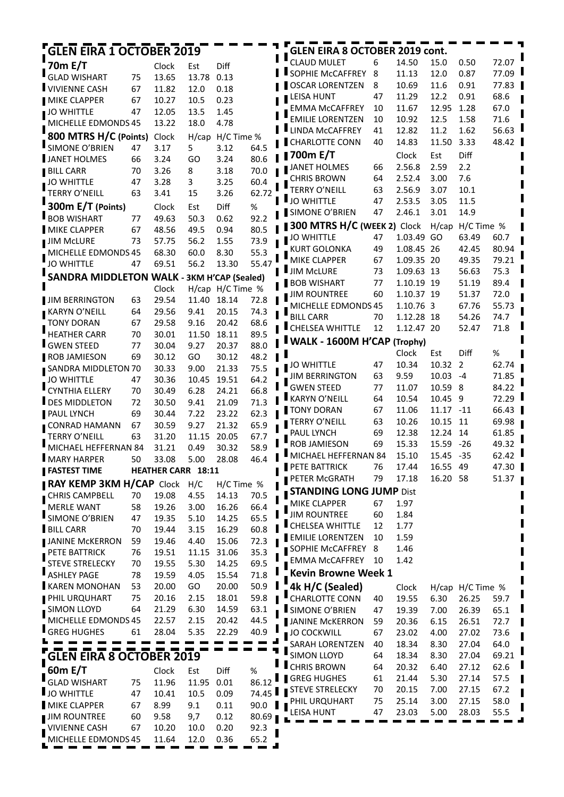| 6<br><b>CLAUD MULET</b><br>14.50<br>15.0<br>0.50<br>72.07<br>70m E/T<br>Diff<br>Clock<br>Est<br>SOPHIE McCAFFREY<br>77.09<br>8<br>11.13<br>12.0<br>0.87<br>GLAD WISHART<br>75<br>13.65<br>13.78<br>0.13<br><b>OSCAR LORENTZEN</b><br>8<br>10.69<br>11.6<br>0.91<br>77.83<br><b>VIVIENNE CASH</b><br>67<br>0.18<br>11.82<br>12.0<br>47<br>12.2<br>0.91<br>68.6<br><b>LEISA HUNT</b><br>11.29<br>0.23<br><b>MIKE CLAPPER</b><br>67<br>10.27<br>10.5<br>10<br>12.95<br>1.28<br>67.0<br><b>EMMA McCAFFREY</b><br>11.67<br>JO WHITTLE<br>47<br>12.05<br>13.5<br>1.45<br><b>EMILIE LORENTZEN</b><br>10<br>10.92<br>12.5<br>1.58<br>71.6<br>4.78<br>MICHELLE EDMONDS 45<br>13.22<br>18.0<br>LINDA McCAFFREY<br>11.2<br>1.62<br>56.63<br>41<br>12.82<br>800 MTRS H/C (Points)<br>Clock<br>H/cap H/C Time %<br><b>CHARLOTTE CONN</b><br>40<br>11.50<br>3.33<br>48.42<br>14.83<br>SIMONE O'BRIEN<br>3.17<br>5<br>3.12<br>47<br>64.5<br><b>∥700m E/T</b><br>Diff<br>Clock<br>Est<br>66<br>3.24<br>GO<br>3.24<br>80.6<br>JANET HOLMES<br>2.56.8<br>2.59<br>2.2<br>66<br>70<br>3.26<br>8<br>3.18<br>70.0<br><b>BILL CARR</b><br><b>CHRIS BROWN</b><br>2.52.4<br>3.00<br>7.6<br>64<br>3.28<br>3<br>3.25<br>60.4<br>JO WHITTLE<br>47<br>TERRY O'NEILL<br>63<br>2.56.9<br>3.07<br>10.1<br><b>TERRY O'NEILL</b><br>63<br>15<br>3.26<br>62.72<br>3.41<br><b>JO WHITTLE</b><br>47<br>2.53.5<br>3.05<br>11.5<br>300m E/T (Points)<br>Clock<br><b>Diff</b><br>%<br>Est<br>SIMONE O'BRIEN<br>2.46.1<br>3.01<br>14.9<br>47<br>92.2<br>77<br>49.63<br>50.3<br>0.62<br><b>300 MTRS H/C (WEEK 2) Clock</b><br>H/cap<br>H/C Time %<br>67<br>48.56<br>49.5<br>0.94<br>80.5<br>47<br>1.03.49 GO<br>63.49<br>60.7<br><b>JO WHITTLE</b><br>56.2<br>73.9<br><b>JIM McLURE</b><br>73<br>57.75<br>1.55<br>80.94<br><b>KURT GOLONKA</b><br>49<br>1.08.45 26<br>42.45<br>8.30<br>55.3<br>MICHELLE EDMONDS 45<br>68.30<br>60.0<br><b>MIKE CLAPPER</b><br>79.21<br>67<br>49.35<br>1.09.35 20<br><b>JO WHITTLE</b><br>56.2<br>55.47<br>47<br>69.51<br>13.30<br>75.3<br>I JIM McLURE<br>73<br>1.09.63 13<br>56.63<br><b>SANDRA MIDDLETON WALK -</b><br><b>3KM H'CAP (Sealed)</b><br>89.4<br><b>BOB WISHART</b><br>77<br>1.10.19 19<br>51.19<br>H/cap H/C Time %<br>Clock<br>72.0<br>60<br><b>JIM ROUNTREE</b><br>1.10.37 19<br>51.37<br>63<br>29.54<br>11.40<br>18.14<br>72.8<br>MICHELLE EDMONDS 45<br>1.10.76 3<br>55.73<br>67.76<br>29.56<br>9.41<br>20.15<br>74.3<br>64<br><b>BILL CARR</b><br>70<br>1.12.28 18<br>74.7<br>54.26<br>29.58<br>9.16<br>20.42<br>68.6<br><b>TONY DORAN</b><br>67<br>CHELSEA WHITTLE<br>12<br>1.12.47 20<br>52.47<br>71.8<br>70<br>30.01<br>18.11<br>89.5<br>11.50<br><b>I</b> WALK - 1600M H'CAP (Trophy)<br>88.0<br>77<br>30.04<br>9.27<br>20.37<br>Clock<br>Diff<br>%<br>Est<br>48.2<br>69<br>30.12<br>GO<br>30.12<br>JO WHITTLE<br>10.34<br>10.32<br>2<br>62.74<br>47<br>9.00<br>75.5<br>30.33<br>21.33<br>SANDRA MIDDLETON 70<br>63<br>9.59<br>10.03<br>71.85<br><b>JIM BERRINGTON</b><br>-4<br>64.2<br><b>JO WHITTLE</b><br>47<br>30.36<br>10.45<br>19.51<br>10.59<br><b>GWEN STEED</b><br>77<br>8<br>84.22<br>11.07<br>CYNTHIA ELLERY<br>66.8<br>70<br>30.49<br>6.28<br>24.21<br><b>KARYN O'NEILL</b><br>64<br>10.54<br>10.45<br>9<br>72.29<br>DES MIDDLETON<br>71.3<br>72<br>30.50<br>9.41<br>21.09<br>TONY DORAN<br>67<br>11.17<br>$-11$<br>66.43<br>11.06<br>69<br>30.44<br>7.22<br>23.22<br>62.3<br>TERRY O'NEILL<br>63<br>10.26<br>10.15<br>11<br>69.98<br>65.9<br>30.59<br>9.27<br>21.32<br>CONRAD HAMANN<br>67<br>69<br>12.38<br>12.24<br>14<br>61.85<br>PAUL LYNCH<br><b>TERRY O'NEILL</b><br>63<br>20.05<br>67.7<br>31.20<br>11.15<br>49.32<br>ROB JAMIESON<br>69<br>15.33<br>15.59<br>$-26$<br>MICHAEL HEFFERNAN 84<br>58.9<br>31.21<br>0.49<br>30.32<br>62.42<br>MICHAEL HEFFERNAN 84<br>15.10<br>15.45 -35<br>46.4<br>MARY HARPER<br>33.08<br>5.00<br>28.08<br>50<br>16.55 49<br>PETE BATTRICK<br>76<br>17.44<br>47.30<br><b>FASTEST TIME</b><br><b>HEATHER CARR 18:11</b><br>16.20 58<br>PETER McGRATH<br>79<br>17.18<br>51.37<br>RAY KEMP 3KM H/CAP Clock<br>H/C<br>H/C Time %<br><b>STANDING LONG JUMP Dist</b><br>CHRIS CAMPBELL<br>70<br>19.08<br>4.55<br>14.13<br>70.5<br>MIKE CLAPPER<br>1.97<br>67<br>58<br>66.4<br><b>MERLE WANT</b><br>19.26<br>3.00<br>16.26<br>Ш<br><b>JIM ROUNTREE</b><br>60<br>1.84<br>SIMONE O'BRIEN<br>47<br>65.5<br>19.35<br>5.10<br>14.25<br><b>■ CHELSEA WHITTLE</b><br>12<br>1.77<br><b>BILL CARR</b><br>70<br>19.44<br>3.15<br>16.29<br>60.8<br><b>EMILIE LORENTZEN</b><br>10<br>1.59<br>59<br>4.40<br><b>JANINE McKERRON</b><br>19.46<br>15.06<br>72.3<br>SOPHIE McCAFFREY<br>1.46<br>8<br>35.3<br>PETE BATTRICK<br>76<br>19.51<br>11.15<br>31.06<br>1.42<br><b>EMMA McCAFFREY</b><br>10<br>5.30<br>69.5<br><b>STEVE STRELECKY</b><br>70<br>19.55<br>14.25<br><b>Kevin Browne Week 1</b><br>ASHLEY PAGE<br>78<br>71.8<br>19.59<br>4.05<br>15.54<br>4k H/C (Sealed)<br>50.9<br><b>KAREN MONOHAN</b><br>53<br>20.00<br>GO<br>20.00<br>Clock<br>H/cap H/C Time %<br>59.8<br>PHIL URQUHART<br>75<br>20.16<br>2.15<br>18.01<br><b>CHARLOTTE CONN</b><br>40<br>19.55<br>6.30<br>26.25<br>59.7<br>63.1<br>SIMON LLOYD<br>64<br>21.29<br>6.30<br>14.59<br>SIMONE O'BRIEN<br>47<br>19.39<br>7.00<br>26.39<br>65.1<br>44.5<br>MICHELLE EDMONDS 45<br>22.57<br>2.15<br>20.42<br><b>JANINE MCKERRON</b><br>59<br>20.36<br>6.15<br>26.51<br>72.7<br><b>GREG HUGHES</b><br>5.35<br>40.9<br>61<br>28.04<br>22.29<br>4.00<br>73.6<br>JO COCKWILL<br>67<br>23.02<br>27.02<br>8.30<br>64.0<br>SARAH LORENTZEN<br>40<br>18.34<br>27.04<br>8.30<br>69.21<br><b>SIMON LLOYD</b><br>64<br>18.34<br>27.04<br><b>GLEN EIRA 8 OCTOBER 2019</b><br><b>CHRIS BROWN</b><br>62.6<br>64<br>20.32<br>6.40<br>27.12<br>60m E/T<br>Diff<br>%<br>Clock<br>Est<br><b>GREG HUGHES</b><br>61<br>21.44<br>5.30<br>27.14<br>57.5<br><b>GLAD WISHART</b><br>11.95<br>0.01<br>86.12<br>75<br>11.96<br>67.2<br><b>STEVE STRELECKY</b><br>70<br>20.15<br>7.00<br>27.15<br>74.45 I<br><b>JO WHITTLE</b><br>47<br>10.41<br>10.5<br>0.09<br>75<br>3.00<br>PHIL URQUHART<br>25.14<br>27.15<br>58.0<br>MIKE CLAPPER<br>67<br>8.99<br>9.1<br>0.11<br>90.0<br>47<br>5.00<br>LEISA HUNT<br>23.03<br>28.03<br>55.5<br><b>JIM ROUNTREE</b><br>60<br>9.58<br>9,7<br>0.12<br>80.69<br>VIVIENNE CASH<br>67<br>10.20<br>0.20<br>92.3<br>10.0 | <b>GLEN EIRA 1 OCTOBER 2019</b> |  |  |  | GLEN EIRA 8 OCTOBER 2019 cont. |  |  |  |
|--------------------------------------------------------------------------------------------------------------------------------------------------------------------------------------------------------------------------------------------------------------------------------------------------------------------------------------------------------------------------------------------------------------------------------------------------------------------------------------------------------------------------------------------------------------------------------------------------------------------------------------------------------------------------------------------------------------------------------------------------------------------------------------------------------------------------------------------------------------------------------------------------------------------------------------------------------------------------------------------------------------------------------------------------------------------------------------------------------------------------------------------------------------------------------------------------------------------------------------------------------------------------------------------------------------------------------------------------------------------------------------------------------------------------------------------------------------------------------------------------------------------------------------------------------------------------------------------------------------------------------------------------------------------------------------------------------------------------------------------------------------------------------------------------------------------------------------------------------------------------------------------------------------------------------------------------------------------------------------------------------------------------------------------------------------------------------------------------------------------------------------------------------------------------------------------------------------------------------------------------------------------------------------------------------------------------------------------------------------------------------------------------------------------------------------------------------------------------------------------------------------------------------------------------------------------------------------------------------------------------------------------------------------------------------------------------------------------------------------------------------------------------------------------------------------------------------------------------------------------------------------------------------------------------------------------------------------------------------------------------------------------------------------------------------------------------------------------------------------------------------------------------------------------------------------------------------------------------------------------------------------------------------------------------------------------------------------------------------------------------------------------------------------------------------------------------------------------------------------------------------------------------------------------------------------------------------------------------------------------------------------------------------------------------------------------------------------------------------------------------------------------------------------------------------------------------------------------------------------------------------------------------------------------------------------------------------------------------------------------------------------------------------------------------------------------------------------------------------------------------------------------------------------------------------------------------------------------------------------------------------------------------------------------------------------------------------------------------------------------------------------------------------------------------------------------------------------------------------------------------------------------------------------------------------------------------------------------------------------------------------------------------------------------------------------------------------------------------------------------------------------------------------------------------------------------------------------------------------------------------------------------------------------------------------------------------------------------------------------------------------------------------------------------------------------------------------------------------------------------------------------------------------------------------------------------------------------------------------------------------------------------------------------------------------------------------------------------------------------------------------------------------------------------------------------------------------------------------------------------------------------------------------------------------------------------------------------------------------------------------------------------------------------------------------------------------------------------------------------------------------------------------------------------------------------------------------------------------------------------------------------------------------------------------------------------------------------------------------------------------------------------------------------------------------------------------------------------------------------------------------------------------------------------------------------------------------------------------------------------------------------------------------------------------------------------------------------|---------------------------------|--|--|--|--------------------------------|--|--|--|
|                                                                                                                                                                                                                                                                                                                                                                                                                                                                                                                                                                                                                                                                                                                                                                                                                                                                                                                                                                                                                                                                                                                                                                                                                                                                                                                                                                                                                                                                                                                                                                                                                                                                                                                                                                                                                                                                                                                                                                                                                                                                                                                                                                                                                                                                                                                                                                                                                                                                                                                                                                                                                                                                                                                                                                                                                                                                                                                                                                                                                                                                                                                                                                                                                                                                                                                                                                                                                                                                                                                                                                                                                                                                                                                                                                                                                                                                                                                                                                                                                                                                                                                                                                                                                                                                                                                                                                                                                                                                                                                                                                                                                                                                                                                                                                                                                                                                                                                                                                                                                                                                                                                                                                                                                                                                                                                                                                                                                                                                                                                                                                                                                                                                                                                                                                                                                                                                                                                                                                                                                                                                                                                                                                                                                                                                                                                                      |                                 |  |  |  |                                |  |  |  |
|                                                                                                                                                                                                                                                                                                                                                                                                                                                                                                                                                                                                                                                                                                                                                                                                                                                                                                                                                                                                                                                                                                                                                                                                                                                                                                                                                                                                                                                                                                                                                                                                                                                                                                                                                                                                                                                                                                                                                                                                                                                                                                                                                                                                                                                                                                                                                                                                                                                                                                                                                                                                                                                                                                                                                                                                                                                                                                                                                                                                                                                                                                                                                                                                                                                                                                                                                                                                                                                                                                                                                                                                                                                                                                                                                                                                                                                                                                                                                                                                                                                                                                                                                                                                                                                                                                                                                                                                                                                                                                                                                                                                                                                                                                                                                                                                                                                                                                                                                                                                                                                                                                                                                                                                                                                                                                                                                                                                                                                                                                                                                                                                                                                                                                                                                                                                                                                                                                                                                                                                                                                                                                                                                                                                                                                                                                                                      |                                 |  |  |  |                                |  |  |  |
|                                                                                                                                                                                                                                                                                                                                                                                                                                                                                                                                                                                                                                                                                                                                                                                                                                                                                                                                                                                                                                                                                                                                                                                                                                                                                                                                                                                                                                                                                                                                                                                                                                                                                                                                                                                                                                                                                                                                                                                                                                                                                                                                                                                                                                                                                                                                                                                                                                                                                                                                                                                                                                                                                                                                                                                                                                                                                                                                                                                                                                                                                                                                                                                                                                                                                                                                                                                                                                                                                                                                                                                                                                                                                                                                                                                                                                                                                                                                                                                                                                                                                                                                                                                                                                                                                                                                                                                                                                                                                                                                                                                                                                                                                                                                                                                                                                                                                                                                                                                                                                                                                                                                                                                                                                                                                                                                                                                                                                                                                                                                                                                                                                                                                                                                                                                                                                                                                                                                                                                                                                                                                                                                                                                                                                                                                                                                      |                                 |  |  |  |                                |  |  |  |
|                                                                                                                                                                                                                                                                                                                                                                                                                                                                                                                                                                                                                                                                                                                                                                                                                                                                                                                                                                                                                                                                                                                                                                                                                                                                                                                                                                                                                                                                                                                                                                                                                                                                                                                                                                                                                                                                                                                                                                                                                                                                                                                                                                                                                                                                                                                                                                                                                                                                                                                                                                                                                                                                                                                                                                                                                                                                                                                                                                                                                                                                                                                                                                                                                                                                                                                                                                                                                                                                                                                                                                                                                                                                                                                                                                                                                                                                                                                                                                                                                                                                                                                                                                                                                                                                                                                                                                                                                                                                                                                                                                                                                                                                                                                                                                                                                                                                                                                                                                                                                                                                                                                                                                                                                                                                                                                                                                                                                                                                                                                                                                                                                                                                                                                                                                                                                                                                                                                                                                                                                                                                                                                                                                                                                                                                                                                                      |                                 |  |  |  |                                |  |  |  |
|                                                                                                                                                                                                                                                                                                                                                                                                                                                                                                                                                                                                                                                                                                                                                                                                                                                                                                                                                                                                                                                                                                                                                                                                                                                                                                                                                                                                                                                                                                                                                                                                                                                                                                                                                                                                                                                                                                                                                                                                                                                                                                                                                                                                                                                                                                                                                                                                                                                                                                                                                                                                                                                                                                                                                                                                                                                                                                                                                                                                                                                                                                                                                                                                                                                                                                                                                                                                                                                                                                                                                                                                                                                                                                                                                                                                                                                                                                                                                                                                                                                                                                                                                                                                                                                                                                                                                                                                                                                                                                                                                                                                                                                                                                                                                                                                                                                                                                                                                                                                                                                                                                                                                                                                                                                                                                                                                                                                                                                                                                                                                                                                                                                                                                                                                                                                                                                                                                                                                                                                                                                                                                                                                                                                                                                                                                                                      |                                 |  |  |  |                                |  |  |  |
|                                                                                                                                                                                                                                                                                                                                                                                                                                                                                                                                                                                                                                                                                                                                                                                                                                                                                                                                                                                                                                                                                                                                                                                                                                                                                                                                                                                                                                                                                                                                                                                                                                                                                                                                                                                                                                                                                                                                                                                                                                                                                                                                                                                                                                                                                                                                                                                                                                                                                                                                                                                                                                                                                                                                                                                                                                                                                                                                                                                                                                                                                                                                                                                                                                                                                                                                                                                                                                                                                                                                                                                                                                                                                                                                                                                                                                                                                                                                                                                                                                                                                                                                                                                                                                                                                                                                                                                                                                                                                                                                                                                                                                                                                                                                                                                                                                                                                                                                                                                                                                                                                                                                                                                                                                                                                                                                                                                                                                                                                                                                                                                                                                                                                                                                                                                                                                                                                                                                                                                                                                                                                                                                                                                                                                                                                                                                      |                                 |  |  |  |                                |  |  |  |
|                                                                                                                                                                                                                                                                                                                                                                                                                                                                                                                                                                                                                                                                                                                                                                                                                                                                                                                                                                                                                                                                                                                                                                                                                                                                                                                                                                                                                                                                                                                                                                                                                                                                                                                                                                                                                                                                                                                                                                                                                                                                                                                                                                                                                                                                                                                                                                                                                                                                                                                                                                                                                                                                                                                                                                                                                                                                                                                                                                                                                                                                                                                                                                                                                                                                                                                                                                                                                                                                                                                                                                                                                                                                                                                                                                                                                                                                                                                                                                                                                                                                                                                                                                                                                                                                                                                                                                                                                                                                                                                                                                                                                                                                                                                                                                                                                                                                                                                                                                                                                                                                                                                                                                                                                                                                                                                                                                                                                                                                                                                                                                                                                                                                                                                                                                                                                                                                                                                                                                                                                                                                                                                                                                                                                                                                                                                                      |                                 |  |  |  |                                |  |  |  |
|                                                                                                                                                                                                                                                                                                                                                                                                                                                                                                                                                                                                                                                                                                                                                                                                                                                                                                                                                                                                                                                                                                                                                                                                                                                                                                                                                                                                                                                                                                                                                                                                                                                                                                                                                                                                                                                                                                                                                                                                                                                                                                                                                                                                                                                                                                                                                                                                                                                                                                                                                                                                                                                                                                                                                                                                                                                                                                                                                                                                                                                                                                                                                                                                                                                                                                                                                                                                                                                                                                                                                                                                                                                                                                                                                                                                                                                                                                                                                                                                                                                                                                                                                                                                                                                                                                                                                                                                                                                                                                                                                                                                                                                                                                                                                                                                                                                                                                                                                                                                                                                                                                                                                                                                                                                                                                                                                                                                                                                                                                                                                                                                                                                                                                                                                                                                                                                                                                                                                                                                                                                                                                                                                                                                                                                                                                                                      |                                 |  |  |  |                                |  |  |  |
|                                                                                                                                                                                                                                                                                                                                                                                                                                                                                                                                                                                                                                                                                                                                                                                                                                                                                                                                                                                                                                                                                                                                                                                                                                                                                                                                                                                                                                                                                                                                                                                                                                                                                                                                                                                                                                                                                                                                                                                                                                                                                                                                                                                                                                                                                                                                                                                                                                                                                                                                                                                                                                                                                                                                                                                                                                                                                                                                                                                                                                                                                                                                                                                                                                                                                                                                                                                                                                                                                                                                                                                                                                                                                                                                                                                                                                                                                                                                                                                                                                                                                                                                                                                                                                                                                                                                                                                                                                                                                                                                                                                                                                                                                                                                                                                                                                                                                                                                                                                                                                                                                                                                                                                                                                                                                                                                                                                                                                                                                                                                                                                                                                                                                                                                                                                                                                                                                                                                                                                                                                                                                                                                                                                                                                                                                                                                      | JANET HOLMES                    |  |  |  |                                |  |  |  |
|                                                                                                                                                                                                                                                                                                                                                                                                                                                                                                                                                                                                                                                                                                                                                                                                                                                                                                                                                                                                                                                                                                                                                                                                                                                                                                                                                                                                                                                                                                                                                                                                                                                                                                                                                                                                                                                                                                                                                                                                                                                                                                                                                                                                                                                                                                                                                                                                                                                                                                                                                                                                                                                                                                                                                                                                                                                                                                                                                                                                                                                                                                                                                                                                                                                                                                                                                                                                                                                                                                                                                                                                                                                                                                                                                                                                                                                                                                                                                                                                                                                                                                                                                                                                                                                                                                                                                                                                                                                                                                                                                                                                                                                                                                                                                                                                                                                                                                                                                                                                                                                                                                                                                                                                                                                                                                                                                                                                                                                                                                                                                                                                                                                                                                                                                                                                                                                                                                                                                                                                                                                                                                                                                                                                                                                                                                                                      |                                 |  |  |  |                                |  |  |  |
|                                                                                                                                                                                                                                                                                                                                                                                                                                                                                                                                                                                                                                                                                                                                                                                                                                                                                                                                                                                                                                                                                                                                                                                                                                                                                                                                                                                                                                                                                                                                                                                                                                                                                                                                                                                                                                                                                                                                                                                                                                                                                                                                                                                                                                                                                                                                                                                                                                                                                                                                                                                                                                                                                                                                                                                                                                                                                                                                                                                                                                                                                                                                                                                                                                                                                                                                                                                                                                                                                                                                                                                                                                                                                                                                                                                                                                                                                                                                                                                                                                                                                                                                                                                                                                                                                                                                                                                                                                                                                                                                                                                                                                                                                                                                                                                                                                                                                                                                                                                                                                                                                                                                                                                                                                                                                                                                                                                                                                                                                                                                                                                                                                                                                                                                                                                                                                                                                                                                                                                                                                                                                                                                                                                                                                                                                                                                      |                                 |  |  |  |                                |  |  |  |
|                                                                                                                                                                                                                                                                                                                                                                                                                                                                                                                                                                                                                                                                                                                                                                                                                                                                                                                                                                                                                                                                                                                                                                                                                                                                                                                                                                                                                                                                                                                                                                                                                                                                                                                                                                                                                                                                                                                                                                                                                                                                                                                                                                                                                                                                                                                                                                                                                                                                                                                                                                                                                                                                                                                                                                                                                                                                                                                                                                                                                                                                                                                                                                                                                                                                                                                                                                                                                                                                                                                                                                                                                                                                                                                                                                                                                                                                                                                                                                                                                                                                                                                                                                                                                                                                                                                                                                                                                                                                                                                                                                                                                                                                                                                                                                                                                                                                                                                                                                                                                                                                                                                                                                                                                                                                                                                                                                                                                                                                                                                                                                                                                                                                                                                                                                                                                                                                                                                                                                                                                                                                                                                                                                                                                                                                                                                                      |                                 |  |  |  |                                |  |  |  |
|                                                                                                                                                                                                                                                                                                                                                                                                                                                                                                                                                                                                                                                                                                                                                                                                                                                                                                                                                                                                                                                                                                                                                                                                                                                                                                                                                                                                                                                                                                                                                                                                                                                                                                                                                                                                                                                                                                                                                                                                                                                                                                                                                                                                                                                                                                                                                                                                                                                                                                                                                                                                                                                                                                                                                                                                                                                                                                                                                                                                                                                                                                                                                                                                                                                                                                                                                                                                                                                                                                                                                                                                                                                                                                                                                                                                                                                                                                                                                                                                                                                                                                                                                                                                                                                                                                                                                                                                                                                                                                                                                                                                                                                                                                                                                                                                                                                                                                                                                                                                                                                                                                                                                                                                                                                                                                                                                                                                                                                                                                                                                                                                                                                                                                                                                                                                                                                                                                                                                                                                                                                                                                                                                                                                                                                                                                                                      |                                 |  |  |  |                                |  |  |  |
|                                                                                                                                                                                                                                                                                                                                                                                                                                                                                                                                                                                                                                                                                                                                                                                                                                                                                                                                                                                                                                                                                                                                                                                                                                                                                                                                                                                                                                                                                                                                                                                                                                                                                                                                                                                                                                                                                                                                                                                                                                                                                                                                                                                                                                                                                                                                                                                                                                                                                                                                                                                                                                                                                                                                                                                                                                                                                                                                                                                                                                                                                                                                                                                                                                                                                                                                                                                                                                                                                                                                                                                                                                                                                                                                                                                                                                                                                                                                                                                                                                                                                                                                                                                                                                                                                                                                                                                                                                                                                                                                                                                                                                                                                                                                                                                                                                                                                                                                                                                                                                                                                                                                                                                                                                                                                                                                                                                                                                                                                                                                                                                                                                                                                                                                                                                                                                                                                                                                                                                                                                                                                                                                                                                                                                                                                                                                      | <b>BOB WISHART</b>              |  |  |  |                                |  |  |  |
|                                                                                                                                                                                                                                                                                                                                                                                                                                                                                                                                                                                                                                                                                                                                                                                                                                                                                                                                                                                                                                                                                                                                                                                                                                                                                                                                                                                                                                                                                                                                                                                                                                                                                                                                                                                                                                                                                                                                                                                                                                                                                                                                                                                                                                                                                                                                                                                                                                                                                                                                                                                                                                                                                                                                                                                                                                                                                                                                                                                                                                                                                                                                                                                                                                                                                                                                                                                                                                                                                                                                                                                                                                                                                                                                                                                                                                                                                                                                                                                                                                                                                                                                                                                                                                                                                                                                                                                                                                                                                                                                                                                                                                                                                                                                                                                                                                                                                                                                                                                                                                                                                                                                                                                                                                                                                                                                                                                                                                                                                                                                                                                                                                                                                                                                                                                                                                                                                                                                                                                                                                                                                                                                                                                                                                                                                                                                      | <b>MIKE CLAPPER</b>             |  |  |  |                                |  |  |  |
|                                                                                                                                                                                                                                                                                                                                                                                                                                                                                                                                                                                                                                                                                                                                                                                                                                                                                                                                                                                                                                                                                                                                                                                                                                                                                                                                                                                                                                                                                                                                                                                                                                                                                                                                                                                                                                                                                                                                                                                                                                                                                                                                                                                                                                                                                                                                                                                                                                                                                                                                                                                                                                                                                                                                                                                                                                                                                                                                                                                                                                                                                                                                                                                                                                                                                                                                                                                                                                                                                                                                                                                                                                                                                                                                                                                                                                                                                                                                                                                                                                                                                                                                                                                                                                                                                                                                                                                                                                                                                                                                                                                                                                                                                                                                                                                                                                                                                                                                                                                                                                                                                                                                                                                                                                                                                                                                                                                                                                                                                                                                                                                                                                                                                                                                                                                                                                                                                                                                                                                                                                                                                                                                                                                                                                                                                                                                      |                                 |  |  |  |                                |  |  |  |
|                                                                                                                                                                                                                                                                                                                                                                                                                                                                                                                                                                                                                                                                                                                                                                                                                                                                                                                                                                                                                                                                                                                                                                                                                                                                                                                                                                                                                                                                                                                                                                                                                                                                                                                                                                                                                                                                                                                                                                                                                                                                                                                                                                                                                                                                                                                                                                                                                                                                                                                                                                                                                                                                                                                                                                                                                                                                                                                                                                                                                                                                                                                                                                                                                                                                                                                                                                                                                                                                                                                                                                                                                                                                                                                                                                                                                                                                                                                                                                                                                                                                                                                                                                                                                                                                                                                                                                                                                                                                                                                                                                                                                                                                                                                                                                                                                                                                                                                                                                                                                                                                                                                                                                                                                                                                                                                                                                                                                                                                                                                                                                                                                                                                                                                                                                                                                                                                                                                                                                                                                                                                                                                                                                                                                                                                                                                                      |                                 |  |  |  |                                |  |  |  |
|                                                                                                                                                                                                                                                                                                                                                                                                                                                                                                                                                                                                                                                                                                                                                                                                                                                                                                                                                                                                                                                                                                                                                                                                                                                                                                                                                                                                                                                                                                                                                                                                                                                                                                                                                                                                                                                                                                                                                                                                                                                                                                                                                                                                                                                                                                                                                                                                                                                                                                                                                                                                                                                                                                                                                                                                                                                                                                                                                                                                                                                                                                                                                                                                                                                                                                                                                                                                                                                                                                                                                                                                                                                                                                                                                                                                                                                                                                                                                                                                                                                                                                                                                                                                                                                                                                                                                                                                                                                                                                                                                                                                                                                                                                                                                                                                                                                                                                                                                                                                                                                                                                                                                                                                                                                                                                                                                                                                                                                                                                                                                                                                                                                                                                                                                                                                                                                                                                                                                                                                                                                                                                                                                                                                                                                                                                                                      |                                 |  |  |  |                                |  |  |  |
|                                                                                                                                                                                                                                                                                                                                                                                                                                                                                                                                                                                                                                                                                                                                                                                                                                                                                                                                                                                                                                                                                                                                                                                                                                                                                                                                                                                                                                                                                                                                                                                                                                                                                                                                                                                                                                                                                                                                                                                                                                                                                                                                                                                                                                                                                                                                                                                                                                                                                                                                                                                                                                                                                                                                                                                                                                                                                                                                                                                                                                                                                                                                                                                                                                                                                                                                                                                                                                                                                                                                                                                                                                                                                                                                                                                                                                                                                                                                                                                                                                                                                                                                                                                                                                                                                                                                                                                                                                                                                                                                                                                                                                                                                                                                                                                                                                                                                                                                                                                                                                                                                                                                                                                                                                                                                                                                                                                                                                                                                                                                                                                                                                                                                                                                                                                                                                                                                                                                                                                                                                                                                                                                                                                                                                                                                                                                      |                                 |  |  |  |                                |  |  |  |
|                                                                                                                                                                                                                                                                                                                                                                                                                                                                                                                                                                                                                                                                                                                                                                                                                                                                                                                                                                                                                                                                                                                                                                                                                                                                                                                                                                                                                                                                                                                                                                                                                                                                                                                                                                                                                                                                                                                                                                                                                                                                                                                                                                                                                                                                                                                                                                                                                                                                                                                                                                                                                                                                                                                                                                                                                                                                                                                                                                                                                                                                                                                                                                                                                                                                                                                                                                                                                                                                                                                                                                                                                                                                                                                                                                                                                                                                                                                                                                                                                                                                                                                                                                                                                                                                                                                                                                                                                                                                                                                                                                                                                                                                                                                                                                                                                                                                                                                                                                                                                                                                                                                                                                                                                                                                                                                                                                                                                                                                                                                                                                                                                                                                                                                                                                                                                                                                                                                                                                                                                                                                                                                                                                                                                                                                                                                                      |                                 |  |  |  |                                |  |  |  |
|                                                                                                                                                                                                                                                                                                                                                                                                                                                                                                                                                                                                                                                                                                                                                                                                                                                                                                                                                                                                                                                                                                                                                                                                                                                                                                                                                                                                                                                                                                                                                                                                                                                                                                                                                                                                                                                                                                                                                                                                                                                                                                                                                                                                                                                                                                                                                                                                                                                                                                                                                                                                                                                                                                                                                                                                                                                                                                                                                                                                                                                                                                                                                                                                                                                                                                                                                                                                                                                                                                                                                                                                                                                                                                                                                                                                                                                                                                                                                                                                                                                                                                                                                                                                                                                                                                                                                                                                                                                                                                                                                                                                                                                                                                                                                                                                                                                                                                                                                                                                                                                                                                                                                                                                                                                                                                                                                                                                                                                                                                                                                                                                                                                                                                                                                                                                                                                                                                                                                                                                                                                                                                                                                                                                                                                                                                                                      | <b>JIM BERRINGTON</b>           |  |  |  |                                |  |  |  |
|                                                                                                                                                                                                                                                                                                                                                                                                                                                                                                                                                                                                                                                                                                                                                                                                                                                                                                                                                                                                                                                                                                                                                                                                                                                                                                                                                                                                                                                                                                                                                                                                                                                                                                                                                                                                                                                                                                                                                                                                                                                                                                                                                                                                                                                                                                                                                                                                                                                                                                                                                                                                                                                                                                                                                                                                                                                                                                                                                                                                                                                                                                                                                                                                                                                                                                                                                                                                                                                                                                                                                                                                                                                                                                                                                                                                                                                                                                                                                                                                                                                                                                                                                                                                                                                                                                                                                                                                                                                                                                                                                                                                                                                                                                                                                                                                                                                                                                                                                                                                                                                                                                                                                                                                                                                                                                                                                                                                                                                                                                                                                                                                                                                                                                                                                                                                                                                                                                                                                                                                                                                                                                                                                                                                                                                                                                                                      | KARYN O'NEILL                   |  |  |  |                                |  |  |  |
|                                                                                                                                                                                                                                                                                                                                                                                                                                                                                                                                                                                                                                                                                                                                                                                                                                                                                                                                                                                                                                                                                                                                                                                                                                                                                                                                                                                                                                                                                                                                                                                                                                                                                                                                                                                                                                                                                                                                                                                                                                                                                                                                                                                                                                                                                                                                                                                                                                                                                                                                                                                                                                                                                                                                                                                                                                                                                                                                                                                                                                                                                                                                                                                                                                                                                                                                                                                                                                                                                                                                                                                                                                                                                                                                                                                                                                                                                                                                                                                                                                                                                                                                                                                                                                                                                                                                                                                                                                                                                                                                                                                                                                                                                                                                                                                                                                                                                                                                                                                                                                                                                                                                                                                                                                                                                                                                                                                                                                                                                                                                                                                                                                                                                                                                                                                                                                                                                                                                                                                                                                                                                                                                                                                                                                                                                                                                      |                                 |  |  |  |                                |  |  |  |
|                                                                                                                                                                                                                                                                                                                                                                                                                                                                                                                                                                                                                                                                                                                                                                                                                                                                                                                                                                                                                                                                                                                                                                                                                                                                                                                                                                                                                                                                                                                                                                                                                                                                                                                                                                                                                                                                                                                                                                                                                                                                                                                                                                                                                                                                                                                                                                                                                                                                                                                                                                                                                                                                                                                                                                                                                                                                                                                                                                                                                                                                                                                                                                                                                                                                                                                                                                                                                                                                                                                                                                                                                                                                                                                                                                                                                                                                                                                                                                                                                                                                                                                                                                                                                                                                                                                                                                                                                                                                                                                                                                                                                                                                                                                                                                                                                                                                                                                                                                                                                                                                                                                                                                                                                                                                                                                                                                                                                                                                                                                                                                                                                                                                                                                                                                                                                                                                                                                                                                                                                                                                                                                                                                                                                                                                                                                                      | HEATHER CARR                    |  |  |  |                                |  |  |  |
|                                                                                                                                                                                                                                                                                                                                                                                                                                                                                                                                                                                                                                                                                                                                                                                                                                                                                                                                                                                                                                                                                                                                                                                                                                                                                                                                                                                                                                                                                                                                                                                                                                                                                                                                                                                                                                                                                                                                                                                                                                                                                                                                                                                                                                                                                                                                                                                                                                                                                                                                                                                                                                                                                                                                                                                                                                                                                                                                                                                                                                                                                                                                                                                                                                                                                                                                                                                                                                                                                                                                                                                                                                                                                                                                                                                                                                                                                                                                                                                                                                                                                                                                                                                                                                                                                                                                                                                                                                                                                                                                                                                                                                                                                                                                                                                                                                                                                                                                                                                                                                                                                                                                                                                                                                                                                                                                                                                                                                                                                                                                                                                                                                                                                                                                                                                                                                                                                                                                                                                                                                                                                                                                                                                                                                                                                                                                      | <b>GWEN STEED</b>               |  |  |  |                                |  |  |  |
|                                                                                                                                                                                                                                                                                                                                                                                                                                                                                                                                                                                                                                                                                                                                                                                                                                                                                                                                                                                                                                                                                                                                                                                                                                                                                                                                                                                                                                                                                                                                                                                                                                                                                                                                                                                                                                                                                                                                                                                                                                                                                                                                                                                                                                                                                                                                                                                                                                                                                                                                                                                                                                                                                                                                                                                                                                                                                                                                                                                                                                                                                                                                                                                                                                                                                                                                                                                                                                                                                                                                                                                                                                                                                                                                                                                                                                                                                                                                                                                                                                                                                                                                                                                                                                                                                                                                                                                                                                                                                                                                                                                                                                                                                                                                                                                                                                                                                                                                                                                                                                                                                                                                                                                                                                                                                                                                                                                                                                                                                                                                                                                                                                                                                                                                                                                                                                                                                                                                                                                                                                                                                                                                                                                                                                                                                                                                      | ROB JAMIESON                    |  |  |  |                                |  |  |  |
|                                                                                                                                                                                                                                                                                                                                                                                                                                                                                                                                                                                                                                                                                                                                                                                                                                                                                                                                                                                                                                                                                                                                                                                                                                                                                                                                                                                                                                                                                                                                                                                                                                                                                                                                                                                                                                                                                                                                                                                                                                                                                                                                                                                                                                                                                                                                                                                                                                                                                                                                                                                                                                                                                                                                                                                                                                                                                                                                                                                                                                                                                                                                                                                                                                                                                                                                                                                                                                                                                                                                                                                                                                                                                                                                                                                                                                                                                                                                                                                                                                                                                                                                                                                                                                                                                                                                                                                                                                                                                                                                                                                                                                                                                                                                                                                                                                                                                                                                                                                                                                                                                                                                                                                                                                                                                                                                                                                                                                                                                                                                                                                                                                                                                                                                                                                                                                                                                                                                                                                                                                                                                                                                                                                                                                                                                                                                      |                                 |  |  |  |                                |  |  |  |
|                                                                                                                                                                                                                                                                                                                                                                                                                                                                                                                                                                                                                                                                                                                                                                                                                                                                                                                                                                                                                                                                                                                                                                                                                                                                                                                                                                                                                                                                                                                                                                                                                                                                                                                                                                                                                                                                                                                                                                                                                                                                                                                                                                                                                                                                                                                                                                                                                                                                                                                                                                                                                                                                                                                                                                                                                                                                                                                                                                                                                                                                                                                                                                                                                                                                                                                                                                                                                                                                                                                                                                                                                                                                                                                                                                                                                                                                                                                                                                                                                                                                                                                                                                                                                                                                                                                                                                                                                                                                                                                                                                                                                                                                                                                                                                                                                                                                                                                                                                                                                                                                                                                                                                                                                                                                                                                                                                                                                                                                                                                                                                                                                                                                                                                                                                                                                                                                                                                                                                                                                                                                                                                                                                                                                                                                                                                                      |                                 |  |  |  |                                |  |  |  |
|                                                                                                                                                                                                                                                                                                                                                                                                                                                                                                                                                                                                                                                                                                                                                                                                                                                                                                                                                                                                                                                                                                                                                                                                                                                                                                                                                                                                                                                                                                                                                                                                                                                                                                                                                                                                                                                                                                                                                                                                                                                                                                                                                                                                                                                                                                                                                                                                                                                                                                                                                                                                                                                                                                                                                                                                                                                                                                                                                                                                                                                                                                                                                                                                                                                                                                                                                                                                                                                                                                                                                                                                                                                                                                                                                                                                                                                                                                                                                                                                                                                                                                                                                                                                                                                                                                                                                                                                                                                                                                                                                                                                                                                                                                                                                                                                                                                                                                                                                                                                                                                                                                                                                                                                                                                                                                                                                                                                                                                                                                                                                                                                                                                                                                                                                                                                                                                                                                                                                                                                                                                                                                                                                                                                                                                                                                                                      |                                 |  |  |  |                                |  |  |  |
|                                                                                                                                                                                                                                                                                                                                                                                                                                                                                                                                                                                                                                                                                                                                                                                                                                                                                                                                                                                                                                                                                                                                                                                                                                                                                                                                                                                                                                                                                                                                                                                                                                                                                                                                                                                                                                                                                                                                                                                                                                                                                                                                                                                                                                                                                                                                                                                                                                                                                                                                                                                                                                                                                                                                                                                                                                                                                                                                                                                                                                                                                                                                                                                                                                                                                                                                                                                                                                                                                                                                                                                                                                                                                                                                                                                                                                                                                                                                                                                                                                                                                                                                                                                                                                                                                                                                                                                                                                                                                                                                                                                                                                                                                                                                                                                                                                                                                                                                                                                                                                                                                                                                                                                                                                                                                                                                                                                                                                                                                                                                                                                                                                                                                                                                                                                                                                                                                                                                                                                                                                                                                                                                                                                                                                                                                                                                      |                                 |  |  |  |                                |  |  |  |
|                                                                                                                                                                                                                                                                                                                                                                                                                                                                                                                                                                                                                                                                                                                                                                                                                                                                                                                                                                                                                                                                                                                                                                                                                                                                                                                                                                                                                                                                                                                                                                                                                                                                                                                                                                                                                                                                                                                                                                                                                                                                                                                                                                                                                                                                                                                                                                                                                                                                                                                                                                                                                                                                                                                                                                                                                                                                                                                                                                                                                                                                                                                                                                                                                                                                                                                                                                                                                                                                                                                                                                                                                                                                                                                                                                                                                                                                                                                                                                                                                                                                                                                                                                                                                                                                                                                                                                                                                                                                                                                                                                                                                                                                                                                                                                                                                                                                                                                                                                                                                                                                                                                                                                                                                                                                                                                                                                                                                                                                                                                                                                                                                                                                                                                                                                                                                                                                                                                                                                                                                                                                                                                                                                                                                                                                                                                                      | <b>PAUL LYNCH</b>               |  |  |  |                                |  |  |  |
|                                                                                                                                                                                                                                                                                                                                                                                                                                                                                                                                                                                                                                                                                                                                                                                                                                                                                                                                                                                                                                                                                                                                                                                                                                                                                                                                                                                                                                                                                                                                                                                                                                                                                                                                                                                                                                                                                                                                                                                                                                                                                                                                                                                                                                                                                                                                                                                                                                                                                                                                                                                                                                                                                                                                                                                                                                                                                                                                                                                                                                                                                                                                                                                                                                                                                                                                                                                                                                                                                                                                                                                                                                                                                                                                                                                                                                                                                                                                                                                                                                                                                                                                                                                                                                                                                                                                                                                                                                                                                                                                                                                                                                                                                                                                                                                                                                                                                                                                                                                                                                                                                                                                                                                                                                                                                                                                                                                                                                                                                                                                                                                                                                                                                                                                                                                                                                                                                                                                                                                                                                                                                                                                                                                                                                                                                                                                      |                                 |  |  |  |                                |  |  |  |
|                                                                                                                                                                                                                                                                                                                                                                                                                                                                                                                                                                                                                                                                                                                                                                                                                                                                                                                                                                                                                                                                                                                                                                                                                                                                                                                                                                                                                                                                                                                                                                                                                                                                                                                                                                                                                                                                                                                                                                                                                                                                                                                                                                                                                                                                                                                                                                                                                                                                                                                                                                                                                                                                                                                                                                                                                                                                                                                                                                                                                                                                                                                                                                                                                                                                                                                                                                                                                                                                                                                                                                                                                                                                                                                                                                                                                                                                                                                                                                                                                                                                                                                                                                                                                                                                                                                                                                                                                                                                                                                                                                                                                                                                                                                                                                                                                                                                                                                                                                                                                                                                                                                                                                                                                                                                                                                                                                                                                                                                                                                                                                                                                                                                                                                                                                                                                                                                                                                                                                                                                                                                                                                                                                                                                                                                                                                                      |                                 |  |  |  |                                |  |  |  |
|                                                                                                                                                                                                                                                                                                                                                                                                                                                                                                                                                                                                                                                                                                                                                                                                                                                                                                                                                                                                                                                                                                                                                                                                                                                                                                                                                                                                                                                                                                                                                                                                                                                                                                                                                                                                                                                                                                                                                                                                                                                                                                                                                                                                                                                                                                                                                                                                                                                                                                                                                                                                                                                                                                                                                                                                                                                                                                                                                                                                                                                                                                                                                                                                                                                                                                                                                                                                                                                                                                                                                                                                                                                                                                                                                                                                                                                                                                                                                                                                                                                                                                                                                                                                                                                                                                                                                                                                                                                                                                                                                                                                                                                                                                                                                                                                                                                                                                                                                                                                                                                                                                                                                                                                                                                                                                                                                                                                                                                                                                                                                                                                                                                                                                                                                                                                                                                                                                                                                                                                                                                                                                                                                                                                                                                                                                                                      |                                 |  |  |  |                                |  |  |  |
|                                                                                                                                                                                                                                                                                                                                                                                                                                                                                                                                                                                                                                                                                                                                                                                                                                                                                                                                                                                                                                                                                                                                                                                                                                                                                                                                                                                                                                                                                                                                                                                                                                                                                                                                                                                                                                                                                                                                                                                                                                                                                                                                                                                                                                                                                                                                                                                                                                                                                                                                                                                                                                                                                                                                                                                                                                                                                                                                                                                                                                                                                                                                                                                                                                                                                                                                                                                                                                                                                                                                                                                                                                                                                                                                                                                                                                                                                                                                                                                                                                                                                                                                                                                                                                                                                                                                                                                                                                                                                                                                                                                                                                                                                                                                                                                                                                                                                                                                                                                                                                                                                                                                                                                                                                                                                                                                                                                                                                                                                                                                                                                                                                                                                                                                                                                                                                                                                                                                                                                                                                                                                                                                                                                                                                                                                                                                      |                                 |  |  |  |                                |  |  |  |
|                                                                                                                                                                                                                                                                                                                                                                                                                                                                                                                                                                                                                                                                                                                                                                                                                                                                                                                                                                                                                                                                                                                                                                                                                                                                                                                                                                                                                                                                                                                                                                                                                                                                                                                                                                                                                                                                                                                                                                                                                                                                                                                                                                                                                                                                                                                                                                                                                                                                                                                                                                                                                                                                                                                                                                                                                                                                                                                                                                                                                                                                                                                                                                                                                                                                                                                                                                                                                                                                                                                                                                                                                                                                                                                                                                                                                                                                                                                                                                                                                                                                                                                                                                                                                                                                                                                                                                                                                                                                                                                                                                                                                                                                                                                                                                                                                                                                                                                                                                                                                                                                                                                                                                                                                                                                                                                                                                                                                                                                                                                                                                                                                                                                                                                                                                                                                                                                                                                                                                                                                                                                                                                                                                                                                                                                                                                                      |                                 |  |  |  |                                |  |  |  |
|                                                                                                                                                                                                                                                                                                                                                                                                                                                                                                                                                                                                                                                                                                                                                                                                                                                                                                                                                                                                                                                                                                                                                                                                                                                                                                                                                                                                                                                                                                                                                                                                                                                                                                                                                                                                                                                                                                                                                                                                                                                                                                                                                                                                                                                                                                                                                                                                                                                                                                                                                                                                                                                                                                                                                                                                                                                                                                                                                                                                                                                                                                                                                                                                                                                                                                                                                                                                                                                                                                                                                                                                                                                                                                                                                                                                                                                                                                                                                                                                                                                                                                                                                                                                                                                                                                                                                                                                                                                                                                                                                                                                                                                                                                                                                                                                                                                                                                                                                                                                                                                                                                                                                                                                                                                                                                                                                                                                                                                                                                                                                                                                                                                                                                                                                                                                                                                                                                                                                                                                                                                                                                                                                                                                                                                                                                                                      |                                 |  |  |  |                                |  |  |  |
|                                                                                                                                                                                                                                                                                                                                                                                                                                                                                                                                                                                                                                                                                                                                                                                                                                                                                                                                                                                                                                                                                                                                                                                                                                                                                                                                                                                                                                                                                                                                                                                                                                                                                                                                                                                                                                                                                                                                                                                                                                                                                                                                                                                                                                                                                                                                                                                                                                                                                                                                                                                                                                                                                                                                                                                                                                                                                                                                                                                                                                                                                                                                                                                                                                                                                                                                                                                                                                                                                                                                                                                                                                                                                                                                                                                                                                                                                                                                                                                                                                                                                                                                                                                                                                                                                                                                                                                                                                                                                                                                                                                                                                                                                                                                                                                                                                                                                                                                                                                                                                                                                                                                                                                                                                                                                                                                                                                                                                                                                                                                                                                                                                                                                                                                                                                                                                                                                                                                                                                                                                                                                                                                                                                                                                                                                                                                      |                                 |  |  |  |                                |  |  |  |
|                                                                                                                                                                                                                                                                                                                                                                                                                                                                                                                                                                                                                                                                                                                                                                                                                                                                                                                                                                                                                                                                                                                                                                                                                                                                                                                                                                                                                                                                                                                                                                                                                                                                                                                                                                                                                                                                                                                                                                                                                                                                                                                                                                                                                                                                                                                                                                                                                                                                                                                                                                                                                                                                                                                                                                                                                                                                                                                                                                                                                                                                                                                                                                                                                                                                                                                                                                                                                                                                                                                                                                                                                                                                                                                                                                                                                                                                                                                                                                                                                                                                                                                                                                                                                                                                                                                                                                                                                                                                                                                                                                                                                                                                                                                                                                                                                                                                                                                                                                                                                                                                                                                                                                                                                                                                                                                                                                                                                                                                                                                                                                                                                                                                                                                                                                                                                                                                                                                                                                                                                                                                                                                                                                                                                                                                                                                                      |                                 |  |  |  |                                |  |  |  |
|                                                                                                                                                                                                                                                                                                                                                                                                                                                                                                                                                                                                                                                                                                                                                                                                                                                                                                                                                                                                                                                                                                                                                                                                                                                                                                                                                                                                                                                                                                                                                                                                                                                                                                                                                                                                                                                                                                                                                                                                                                                                                                                                                                                                                                                                                                                                                                                                                                                                                                                                                                                                                                                                                                                                                                                                                                                                                                                                                                                                                                                                                                                                                                                                                                                                                                                                                                                                                                                                                                                                                                                                                                                                                                                                                                                                                                                                                                                                                                                                                                                                                                                                                                                                                                                                                                                                                                                                                                                                                                                                                                                                                                                                                                                                                                                                                                                                                                                                                                                                                                                                                                                                                                                                                                                                                                                                                                                                                                                                                                                                                                                                                                                                                                                                                                                                                                                                                                                                                                                                                                                                                                                                                                                                                                                                                                                                      |                                 |  |  |  |                                |  |  |  |
|                                                                                                                                                                                                                                                                                                                                                                                                                                                                                                                                                                                                                                                                                                                                                                                                                                                                                                                                                                                                                                                                                                                                                                                                                                                                                                                                                                                                                                                                                                                                                                                                                                                                                                                                                                                                                                                                                                                                                                                                                                                                                                                                                                                                                                                                                                                                                                                                                                                                                                                                                                                                                                                                                                                                                                                                                                                                                                                                                                                                                                                                                                                                                                                                                                                                                                                                                                                                                                                                                                                                                                                                                                                                                                                                                                                                                                                                                                                                                                                                                                                                                                                                                                                                                                                                                                                                                                                                                                                                                                                                                                                                                                                                                                                                                                                                                                                                                                                                                                                                                                                                                                                                                                                                                                                                                                                                                                                                                                                                                                                                                                                                                                                                                                                                                                                                                                                                                                                                                                                                                                                                                                                                                                                                                                                                                                                                      |                                 |  |  |  |                                |  |  |  |
|                                                                                                                                                                                                                                                                                                                                                                                                                                                                                                                                                                                                                                                                                                                                                                                                                                                                                                                                                                                                                                                                                                                                                                                                                                                                                                                                                                                                                                                                                                                                                                                                                                                                                                                                                                                                                                                                                                                                                                                                                                                                                                                                                                                                                                                                                                                                                                                                                                                                                                                                                                                                                                                                                                                                                                                                                                                                                                                                                                                                                                                                                                                                                                                                                                                                                                                                                                                                                                                                                                                                                                                                                                                                                                                                                                                                                                                                                                                                                                                                                                                                                                                                                                                                                                                                                                                                                                                                                                                                                                                                                                                                                                                                                                                                                                                                                                                                                                                                                                                                                                                                                                                                                                                                                                                                                                                                                                                                                                                                                                                                                                                                                                                                                                                                                                                                                                                                                                                                                                                                                                                                                                                                                                                                                                                                                                                                      |                                 |  |  |  |                                |  |  |  |
|                                                                                                                                                                                                                                                                                                                                                                                                                                                                                                                                                                                                                                                                                                                                                                                                                                                                                                                                                                                                                                                                                                                                                                                                                                                                                                                                                                                                                                                                                                                                                                                                                                                                                                                                                                                                                                                                                                                                                                                                                                                                                                                                                                                                                                                                                                                                                                                                                                                                                                                                                                                                                                                                                                                                                                                                                                                                                                                                                                                                                                                                                                                                                                                                                                                                                                                                                                                                                                                                                                                                                                                                                                                                                                                                                                                                                                                                                                                                                                                                                                                                                                                                                                                                                                                                                                                                                                                                                                                                                                                                                                                                                                                                                                                                                                                                                                                                                                                                                                                                                                                                                                                                                                                                                                                                                                                                                                                                                                                                                                                                                                                                                                                                                                                                                                                                                                                                                                                                                                                                                                                                                                                                                                                                                                                                                                                                      |                                 |  |  |  |                                |  |  |  |
|                                                                                                                                                                                                                                                                                                                                                                                                                                                                                                                                                                                                                                                                                                                                                                                                                                                                                                                                                                                                                                                                                                                                                                                                                                                                                                                                                                                                                                                                                                                                                                                                                                                                                                                                                                                                                                                                                                                                                                                                                                                                                                                                                                                                                                                                                                                                                                                                                                                                                                                                                                                                                                                                                                                                                                                                                                                                                                                                                                                                                                                                                                                                                                                                                                                                                                                                                                                                                                                                                                                                                                                                                                                                                                                                                                                                                                                                                                                                                                                                                                                                                                                                                                                                                                                                                                                                                                                                                                                                                                                                                                                                                                                                                                                                                                                                                                                                                                                                                                                                                                                                                                                                                                                                                                                                                                                                                                                                                                                                                                                                                                                                                                                                                                                                                                                                                                                                                                                                                                                                                                                                                                                                                                                                                                                                                                                                      |                                 |  |  |  |                                |  |  |  |
|                                                                                                                                                                                                                                                                                                                                                                                                                                                                                                                                                                                                                                                                                                                                                                                                                                                                                                                                                                                                                                                                                                                                                                                                                                                                                                                                                                                                                                                                                                                                                                                                                                                                                                                                                                                                                                                                                                                                                                                                                                                                                                                                                                                                                                                                                                                                                                                                                                                                                                                                                                                                                                                                                                                                                                                                                                                                                                                                                                                                                                                                                                                                                                                                                                                                                                                                                                                                                                                                                                                                                                                                                                                                                                                                                                                                                                                                                                                                                                                                                                                                                                                                                                                                                                                                                                                                                                                                                                                                                                                                                                                                                                                                                                                                                                                                                                                                                                                                                                                                                                                                                                                                                                                                                                                                                                                                                                                                                                                                                                                                                                                                                                                                                                                                                                                                                                                                                                                                                                                                                                                                                                                                                                                                                                                                                                                                      |                                 |  |  |  |                                |  |  |  |
|                                                                                                                                                                                                                                                                                                                                                                                                                                                                                                                                                                                                                                                                                                                                                                                                                                                                                                                                                                                                                                                                                                                                                                                                                                                                                                                                                                                                                                                                                                                                                                                                                                                                                                                                                                                                                                                                                                                                                                                                                                                                                                                                                                                                                                                                                                                                                                                                                                                                                                                                                                                                                                                                                                                                                                                                                                                                                                                                                                                                                                                                                                                                                                                                                                                                                                                                                                                                                                                                                                                                                                                                                                                                                                                                                                                                                                                                                                                                                                                                                                                                                                                                                                                                                                                                                                                                                                                                                                                                                                                                                                                                                                                                                                                                                                                                                                                                                                                                                                                                                                                                                                                                                                                                                                                                                                                                                                                                                                                                                                                                                                                                                                                                                                                                                                                                                                                                                                                                                                                                                                                                                                                                                                                                                                                                                                                                      |                                 |  |  |  |                                |  |  |  |
|                                                                                                                                                                                                                                                                                                                                                                                                                                                                                                                                                                                                                                                                                                                                                                                                                                                                                                                                                                                                                                                                                                                                                                                                                                                                                                                                                                                                                                                                                                                                                                                                                                                                                                                                                                                                                                                                                                                                                                                                                                                                                                                                                                                                                                                                                                                                                                                                                                                                                                                                                                                                                                                                                                                                                                                                                                                                                                                                                                                                                                                                                                                                                                                                                                                                                                                                                                                                                                                                                                                                                                                                                                                                                                                                                                                                                                                                                                                                                                                                                                                                                                                                                                                                                                                                                                                                                                                                                                                                                                                                                                                                                                                                                                                                                                                                                                                                                                                                                                                                                                                                                                                                                                                                                                                                                                                                                                                                                                                                                                                                                                                                                                                                                                                                                                                                                                                                                                                                                                                                                                                                                                                                                                                                                                                                                                                                      |                                 |  |  |  |                                |  |  |  |
|                                                                                                                                                                                                                                                                                                                                                                                                                                                                                                                                                                                                                                                                                                                                                                                                                                                                                                                                                                                                                                                                                                                                                                                                                                                                                                                                                                                                                                                                                                                                                                                                                                                                                                                                                                                                                                                                                                                                                                                                                                                                                                                                                                                                                                                                                                                                                                                                                                                                                                                                                                                                                                                                                                                                                                                                                                                                                                                                                                                                                                                                                                                                                                                                                                                                                                                                                                                                                                                                                                                                                                                                                                                                                                                                                                                                                                                                                                                                                                                                                                                                                                                                                                                                                                                                                                                                                                                                                                                                                                                                                                                                                                                                                                                                                                                                                                                                                                                                                                                                                                                                                                                                                                                                                                                                                                                                                                                                                                                                                                                                                                                                                                                                                                                                                                                                                                                                                                                                                                                                                                                                                                                                                                                                                                                                                                                                      |                                 |  |  |  |                                |  |  |  |
|                                                                                                                                                                                                                                                                                                                                                                                                                                                                                                                                                                                                                                                                                                                                                                                                                                                                                                                                                                                                                                                                                                                                                                                                                                                                                                                                                                                                                                                                                                                                                                                                                                                                                                                                                                                                                                                                                                                                                                                                                                                                                                                                                                                                                                                                                                                                                                                                                                                                                                                                                                                                                                                                                                                                                                                                                                                                                                                                                                                                                                                                                                                                                                                                                                                                                                                                                                                                                                                                                                                                                                                                                                                                                                                                                                                                                                                                                                                                                                                                                                                                                                                                                                                                                                                                                                                                                                                                                                                                                                                                                                                                                                                                                                                                                                                                                                                                                                                                                                                                                                                                                                                                                                                                                                                                                                                                                                                                                                                                                                                                                                                                                                                                                                                                                                                                                                                                                                                                                                                                                                                                                                                                                                                                                                                                                                                                      |                                 |  |  |  |                                |  |  |  |
|                                                                                                                                                                                                                                                                                                                                                                                                                                                                                                                                                                                                                                                                                                                                                                                                                                                                                                                                                                                                                                                                                                                                                                                                                                                                                                                                                                                                                                                                                                                                                                                                                                                                                                                                                                                                                                                                                                                                                                                                                                                                                                                                                                                                                                                                                                                                                                                                                                                                                                                                                                                                                                                                                                                                                                                                                                                                                                                                                                                                                                                                                                                                                                                                                                                                                                                                                                                                                                                                                                                                                                                                                                                                                                                                                                                                                                                                                                                                                                                                                                                                                                                                                                                                                                                                                                                                                                                                                                                                                                                                                                                                                                                                                                                                                                                                                                                                                                                                                                                                                                                                                                                                                                                                                                                                                                                                                                                                                                                                                                                                                                                                                                                                                                                                                                                                                                                                                                                                                                                                                                                                                                                                                                                                                                                                                                                                      |                                 |  |  |  |                                |  |  |  |
|                                                                                                                                                                                                                                                                                                                                                                                                                                                                                                                                                                                                                                                                                                                                                                                                                                                                                                                                                                                                                                                                                                                                                                                                                                                                                                                                                                                                                                                                                                                                                                                                                                                                                                                                                                                                                                                                                                                                                                                                                                                                                                                                                                                                                                                                                                                                                                                                                                                                                                                                                                                                                                                                                                                                                                                                                                                                                                                                                                                                                                                                                                                                                                                                                                                                                                                                                                                                                                                                                                                                                                                                                                                                                                                                                                                                                                                                                                                                                                                                                                                                                                                                                                                                                                                                                                                                                                                                                                                                                                                                                                                                                                                                                                                                                                                                                                                                                                                                                                                                                                                                                                                                                                                                                                                                                                                                                                                                                                                                                                                                                                                                                                                                                                                                                                                                                                                                                                                                                                                                                                                                                                                                                                                                                                                                                                                                      |                                 |  |  |  |                                |  |  |  |
|                                                                                                                                                                                                                                                                                                                                                                                                                                                                                                                                                                                                                                                                                                                                                                                                                                                                                                                                                                                                                                                                                                                                                                                                                                                                                                                                                                                                                                                                                                                                                                                                                                                                                                                                                                                                                                                                                                                                                                                                                                                                                                                                                                                                                                                                                                                                                                                                                                                                                                                                                                                                                                                                                                                                                                                                                                                                                                                                                                                                                                                                                                                                                                                                                                                                                                                                                                                                                                                                                                                                                                                                                                                                                                                                                                                                                                                                                                                                                                                                                                                                                                                                                                                                                                                                                                                                                                                                                                                                                                                                                                                                                                                                                                                                                                                                                                                                                                                                                                                                                                                                                                                                                                                                                                                                                                                                                                                                                                                                                                                                                                                                                                                                                                                                                                                                                                                                                                                                                                                                                                                                                                                                                                                                                                                                                                                                      |                                 |  |  |  |                                |  |  |  |
|                                                                                                                                                                                                                                                                                                                                                                                                                                                                                                                                                                                                                                                                                                                                                                                                                                                                                                                                                                                                                                                                                                                                                                                                                                                                                                                                                                                                                                                                                                                                                                                                                                                                                                                                                                                                                                                                                                                                                                                                                                                                                                                                                                                                                                                                                                                                                                                                                                                                                                                                                                                                                                                                                                                                                                                                                                                                                                                                                                                                                                                                                                                                                                                                                                                                                                                                                                                                                                                                                                                                                                                                                                                                                                                                                                                                                                                                                                                                                                                                                                                                                                                                                                                                                                                                                                                                                                                                                                                                                                                                                                                                                                                                                                                                                                                                                                                                                                                                                                                                                                                                                                                                                                                                                                                                                                                                                                                                                                                                                                                                                                                                                                                                                                                                                                                                                                                                                                                                                                                                                                                                                                                                                                                                                                                                                                                                      |                                 |  |  |  |                                |  |  |  |
|                                                                                                                                                                                                                                                                                                                                                                                                                                                                                                                                                                                                                                                                                                                                                                                                                                                                                                                                                                                                                                                                                                                                                                                                                                                                                                                                                                                                                                                                                                                                                                                                                                                                                                                                                                                                                                                                                                                                                                                                                                                                                                                                                                                                                                                                                                                                                                                                                                                                                                                                                                                                                                                                                                                                                                                                                                                                                                                                                                                                                                                                                                                                                                                                                                                                                                                                                                                                                                                                                                                                                                                                                                                                                                                                                                                                                                                                                                                                                                                                                                                                                                                                                                                                                                                                                                                                                                                                                                                                                                                                                                                                                                                                                                                                                                                                                                                                                                                                                                                                                                                                                                                                                                                                                                                                                                                                                                                                                                                                                                                                                                                                                                                                                                                                                                                                                                                                                                                                                                                                                                                                                                                                                                                                                                                                                                                                      |                                 |  |  |  |                                |  |  |  |
|                                                                                                                                                                                                                                                                                                                                                                                                                                                                                                                                                                                                                                                                                                                                                                                                                                                                                                                                                                                                                                                                                                                                                                                                                                                                                                                                                                                                                                                                                                                                                                                                                                                                                                                                                                                                                                                                                                                                                                                                                                                                                                                                                                                                                                                                                                                                                                                                                                                                                                                                                                                                                                                                                                                                                                                                                                                                                                                                                                                                                                                                                                                                                                                                                                                                                                                                                                                                                                                                                                                                                                                                                                                                                                                                                                                                                                                                                                                                                                                                                                                                                                                                                                                                                                                                                                                                                                                                                                                                                                                                                                                                                                                                                                                                                                                                                                                                                                                                                                                                                                                                                                                                                                                                                                                                                                                                                                                                                                                                                                                                                                                                                                                                                                                                                                                                                                                                                                                                                                                                                                                                                                                                                                                                                                                                                                                                      |                                 |  |  |  |                                |  |  |  |
|                                                                                                                                                                                                                                                                                                                                                                                                                                                                                                                                                                                                                                                                                                                                                                                                                                                                                                                                                                                                                                                                                                                                                                                                                                                                                                                                                                                                                                                                                                                                                                                                                                                                                                                                                                                                                                                                                                                                                                                                                                                                                                                                                                                                                                                                                                                                                                                                                                                                                                                                                                                                                                                                                                                                                                                                                                                                                                                                                                                                                                                                                                                                                                                                                                                                                                                                                                                                                                                                                                                                                                                                                                                                                                                                                                                                                                                                                                                                                                                                                                                                                                                                                                                                                                                                                                                                                                                                                                                                                                                                                                                                                                                                                                                                                                                                                                                                                                                                                                                                                                                                                                                                                                                                                                                                                                                                                                                                                                                                                                                                                                                                                                                                                                                                                                                                                                                                                                                                                                                                                                                                                                                                                                                                                                                                                                                                      |                                 |  |  |  |                                |  |  |  |
|                                                                                                                                                                                                                                                                                                                                                                                                                                                                                                                                                                                                                                                                                                                                                                                                                                                                                                                                                                                                                                                                                                                                                                                                                                                                                                                                                                                                                                                                                                                                                                                                                                                                                                                                                                                                                                                                                                                                                                                                                                                                                                                                                                                                                                                                                                                                                                                                                                                                                                                                                                                                                                                                                                                                                                                                                                                                                                                                                                                                                                                                                                                                                                                                                                                                                                                                                                                                                                                                                                                                                                                                                                                                                                                                                                                                                                                                                                                                                                                                                                                                                                                                                                                                                                                                                                                                                                                                                                                                                                                                                                                                                                                                                                                                                                                                                                                                                                                                                                                                                                                                                                                                                                                                                                                                                                                                                                                                                                                                                                                                                                                                                                                                                                                                                                                                                                                                                                                                                                                                                                                                                                                                                                                                                                                                                                                                      |                                 |  |  |  |                                |  |  |  |
| MICHELLE EDMONDS 45<br>11.64<br>12.0<br>0.36<br>65.2                                                                                                                                                                                                                                                                                                                                                                                                                                                                                                                                                                                                                                                                                                                                                                                                                                                                                                                                                                                                                                                                                                                                                                                                                                                                                                                                                                                                                                                                                                                                                                                                                                                                                                                                                                                                                                                                                                                                                                                                                                                                                                                                                                                                                                                                                                                                                                                                                                                                                                                                                                                                                                                                                                                                                                                                                                                                                                                                                                                                                                                                                                                                                                                                                                                                                                                                                                                                                                                                                                                                                                                                                                                                                                                                                                                                                                                                                                                                                                                                                                                                                                                                                                                                                                                                                                                                                                                                                                                                                                                                                                                                                                                                                                                                                                                                                                                                                                                                                                                                                                                                                                                                                                                                                                                                                                                                                                                                                                                                                                                                                                                                                                                                                                                                                                                                                                                                                                                                                                                                                                                                                                                                                                                                                                                                                 |                                 |  |  |  |                                |  |  |  |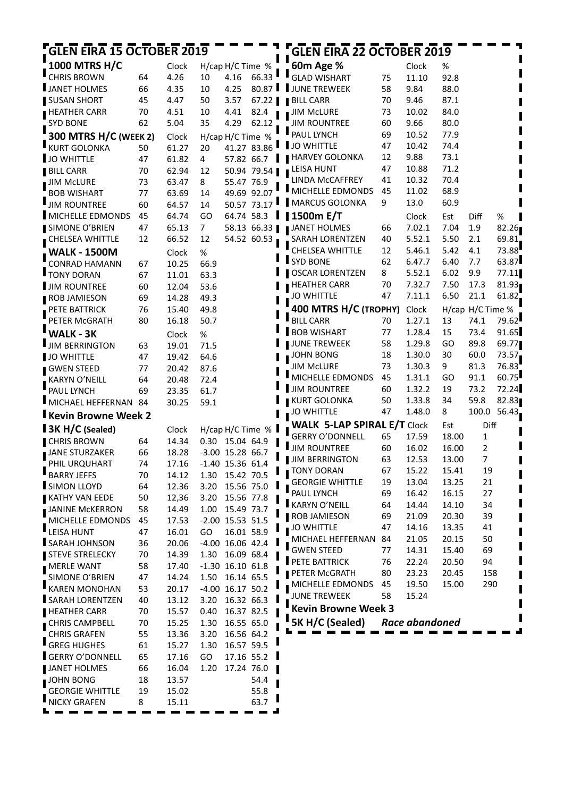| <b>GLEN EIRA 15 OCTOBER 2019</b> |    |       |                |                    |                        | <b>GLEN EIRA 22 OCTOBER 2019</b>   |          |                |                |                  |       |
|----------------------------------|----|-------|----------------|--------------------|------------------------|------------------------------------|----------|----------------|----------------|------------------|-------|
| <b>1000 MTRS H/C</b>             |    | Clock |                | H/cap H/C Time %   |                        | 60m Age %                          |          | Clock          | %              |                  |       |
| <b>CHRIS BROWN</b>               | 64 | 4.26  | 10             | 4.16               | 66.33                  | <b>GLAD WISHART</b>                | 75       | 11.10          | 92.8           |                  |       |
| JANET HOLMES                     | 66 | 4.35  | 10             | 4.25               | 80.87                  | JUNE TREWEEK                       | 58       | 9.84           | 88.0           |                  |       |
| <b>SUSAN SHORT</b>               | 45 | 4.47  | 50             | 3.57               | $67.22$ $\blacksquare$ | <b>BILL CARR</b>                   | 70       | 9.46           | 87.1           |                  |       |
| <b>HEATHER CARR</b>              | 70 | 4.51  | 10             | 4.41               | 82.4                   | <b>JIM McLURE</b>                  | 73       | 10.02          | 84.0           |                  |       |
| <b>SYD BONE</b>                  | 62 | 5.04  | 35             | 4.29               | 62.12                  | <b>JIM ROUNTREE</b>                | 60       | 9.66           | 80.0           |                  |       |
| 300 MTRS H/C (WEEK 2)            |    | Clock |                | H/cap H/C Time %   |                        | PAUL LYNCH                         | 69       | 10.52          | 77.9           |                  |       |
| <b>KURT GOLONKA</b>              | 50 | 61.27 | 20             | 41.27 83.86        |                        | JO WHITTLE                         | 47       | 10.42          | 74.4           |                  |       |
| JO WHITTLE                       | 47 | 61.82 | 4              | 57.82 66.7         |                        | HARVEY GOLONKA                     | 12       | 9.88           | 73.1           |                  |       |
| <b>BILL CARR</b>                 | 70 | 62.94 | 12             |                    | 50.94 79.54            | <b>LEISA HUNT</b>                  | 47       | 10.88          | 71.2           |                  |       |
| <b>JIM McLURE</b>                | 73 | 63.47 | 8              | 55.47 76.9         |                        | LINDA McCAFFREY                    | 41       | 10.32          | 70.4           |                  |       |
| <b>BOB WISHART</b>               | 77 | 63.69 | 14             | 49.69 92.07        |                        | MICHELLE EDMONDS                   | 45       | 11.02          | 68.9           |                  |       |
| <b>JIM ROUNTREE</b>              | 60 | 64.57 | 14             | 50.57 73.17        |                        | MARCUS GOLONKA                     | 9        | 13.0           | 60.9           |                  |       |
| <b>IMICHELLE EDMONDS</b>         | 45 | 64.74 | GO             | 64.74 58.3         |                        | $\blacksquare$ 1500m E/T           |          | Clock          | Est            | Diff             | %     |
| SIMONE O'BRIEN                   | 47 | 65.13 | $\overline{7}$ |                    | 58.13 66.33            | <b>JANET HOLMES</b>                | 66       | 7.02.1         | 7.04           | 1.9              | 82.26 |
| CHELSEA WHITTLE                  | 12 | 66.52 | 12             |                    | 54.52 60.53            | SARAH LORENTZEN                    | 40       | 5.52.1         | 5.50           | 2.1              | 69.81 |
| <b>WALK - 1500M</b>              |    | Clock | %              |                    |                        | <b>CHELSEA WHITTLE</b>             | 12       | 5.46.1         | 5.42           | 4.1              | 73.88 |
| <b>CONRAD HAMANN</b>             | 67 | 10.25 | 66.9           |                    |                        | <b>SYD BONE</b>                    | 62       | 6.47.7         | 6.40           | 7.7              | 63.87 |
| <b>TONY DORAN</b>                | 67 | 11.01 | 63.3           |                    |                        | <b>OSCAR LORENTZEN</b>             | 8        | 5.52.1         | 6.02           | 9.9              | 77.11 |
| <b>JIM ROUNTREE</b>              | 60 | 12.04 | 53.6           |                    |                        | <b>HEATHER CARR</b>                | 70       | 7.32.7         | 7.50           | 17.3             | 81.93 |
| ROB JAMIESON                     | 69 | 14.28 | 49.3           |                    |                        | <b>JO WHITTLE</b>                  | 47       | 7.11.1         | 6.50           | 21.1             | 61.82 |
| PETE BATTRICK                    | 76 | 15.40 | 49.8           |                    |                        | 400 MTRS H/C (TROPHY)              |          | Clock          |                | H/cap H/C Time % |       |
| PETER McGRATH                    | 80 | 16.18 | 50.7           |                    |                        | <b>BILL CARR</b>                   | 70       | 1.27.1         | 13             | 74.1             | 79.62 |
| <b>WALK - 3K</b>                 |    | Clock | %              |                    |                        | <b>BOB WISHART</b>                 | 77       | 1.28.4         | 15             | 73.4             | 91.65 |
| JIM BERRINGTON                   | 63 | 19.01 | 71.5           |                    |                        | <b>JUNE TREWEEK</b>                | 58       | 1.29.8         | GO             | 89.8             | 69.77 |
| JO WHITTLE                       | 47 | 19.42 | 64.6           |                    |                        | JOHN BONG                          | 18       | 1.30.0         | 30             | 60.0             | 73.57 |
| GWEN STEED                       | 77 | 20.42 | 87.6           |                    |                        | <b>JIM MCLURE</b>                  | 73       | 1.30.3         | 9              | 81.3             | 76.83 |
| <b>KARYN O'NEILL</b>             | 64 | 20.48 | 72.4           |                    |                        | MICHELLE EDMONDS                   | 45       | 1.31.1         | GO             | 91.1             | 60.75 |
| PAUL LYNCH                       | 69 | 23.35 | 61.7           |                    |                        | <b>JIM ROUNTREE</b>                | 60       | 1.32.2         | 19             | 73.2             | 72.24 |
| MICHAEL HEFFERNAN 84             |    | 30.25 | 59.1           |                    |                        | <b>KURT GOLONKA</b>                | 50       | 1.33.8         | 34             | 59.8             | 82.83 |
| <b>Kevin Browne Week 2</b>       |    |       |                |                    |                        | JO WHITTLE                         | 47       | 1.48.0         | 8              | 100.0            | 56.43 |
| 3K H/C (Sealed)                  |    | Clock |                | H/cap H/C Time %   |                        | <b>WALK 5-LAP SPIRAL E/T Clock</b> |          |                | Est            | Diff             |       |
| <b>CHRIS BROWN</b>               | 64 | 14.34 |                | 0.30 15.04 64.9    |                        | <b>GERRY O'DONNELL</b>             | 65       | 17.59          | 18.00          | 1                |       |
| <b>JANE STURZAKER</b>            | 66 | 18.28 |                | $-3.00$ 15.28 66.7 |                        | I JIM ROUNTREE                     | 60       | 16.02          | 16.00          | 2                |       |
| PHIL URQUHART                    | 74 | 17.16 |                | $-1.40$ 15.36 61.4 |                        | JIM BERRINGTON                     | 63       | 12.53          | 13.00          | 7                |       |
| <b>BARRY JEFFS</b>               | 70 | 14.12 | 1.30           | 15.42 70.5         |                        | <b>TONY DORAN</b>                  | 67       | 15.22          | 15.41          | 19               |       |
| SIMON LLOYD                      | 64 | 12.36 | 3.20           | 15.56 75.0         |                        | <b>GEORGIE WHITTLE</b>             | 19       | 13.04          | 13.25          | 21               |       |
| <b>KATHY VAN EEDE</b>            | 50 | 12,36 | 3.20           | 15.56 77.8         |                        | PAUL LYNCH<br>KARYN O'NEILL        | 69       | 16.42          | 16.15          | 27               |       |
| <b>JANINE McKERRON</b>           | 58 | 14.49 | 1.00           | 15.49 73.7         |                        | <b>ROB JAMIESON</b>                | 64<br>69 | 14.44          | 14.10          | 34<br>39         |       |
| MICHELLE EDMONDS                 | 45 | 17.53 |                | $-2.00$ 15.53 51.5 |                        | <b>JO WHITTLE</b>                  | 47       | 21.09<br>14.16 | 20.30<br>13.35 | 41               |       |
| <b>LEISA HUNT</b>                | 47 | 16.01 | GO             | 16.01 58.9         |                        | MICHAEL HEFFERNAN                  | 84       | 21.05          | 20.15          | 50               |       |
| SARAH JOHNSON                    | 36 | 20.06 |                | $-4.00$ 16.06 42.4 |                        | <b>GWEN STEED</b>                  | 77       | 14.31          | 15.40          | 69               |       |
| <b>STEVE STRELECKY</b>           | 70 | 14.39 | 1.30           | 16.09 68.4         |                        | PETE BATTRICK                      | 76       | 22.24          | 20.50          | 94               |       |
| <b>MERLE WANT</b>                | 58 | 17.40 |                | $-1.30$ 16.10 61.8 |                        | PETER McGRATH                      | 80       | 23.23          | 20.45          | 158              |       |
| SIMONE O'BRIEN                   | 47 | 14.24 | 1.50           | 16.14 65.5         |                        | MICHELLE EDMONDS                   | 45       | 19.50          | 15.00          | 290              |       |
| <b>KAREN MONOHAN</b>             | 53 | 20.17 |                | -4.00 16.17 50.2   |                        | <b>JUNE TREWEEK</b>                | 58       | 15.24          |                |                  |       |
| SARAH LORENTZEN                  | 40 | 13.12 | 3.20           | 16.32 66.3         |                        | <b>Kevin Browne Week 3</b>         |          |                |                |                  |       |
| HEATHER CARR                     | 70 | 15.57 | 0.40           | 16.37 82.5         |                        |                                    |          |                |                |                  |       |
| <b>CHRIS CAMPBELL</b>            | 70 | 15.25 | 1.30           | 16.55 65.0         |                        | 5K H/C (Sealed)                    |          | Race abandoned |                |                  |       |
| <b>CHRIS GRAFEN</b>              | 55 | 13.36 | 3.20           | 16.56 64.2         |                        |                                    |          |                |                |                  |       |
| <b>GREG HUGHES</b>               | 61 | 15.27 | 1.30           | 16.57 59.5         |                        |                                    |          |                |                |                  |       |
| <b>GERRY O'DONNELL</b>           | 65 | 17.16 | GO             | 17.16 55.2         |                        |                                    |          |                |                |                  |       |
| JANET HOLMES                     | 66 | 16.04 | 1.20           | 17.24 76.0         |                        |                                    |          |                |                |                  |       |
| <b>JOHN BONG</b>                 | 18 | 13.57 |                |                    | 54.4                   |                                    |          |                |                |                  |       |
| <b>GEORGIE WHITTLE</b>           | 19 | 15.02 |                |                    | 55.8                   |                                    |          |                |                |                  |       |
| <b>NICKY GRAFEN</b>              | 8  | 15.11 |                |                    | 63.7                   |                                    |          |                |                |                  |       |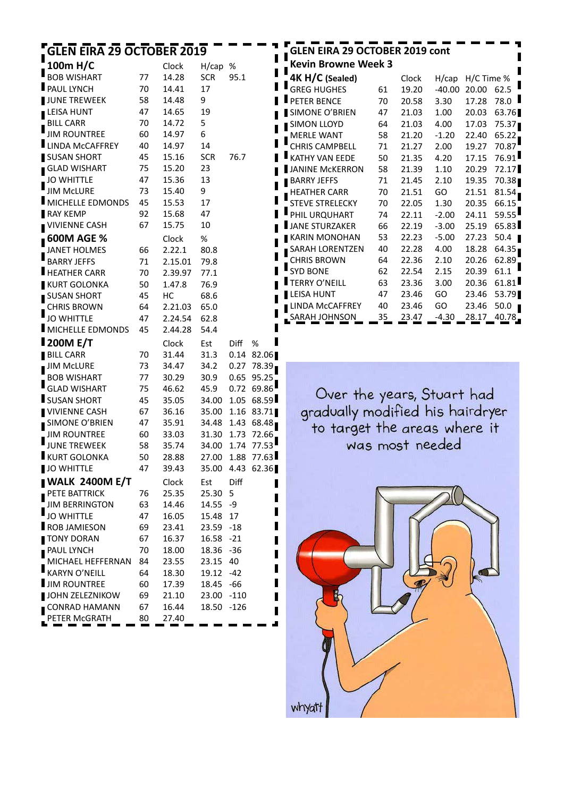| 100m H/C<br>Clock<br>H/cap<br>%<br><b>BOB WISHART</b><br>95.1<br>77<br>14.28<br><b>SCR</b><br>PAUL LYNCH<br>70<br>14.41<br>17<br>JUNE TREWEEK<br>58<br>14.48<br>9<br>47<br>LEISA HUNT<br>14.65<br>19<br>5<br><b>BILL CARR</b><br>70<br>14.72<br><b>JIM ROUNTREE</b><br>60<br>14.97<br>6<br><b>LINDA McCAFFREY</b><br>40<br>14<br>14.97<br>SUSAN SHORT<br>45<br>15.16<br><b>SCR</b><br>76.7<br><b>GLAD WISHART</b><br>75<br>15.20<br>23<br>47<br>15.36<br>13<br><b>JO WHITTLE</b><br>JIM McLURE<br>73<br>15.40<br>9<br><b>I</b> MICHELLE EDMONDS<br>45<br>15.53<br>17<br>92<br>RAY KEMP<br>15.68<br>47<br><b>VIVIENNE CASH</b><br>67<br>15.75<br>10<br><b>600M AGE %</b><br>Clock<br>%<br>80.8<br><b>JANET HOLMES</b><br>2.22.1<br>66<br><b>BARRY JEFFS</b><br>71<br>2.15.01<br>79.8<br>HEATHER CARR<br>70<br>2.39.97<br>77.1<br><b>KURT GOLONKA</b><br>50<br>1.47.8<br>76.9<br>SUSAN SHORT<br>45<br>НC<br>68.6<br><b>CHRIS BROWN</b><br>64<br>65.0<br>2.21.03<br><b>JO WHITTLE</b><br>47<br>2.24.54<br>62.8<br><b>I</b> MICHELLE EDMONDS<br>45<br>2.44.28<br>54.4<br><b>200M E/T</b><br>Clock<br>Est<br>Diff<br>%<br><b>BILL CARR</b><br>70<br>31.44<br>0.14<br>31.3<br>82.06<br><b>JIM McLURE</b><br>34.2<br>0.27<br>73<br>34.47<br>78.39<br><b>BOB WISHART</b><br>0.65<br>77<br>30.29<br>30.9<br>95.25<br><b>GLAD WISHART</b><br>45.9<br>0.72<br>69.86<br>75<br>46.62<br><b>SUSAN SHORT</b><br>45<br>34.00<br>1.05<br>68.59<br>35.05<br><b>VIVIENNE CASH</b><br>35.00<br>1.16<br>83.71<br>67<br>36.16<br>SIMONE O'BRIEN<br>47<br>34.48<br>1.43<br>68.48<br>35.91<br><b>JIM ROUNTREE</b><br>72.66<br>60<br>33.03<br>31.30<br>1.73<br><b>JUNE TREWEEK</b><br>58<br>35.74<br>34.00<br>77.53<br>1.74<br>KURT GOLONKA<br>50<br>28.88<br>27.00<br>1.88<br>77.63<br><b>JO WHITTLE</b><br>47<br>39.43<br>35.00<br>4.43<br>62.36<br><b>I WALK 2400M E/T</b><br>Diff<br>Clock<br>Est<br>PETE BATTRICK<br>25.35<br>5<br>76<br>25.30<br><b>JIM BERRINGTON</b><br>63<br>14.55<br>-9<br>14.46<br><b>JO WHITTLE</b><br>47<br>17<br>16.05<br>15.48<br>ROB JAMIESON<br>69<br>23.41<br>23.59<br>-18<br>TONY DORAN<br>67<br>16.37<br>16.58<br>$-21$<br>PAUL LYNCH<br>70<br>18.36<br>-36<br>18.00<br>MICHAEL HEFFERNAN<br>40<br>84<br>23.55<br>23.15<br><b>KARYN O'NEILL</b><br>64<br>18.30<br>19.12<br>-42<br><b>JIM ROUNTREE</b><br>$-66$<br>60<br>17.39<br>18.45<br>JOHN ZELEZNIKOW<br>69<br>-110<br>21.10<br>23.00 | <b>GLEN EIRA 29 OCTOBER 2019</b> |  |  |  |
|------------------------------------------------------------------------------------------------------------------------------------------------------------------------------------------------------------------------------------------------------------------------------------------------------------------------------------------------------------------------------------------------------------------------------------------------------------------------------------------------------------------------------------------------------------------------------------------------------------------------------------------------------------------------------------------------------------------------------------------------------------------------------------------------------------------------------------------------------------------------------------------------------------------------------------------------------------------------------------------------------------------------------------------------------------------------------------------------------------------------------------------------------------------------------------------------------------------------------------------------------------------------------------------------------------------------------------------------------------------------------------------------------------------------------------------------------------------------------------------------------------------------------------------------------------------------------------------------------------------------------------------------------------------------------------------------------------------------------------------------------------------------------------------------------------------------------------------------------------------------------------------------------------------------------------------------------------------------------------------------------------------------------------------------------------------------------------------------------------------------------------------------------------------------------------------------------------------------------------------------------------------------------------------------------------------------------------------------------------------------------------------------------|----------------------------------|--|--|--|
|                                                                                                                                                                                                                                                                                                                                                                                                                                                                                                                                                                                                                                                                                                                                                                                                                                                                                                                                                                                                                                                                                                                                                                                                                                                                                                                                                                                                                                                                                                                                                                                                                                                                                                                                                                                                                                                                                                                                                                                                                                                                                                                                                                                                                                                                                                                                                                                                      |                                  |  |  |  |
|                                                                                                                                                                                                                                                                                                                                                                                                                                                                                                                                                                                                                                                                                                                                                                                                                                                                                                                                                                                                                                                                                                                                                                                                                                                                                                                                                                                                                                                                                                                                                                                                                                                                                                                                                                                                                                                                                                                                                                                                                                                                                                                                                                                                                                                                                                                                                                                                      |                                  |  |  |  |
|                                                                                                                                                                                                                                                                                                                                                                                                                                                                                                                                                                                                                                                                                                                                                                                                                                                                                                                                                                                                                                                                                                                                                                                                                                                                                                                                                                                                                                                                                                                                                                                                                                                                                                                                                                                                                                                                                                                                                                                                                                                                                                                                                                                                                                                                                                                                                                                                      |                                  |  |  |  |
|                                                                                                                                                                                                                                                                                                                                                                                                                                                                                                                                                                                                                                                                                                                                                                                                                                                                                                                                                                                                                                                                                                                                                                                                                                                                                                                                                                                                                                                                                                                                                                                                                                                                                                                                                                                                                                                                                                                                                                                                                                                                                                                                                                                                                                                                                                                                                                                                      |                                  |  |  |  |
|                                                                                                                                                                                                                                                                                                                                                                                                                                                                                                                                                                                                                                                                                                                                                                                                                                                                                                                                                                                                                                                                                                                                                                                                                                                                                                                                                                                                                                                                                                                                                                                                                                                                                                                                                                                                                                                                                                                                                                                                                                                                                                                                                                                                                                                                                                                                                                                                      |                                  |  |  |  |
|                                                                                                                                                                                                                                                                                                                                                                                                                                                                                                                                                                                                                                                                                                                                                                                                                                                                                                                                                                                                                                                                                                                                                                                                                                                                                                                                                                                                                                                                                                                                                                                                                                                                                                                                                                                                                                                                                                                                                                                                                                                                                                                                                                                                                                                                                                                                                                                                      |                                  |  |  |  |
|                                                                                                                                                                                                                                                                                                                                                                                                                                                                                                                                                                                                                                                                                                                                                                                                                                                                                                                                                                                                                                                                                                                                                                                                                                                                                                                                                                                                                                                                                                                                                                                                                                                                                                                                                                                                                                                                                                                                                                                                                                                                                                                                                                                                                                                                                                                                                                                                      |                                  |  |  |  |
|                                                                                                                                                                                                                                                                                                                                                                                                                                                                                                                                                                                                                                                                                                                                                                                                                                                                                                                                                                                                                                                                                                                                                                                                                                                                                                                                                                                                                                                                                                                                                                                                                                                                                                                                                                                                                                                                                                                                                                                                                                                                                                                                                                                                                                                                                                                                                                                                      |                                  |  |  |  |
|                                                                                                                                                                                                                                                                                                                                                                                                                                                                                                                                                                                                                                                                                                                                                                                                                                                                                                                                                                                                                                                                                                                                                                                                                                                                                                                                                                                                                                                                                                                                                                                                                                                                                                                                                                                                                                                                                                                                                                                                                                                                                                                                                                                                                                                                                                                                                                                                      |                                  |  |  |  |
|                                                                                                                                                                                                                                                                                                                                                                                                                                                                                                                                                                                                                                                                                                                                                                                                                                                                                                                                                                                                                                                                                                                                                                                                                                                                                                                                                                                                                                                                                                                                                                                                                                                                                                                                                                                                                                                                                                                                                                                                                                                                                                                                                                                                                                                                                                                                                                                                      |                                  |  |  |  |
|                                                                                                                                                                                                                                                                                                                                                                                                                                                                                                                                                                                                                                                                                                                                                                                                                                                                                                                                                                                                                                                                                                                                                                                                                                                                                                                                                                                                                                                                                                                                                                                                                                                                                                                                                                                                                                                                                                                                                                                                                                                                                                                                                                                                                                                                                                                                                                                                      |                                  |  |  |  |
|                                                                                                                                                                                                                                                                                                                                                                                                                                                                                                                                                                                                                                                                                                                                                                                                                                                                                                                                                                                                                                                                                                                                                                                                                                                                                                                                                                                                                                                                                                                                                                                                                                                                                                                                                                                                                                                                                                                                                                                                                                                                                                                                                                                                                                                                                                                                                                                                      |                                  |  |  |  |
|                                                                                                                                                                                                                                                                                                                                                                                                                                                                                                                                                                                                                                                                                                                                                                                                                                                                                                                                                                                                                                                                                                                                                                                                                                                                                                                                                                                                                                                                                                                                                                                                                                                                                                                                                                                                                                                                                                                                                                                                                                                                                                                                                                                                                                                                                                                                                                                                      |                                  |  |  |  |
|                                                                                                                                                                                                                                                                                                                                                                                                                                                                                                                                                                                                                                                                                                                                                                                                                                                                                                                                                                                                                                                                                                                                                                                                                                                                                                                                                                                                                                                                                                                                                                                                                                                                                                                                                                                                                                                                                                                                                                                                                                                                                                                                                                                                                                                                                                                                                                                                      |                                  |  |  |  |
|                                                                                                                                                                                                                                                                                                                                                                                                                                                                                                                                                                                                                                                                                                                                                                                                                                                                                                                                                                                                                                                                                                                                                                                                                                                                                                                                                                                                                                                                                                                                                                                                                                                                                                                                                                                                                                                                                                                                                                                                                                                                                                                                                                                                                                                                                                                                                                                                      |                                  |  |  |  |
|                                                                                                                                                                                                                                                                                                                                                                                                                                                                                                                                                                                                                                                                                                                                                                                                                                                                                                                                                                                                                                                                                                                                                                                                                                                                                                                                                                                                                                                                                                                                                                                                                                                                                                                                                                                                                                                                                                                                                                                                                                                                                                                                                                                                                                                                                                                                                                                                      |                                  |  |  |  |
|                                                                                                                                                                                                                                                                                                                                                                                                                                                                                                                                                                                                                                                                                                                                                                                                                                                                                                                                                                                                                                                                                                                                                                                                                                                                                                                                                                                                                                                                                                                                                                                                                                                                                                                                                                                                                                                                                                                                                                                                                                                                                                                                                                                                                                                                                                                                                                                                      |                                  |  |  |  |
|                                                                                                                                                                                                                                                                                                                                                                                                                                                                                                                                                                                                                                                                                                                                                                                                                                                                                                                                                                                                                                                                                                                                                                                                                                                                                                                                                                                                                                                                                                                                                                                                                                                                                                                                                                                                                                                                                                                                                                                                                                                                                                                                                                                                                                                                                                                                                                                                      |                                  |  |  |  |
|                                                                                                                                                                                                                                                                                                                                                                                                                                                                                                                                                                                                                                                                                                                                                                                                                                                                                                                                                                                                                                                                                                                                                                                                                                                                                                                                                                                                                                                                                                                                                                                                                                                                                                                                                                                                                                                                                                                                                                                                                                                                                                                                                                                                                                                                                                                                                                                                      |                                  |  |  |  |
|                                                                                                                                                                                                                                                                                                                                                                                                                                                                                                                                                                                                                                                                                                                                                                                                                                                                                                                                                                                                                                                                                                                                                                                                                                                                                                                                                                                                                                                                                                                                                                                                                                                                                                                                                                                                                                                                                                                                                                                                                                                                                                                                                                                                                                                                                                                                                                                                      |                                  |  |  |  |
|                                                                                                                                                                                                                                                                                                                                                                                                                                                                                                                                                                                                                                                                                                                                                                                                                                                                                                                                                                                                                                                                                                                                                                                                                                                                                                                                                                                                                                                                                                                                                                                                                                                                                                                                                                                                                                                                                                                                                                                                                                                                                                                                                                                                                                                                                                                                                                                                      |                                  |  |  |  |
|                                                                                                                                                                                                                                                                                                                                                                                                                                                                                                                                                                                                                                                                                                                                                                                                                                                                                                                                                                                                                                                                                                                                                                                                                                                                                                                                                                                                                                                                                                                                                                                                                                                                                                                                                                                                                                                                                                                                                                                                                                                                                                                                                                                                                                                                                                                                                                                                      |                                  |  |  |  |
|                                                                                                                                                                                                                                                                                                                                                                                                                                                                                                                                                                                                                                                                                                                                                                                                                                                                                                                                                                                                                                                                                                                                                                                                                                                                                                                                                                                                                                                                                                                                                                                                                                                                                                                                                                                                                                                                                                                                                                                                                                                                                                                                                                                                                                                                                                                                                                                                      |                                  |  |  |  |
|                                                                                                                                                                                                                                                                                                                                                                                                                                                                                                                                                                                                                                                                                                                                                                                                                                                                                                                                                                                                                                                                                                                                                                                                                                                                                                                                                                                                                                                                                                                                                                                                                                                                                                                                                                                                                                                                                                                                                                                                                                                                                                                                                                                                                                                                                                                                                                                                      |                                  |  |  |  |
|                                                                                                                                                                                                                                                                                                                                                                                                                                                                                                                                                                                                                                                                                                                                                                                                                                                                                                                                                                                                                                                                                                                                                                                                                                                                                                                                                                                                                                                                                                                                                                                                                                                                                                                                                                                                                                                                                                                                                                                                                                                                                                                                                                                                                                                                                                                                                                                                      |                                  |  |  |  |
|                                                                                                                                                                                                                                                                                                                                                                                                                                                                                                                                                                                                                                                                                                                                                                                                                                                                                                                                                                                                                                                                                                                                                                                                                                                                                                                                                                                                                                                                                                                                                                                                                                                                                                                                                                                                                                                                                                                                                                                                                                                                                                                                                                                                                                                                                                                                                                                                      |                                  |  |  |  |
|                                                                                                                                                                                                                                                                                                                                                                                                                                                                                                                                                                                                                                                                                                                                                                                                                                                                                                                                                                                                                                                                                                                                                                                                                                                                                                                                                                                                                                                                                                                                                                                                                                                                                                                                                                                                                                                                                                                                                                                                                                                                                                                                                                                                                                                                                                                                                                                                      |                                  |  |  |  |
|                                                                                                                                                                                                                                                                                                                                                                                                                                                                                                                                                                                                                                                                                                                                                                                                                                                                                                                                                                                                                                                                                                                                                                                                                                                                                                                                                                                                                                                                                                                                                                                                                                                                                                                                                                                                                                                                                                                                                                                                                                                                                                                                                                                                                                                                                                                                                                                                      |                                  |  |  |  |
|                                                                                                                                                                                                                                                                                                                                                                                                                                                                                                                                                                                                                                                                                                                                                                                                                                                                                                                                                                                                                                                                                                                                                                                                                                                                                                                                                                                                                                                                                                                                                                                                                                                                                                                                                                                                                                                                                                                                                                                                                                                                                                                                                                                                                                                                                                                                                                                                      |                                  |  |  |  |
|                                                                                                                                                                                                                                                                                                                                                                                                                                                                                                                                                                                                                                                                                                                                                                                                                                                                                                                                                                                                                                                                                                                                                                                                                                                                                                                                                                                                                                                                                                                                                                                                                                                                                                                                                                                                                                                                                                                                                                                                                                                                                                                                                                                                                                                                                                                                                                                                      |                                  |  |  |  |
|                                                                                                                                                                                                                                                                                                                                                                                                                                                                                                                                                                                                                                                                                                                                                                                                                                                                                                                                                                                                                                                                                                                                                                                                                                                                                                                                                                                                                                                                                                                                                                                                                                                                                                                                                                                                                                                                                                                                                                                                                                                                                                                                                                                                                                                                                                                                                                                                      |                                  |  |  |  |
|                                                                                                                                                                                                                                                                                                                                                                                                                                                                                                                                                                                                                                                                                                                                                                                                                                                                                                                                                                                                                                                                                                                                                                                                                                                                                                                                                                                                                                                                                                                                                                                                                                                                                                                                                                                                                                                                                                                                                                                                                                                                                                                                                                                                                                                                                                                                                                                                      |                                  |  |  |  |
|                                                                                                                                                                                                                                                                                                                                                                                                                                                                                                                                                                                                                                                                                                                                                                                                                                                                                                                                                                                                                                                                                                                                                                                                                                                                                                                                                                                                                                                                                                                                                                                                                                                                                                                                                                                                                                                                                                                                                                                                                                                                                                                                                                                                                                                                                                                                                                                                      |                                  |  |  |  |
|                                                                                                                                                                                                                                                                                                                                                                                                                                                                                                                                                                                                                                                                                                                                                                                                                                                                                                                                                                                                                                                                                                                                                                                                                                                                                                                                                                                                                                                                                                                                                                                                                                                                                                                                                                                                                                                                                                                                                                                                                                                                                                                                                                                                                                                                                                                                                                                                      |                                  |  |  |  |
|                                                                                                                                                                                                                                                                                                                                                                                                                                                                                                                                                                                                                                                                                                                                                                                                                                                                                                                                                                                                                                                                                                                                                                                                                                                                                                                                                                                                                                                                                                                                                                                                                                                                                                                                                                                                                                                                                                                                                                                                                                                                                                                                                                                                                                                                                                                                                                                                      |                                  |  |  |  |
|                                                                                                                                                                                                                                                                                                                                                                                                                                                                                                                                                                                                                                                                                                                                                                                                                                                                                                                                                                                                                                                                                                                                                                                                                                                                                                                                                                                                                                                                                                                                                                                                                                                                                                                                                                                                                                                                                                                                                                                                                                                                                                                                                                                                                                                                                                                                                                                                      |                                  |  |  |  |
|                                                                                                                                                                                                                                                                                                                                                                                                                                                                                                                                                                                                                                                                                                                                                                                                                                                                                                                                                                                                                                                                                                                                                                                                                                                                                                                                                                                                                                                                                                                                                                                                                                                                                                                                                                                                                                                                                                                                                                                                                                                                                                                                                                                                                                                                                                                                                                                                      |                                  |  |  |  |
|                                                                                                                                                                                                                                                                                                                                                                                                                                                                                                                                                                                                                                                                                                                                                                                                                                                                                                                                                                                                                                                                                                                                                                                                                                                                                                                                                                                                                                                                                                                                                                                                                                                                                                                                                                                                                                                                                                                                                                                                                                                                                                                                                                                                                                                                                                                                                                                                      |                                  |  |  |  |
|                                                                                                                                                                                                                                                                                                                                                                                                                                                                                                                                                                                                                                                                                                                                                                                                                                                                                                                                                                                                                                                                                                                                                                                                                                                                                                                                                                                                                                                                                                                                                                                                                                                                                                                                                                                                                                                                                                                                                                                                                                                                                                                                                                                                                                                                                                                                                                                                      |                                  |  |  |  |
|                                                                                                                                                                                                                                                                                                                                                                                                                                                                                                                                                                                                                                                                                                                                                                                                                                                                                                                                                                                                                                                                                                                                                                                                                                                                                                                                                                                                                                                                                                                                                                                                                                                                                                                                                                                                                                                                                                                                                                                                                                                                                                                                                                                                                                                                                                                                                                                                      |                                  |  |  |  |
|                                                                                                                                                                                                                                                                                                                                                                                                                                                                                                                                                                                                                                                                                                                                                                                                                                                                                                                                                                                                                                                                                                                                                                                                                                                                                                                                                                                                                                                                                                                                                                                                                                                                                                                                                                                                                                                                                                                                                                                                                                                                                                                                                                                                                                                                                                                                                                                                      |                                  |  |  |  |
|                                                                                                                                                                                                                                                                                                                                                                                                                                                                                                                                                                                                                                                                                                                                                                                                                                                                                                                                                                                                                                                                                                                                                                                                                                                                                                                                                                                                                                                                                                                                                                                                                                                                                                                                                                                                                                                                                                                                                                                                                                                                                                                                                                                                                                                                                                                                                                                                      |                                  |  |  |  |
|                                                                                                                                                                                                                                                                                                                                                                                                                                                                                                                                                                                                                                                                                                                                                                                                                                                                                                                                                                                                                                                                                                                                                                                                                                                                                                                                                                                                                                                                                                                                                                                                                                                                                                                                                                                                                                                                                                                                                                                                                                                                                                                                                                                                                                                                                                                                                                                                      |                                  |  |  |  |
|                                                                                                                                                                                                                                                                                                                                                                                                                                                                                                                                                                                                                                                                                                                                                                                                                                                                                                                                                                                                                                                                                                                                                                                                                                                                                                                                                                                                                                                                                                                                                                                                                                                                                                                                                                                                                                                                                                                                                                                                                                                                                                                                                                                                                                                                                                                                                                                                      |                                  |  |  |  |
|                                                                                                                                                                                                                                                                                                                                                                                                                                                                                                                                                                                                                                                                                                                                                                                                                                                                                                                                                                                                                                                                                                                                                                                                                                                                                                                                                                                                                                                                                                                                                                                                                                                                                                                                                                                                                                                                                                                                                                                                                                                                                                                                                                                                                                                                                                                                                                                                      |                                  |  |  |  |
|                                                                                                                                                                                                                                                                                                                                                                                                                                                                                                                                                                                                                                                                                                                                                                                                                                                                                                                                                                                                                                                                                                                                                                                                                                                                                                                                                                                                                                                                                                                                                                                                                                                                                                                                                                                                                                                                                                                                                                                                                                                                                                                                                                                                                                                                                                                                                                                                      |                                  |  |  |  |
|                                                                                                                                                                                                                                                                                                                                                                                                                                                                                                                                                                                                                                                                                                                                                                                                                                                                                                                                                                                                                                                                                                                                                                                                                                                                                                                                                                                                                                                                                                                                                                                                                                                                                                                                                                                                                                                                                                                                                                                                                                                                                                                                                                                                                                                                                                                                                                                                      |                                  |  |  |  |
|                                                                                                                                                                                                                                                                                                                                                                                                                                                                                                                                                                                                                                                                                                                                                                                                                                                                                                                                                                                                                                                                                                                                                                                                                                                                                                                                                                                                                                                                                                                                                                                                                                                                                                                                                                                                                                                                                                                                                                                                                                                                                                                                                                                                                                                                                                                                                                                                      |                                  |  |  |  |
| 67<br>16.44<br>18.50<br>$-126$                                                                                                                                                                                                                                                                                                                                                                                                                                                                                                                                                                                                                                                                                                                                                                                                                                                                                                                                                                                                                                                                                                                                                                                                                                                                                                                                                                                                                                                                                                                                                                                                                                                                                                                                                                                                                                                                                                                                                                                                                                                                                                                                                                                                                                                                                                                                                                       | <b>CONRAD HAMANN</b>             |  |  |  |
| PETER McGRATH<br>80<br>27.40                                                                                                                                                                                                                                                                                                                                                                                                                                                                                                                                                                                                                                                                                                                                                                                                                                                                                                                                                                                                                                                                                                                                                                                                                                                                                                                                                                                                                                                                                                                                                                                                                                                                                                                                                                                                                                                                                                                                                                                                                                                                                                                                                                                                                                                                                                                                                                         |                                  |  |  |  |

| <b>GLEN EIRA 29 OCTOBER 2019 cont</b> |    |       |          |            |                    |  |  |  |  |  |  |
|---------------------------------------|----|-------|----------|------------|--------------------|--|--|--|--|--|--|
| <b>Kevin Browne Week 3</b>            |    |       |          |            |                    |  |  |  |  |  |  |
| 4K H/C (Sealed)                       |    | Clock | H/cap    | H/C Time % |                    |  |  |  |  |  |  |
| <b>GREG HUGHES</b>                    | 61 | 19.20 | $-40.00$ | 20.00      | 62.5               |  |  |  |  |  |  |
| PETER BENCE                           | 70 | 20.58 | 3.30     | 17.28      | 78.0               |  |  |  |  |  |  |
| SIMONE O'BRIEN                        | 47 | 21.03 | 1.00     | 20.03      | 63.76              |  |  |  |  |  |  |
| SIMON LLOYD                           | 64 | 21.03 | 4.00     | 17.03      | 75.37∎             |  |  |  |  |  |  |
| <b>MERLE WANT</b>                     | 58 | 21.20 | $-1.20$  | 22.40      | 65.22              |  |  |  |  |  |  |
| <b>CHRIS CAMPBELL</b>                 | 71 | 21.27 | 2.00     | 19.27      | 70.87              |  |  |  |  |  |  |
| KATHY VAN EEDE                        | 50 | 21.35 | 4.20     | 17.15      | 76.91 <sup>■</sup> |  |  |  |  |  |  |
| <b>JANINE MCKERRON</b>                | 58 | 21.39 | 1.10     | 20.29      | 72.17              |  |  |  |  |  |  |
| <b>BARRY JEFFS</b>                    | 71 | 21.45 | 2.10     | 19.35      | 70.38              |  |  |  |  |  |  |
| HEATHER CARR                          | 70 | 21.51 | GO       | 21.51      | 81.54              |  |  |  |  |  |  |
| <b>STEVE STRELECKY</b>                | 70 | 22.05 | 1.30     | 20.35      | 66.15              |  |  |  |  |  |  |
| PHIL URQUHART                         | 74 | 22.11 | $-2.00$  | 24.11      | 59.55              |  |  |  |  |  |  |
| <b>JANE STURZAKER</b>                 | 66 | 22.19 | $-3.00$  | 25.19      | 65.83              |  |  |  |  |  |  |
| <b>KARIN MONOHAN</b>                  | 53 | 22.23 | $-5.00$  | 27.23      | 50.4<br>п          |  |  |  |  |  |  |
| SARAH LORENTZEN                       | 40 | 22.28 | 4.00     | 18.28      | 64.35              |  |  |  |  |  |  |
| <b>CHRIS BROWN</b>                    | 64 | 22.36 | 2.10     | 20.26      | 62.89              |  |  |  |  |  |  |
| <b>SYD BONE</b>                       | 62 | 22.54 | 2.15     | 20.39      | 61.1               |  |  |  |  |  |  |
| TERRY O'NEILL                         | 63 | 23.36 | 3.00     | 20.36      | 61.81              |  |  |  |  |  |  |
| <b>LEISA HUNT</b>                     | 47 | 23.46 | GO       | 23.46      | 53.79              |  |  |  |  |  |  |
| INDA McCAFFREY                        | 40 | 23.46 | GO       | 23.46      | 50.0               |  |  |  |  |  |  |
| SARAH IOHNSON                         | 35 | 23.47 | -4.30    | 28.17      | 40.78              |  |  |  |  |  |  |
|                                       |    |       |          |            |                    |  |  |  |  |  |  |

Over the years, Stuart had<br>gradually modified his hairdryer<br>to target the areas where it<br>was most needed

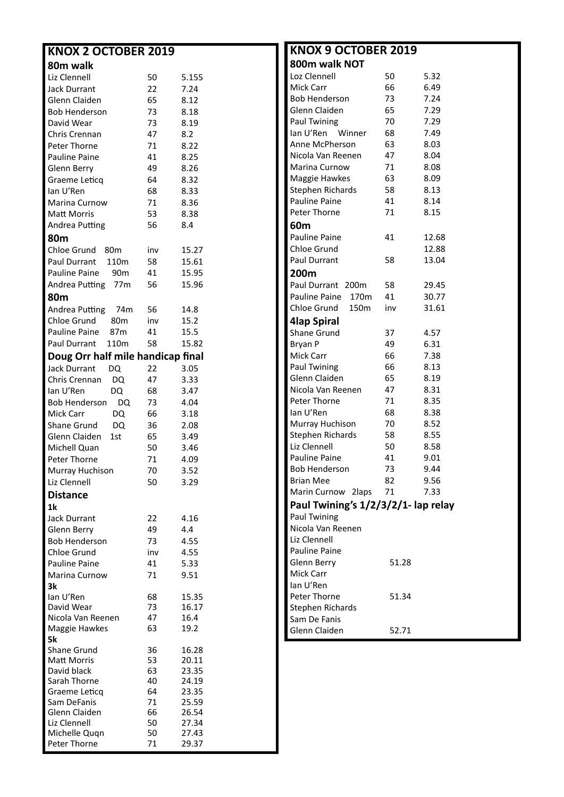| <b>KNOX 2 OCTOBER 2019</b>                 |          |              |
|--------------------------------------------|----------|--------------|
| 80m walk                                   |          |              |
| Liz Clennell                               | 50       | 5.155        |
| Jack Durrant                               | 22       | 7.24         |
| Glenn Claiden                              | 65       | 8.12         |
| Bob Henderson                              | 73       | 8.18         |
| David Wear                                 | 73       | 8.19         |
| Chris Crennan                              | 47       | 8.2          |
| Peter Thorne                               | 71       | 8.22         |
| <b>Pauline Paine</b>                       | 41       | 8.25         |
| Glenn Berry                                | 49       | 8.26         |
| Graeme Leticg                              | 64       | 8.32         |
| lan U'Ren                                  | 68       | 8.33         |
| Marina Curnow                              | 71       | 8.36         |
| Matt Morris                                | 53       | 8.38         |
| Andrea Putting                             | 56       | 8.4          |
| 80 <sub>m</sub>                            |          |              |
| Chloe Grund 80m                            | inv      | 15.27        |
| Paul Durrant<br>110 <sub>m</sub>           | 58       | 15.61        |
| Pauline Paine<br>90m                       | 41       | 15.95        |
| Andrea Putting<br>77m                      | 56       | 15.96        |
| 80m                                        |          |              |
| Andrea Putting 74m                         | 56       | 14.8         |
| Chloe Grund<br>– 80m                       | inv      | 15.2         |
| Pauline Paine<br>87m                       | 41       | 15.5         |
| Paul Durrant<br>110m                       | 58       | 15.82        |
| Doug Orr half mile handicap final          |          |              |
| <b>Jack Durrant</b><br>DQ                  | 22       | 3.05         |
| Chris Crennan<br>DQ.                       | 47       | 3.33         |
| lan U'Ren<br>DQ                            | 68       | 3.47         |
| Bob Henderson<br>DQ                        | 73       | 4.04         |
| Mick Carr<br>DQ                            | 66       | 3.18         |
| Shane Grund<br>DQ.<br>Glenn Claiden<br>1st | 36<br>65 | 2.08<br>3.49 |
| Michell Quan                               | 50       | 3.46         |
| Peter Thorne                               | 71       | 4.09         |
| Murray Huchison                            | 70       | 3.52         |
| Liz Clennell                               | 50       | 3.29         |
| <b>Distance</b>                            |          |              |
| 1k                                         |          |              |
| <b>Jack Durrant</b>                        | 22       | 4.16         |
| Glenn Berry                                | 49       | 4.4          |
| <b>Bob Henderson</b>                       | 73       | 4.55         |
| Chloe Grund                                | inv      | 4.55         |
| Pauline Paine                              | 41       | 5.33         |
| Marina Curnow                              | 71       | 9.51         |
| 3k                                         |          |              |
| lan U'Ren                                  | 68       | 15.35        |
| David Wear                                 | 73       | 16.17        |
| Nicola Van Reenen                          | 47       | 16.4         |
| Maggie Hawkes                              | 63       | 19.2         |
| 5k<br><b>Shane Grund</b>                   | 36       | 16.28        |
| <b>Matt Morris</b>                         | 53       | 20.11        |
| David black                                | 63       | 23.35        |
| Sarah Thorne                               | 40       | 24.19        |
| Graeme Leticq                              | 64       | 23.35        |
| Sam DeFanis                                | 71       | 25.59        |
| Glenn Claiden                              | 66       | 26.54        |
| Liz Clennell                               | 50       | 27.34        |
| Michelle Quqn                              | 50       | 27.43        |

Peter Thorne 71 29.37

| <b>KNOX 9 OCTOBER 2019</b>          |       |       |
|-------------------------------------|-------|-------|
| 800m walk NOT                       |       |       |
| Loz Clennell                        | 50    | 5.32  |
| Mick Carr                           | 66    | 6.49  |
| <b>Bob Henderson</b>                | 73    | 7.24  |
| Glenn Claiden                       | 65    | 7.29  |
| <b>Paul Twining</b>                 | 70    | 7.29  |
| lan U'Ren<br>Winner                 | 68    | 7.49  |
| Anne McPherson                      | 63    | 8.03  |
| Nicola Van Reenen                   | 47    | 8.04  |
| Marina Curnow                       | 71    | 8.08  |
| Maggie Hawkes                       | 63    | 8.09  |
| Stephen Richards                    | 58    | 8.13  |
| Pauline Paine                       | 41    | 8.14  |
| Peter Thorne                        | 71    | 8.15  |
| 60m                                 |       |       |
| <b>Pauline Paine</b>                | 41    | 12.68 |
| Chloe Grund                         |       | 12.88 |
| <b>Paul Durrant</b>                 | 58    | 13.04 |
| 200m                                |       |       |
| Paul Durrant<br>200 <sub>m</sub>    | 58    | 29.45 |
| Pauline Paine<br>170m               | 41    | 30.77 |
| Chloe Grund<br>150m                 | inv   | 31.61 |
| 4lap Spiral                         |       |       |
| Shane Grund                         | 37    | 4.57  |
|                                     | 49    | 6.31  |
| Bryan P                             | 66    | 7.38  |
| Mick Carr<br><b>Paul Twining</b>    | 66    | 8.13  |
| Glenn Claiden                       | 65    | 8.19  |
| Nicola Van Reenen                   | 47    | 8.31  |
| Peter Thorne                        | 71    | 8.35  |
| lan U'Ren                           | 68    | 8.38  |
| Murray Huchison                     | 70    | 8.52  |
| Stephen Richards                    | 58    | 8.55  |
| Liz Clennell                        | 50    | 8.58  |
| Pauline Paine                       | 41    | 9.01  |
| <b>Bob Henderson</b>                | 73    | 9.44  |
| <b>Brian Mee</b>                    | 82    | 9.56  |
| Marin Curnow 2laps                  | 71    | 7.33  |
|                                     |       |       |
| Paul Twining's 1/2/3/2/1- lap relay |       |       |
| Paul Twining<br>Nicola Van Reenen   |       |       |
| Liz Clennell                        |       |       |
| Pauline Paine                       |       |       |
|                                     |       |       |
| Glenn Berry                         | 51.28 |       |
| <b>Mick Carr</b>                    |       |       |
| lan U'Ren                           |       |       |
| Peter Thorne                        | 51.34 |       |
| Stephen Richards<br>Sam De Fanis    |       |       |
|                                     |       |       |
| Glenn Claiden                       | 52.71 |       |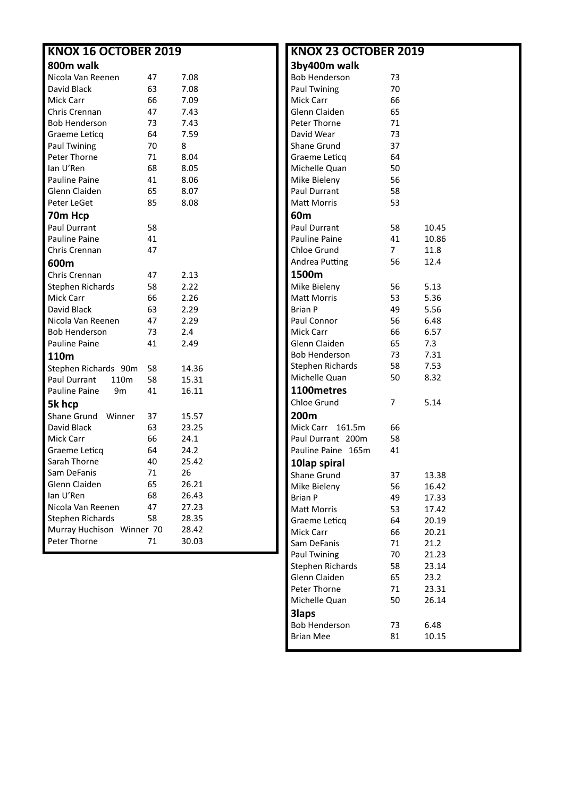| <b>KNOX 16 OCTOBER 2019</b> |    |       |  |  |  |  |  |  |  |
|-----------------------------|----|-------|--|--|--|--|--|--|--|
|                             |    |       |  |  |  |  |  |  |  |
| 800m walk                   |    |       |  |  |  |  |  |  |  |
| Nicola Van Reenen           | 47 | 7.08  |  |  |  |  |  |  |  |
| David Black                 | 63 | 7.08  |  |  |  |  |  |  |  |
| Mick Carr                   | 66 | 7.09  |  |  |  |  |  |  |  |
| Chris Crennan               | 47 | 7.43  |  |  |  |  |  |  |  |
| Bob Henderson               | 73 | 7.43  |  |  |  |  |  |  |  |
| Graeme Leticg               | 64 | 7.59  |  |  |  |  |  |  |  |
| <b>Paul Twining</b>         | 70 | 8     |  |  |  |  |  |  |  |
| Peter Thorne                | 71 | 8.04  |  |  |  |  |  |  |  |
| lan U'Ren                   | 68 | 8.05  |  |  |  |  |  |  |  |
| Pauline Paine               | 41 | 8.06  |  |  |  |  |  |  |  |
| Glenn Claiden               | 65 | 8.07  |  |  |  |  |  |  |  |
| Peter LeGet                 | 85 | 8.08  |  |  |  |  |  |  |  |
| 70m Hcp                     |    |       |  |  |  |  |  |  |  |
| Paul Durrant                | 58 |       |  |  |  |  |  |  |  |
| <b>Pauline Paine</b>        | 41 |       |  |  |  |  |  |  |  |
| Chris Crennan               | 47 |       |  |  |  |  |  |  |  |
| 600m                        |    |       |  |  |  |  |  |  |  |
| Chris Crennan               | 47 | 2.13  |  |  |  |  |  |  |  |
| Stephen Richards            | 58 | 2.22  |  |  |  |  |  |  |  |
| Mick Carr                   | 66 | 2.26  |  |  |  |  |  |  |  |
| David Black                 | 63 | 2.29  |  |  |  |  |  |  |  |
| Nicola Van Reenen           | 47 | 2.29  |  |  |  |  |  |  |  |
| <b>Bob Henderson</b>        | 73 | 2.4   |  |  |  |  |  |  |  |
| <b>Pauline Paine</b>        | 41 | 2.49  |  |  |  |  |  |  |  |
| 110m                        |    |       |  |  |  |  |  |  |  |
| Stephen Richards 90m        | 58 | 14.36 |  |  |  |  |  |  |  |
| Paul Durrant<br>110m        | 58 | 15.31 |  |  |  |  |  |  |  |
| Pauline Paine<br>9m         | 41 | 16.11 |  |  |  |  |  |  |  |
| 5k hcp                      |    |       |  |  |  |  |  |  |  |
| Shane Grund Winner          | 37 | 15.57 |  |  |  |  |  |  |  |
| David Black                 | 63 | 23.25 |  |  |  |  |  |  |  |
| Mick Carr                   | 66 | 24.1  |  |  |  |  |  |  |  |
| Graeme Leticq               | 64 | 24.2  |  |  |  |  |  |  |  |
| Sarah Thorne                | 40 | 25.42 |  |  |  |  |  |  |  |
| Sam DeFanis                 | 71 | 26    |  |  |  |  |  |  |  |
| Glenn Claiden               | 65 | 26.21 |  |  |  |  |  |  |  |
| lan U'Ren                   | 68 | 26.43 |  |  |  |  |  |  |  |
| Nicola Van Reenen           | 47 | 27.23 |  |  |  |  |  |  |  |
| <b>Stephen Richards</b>     | 58 | 28.35 |  |  |  |  |  |  |  |
| Murray Huchison Winner 70   |    | 28.42 |  |  |  |  |  |  |  |
| Peter Thorne                | 71 | 30.03 |  |  |  |  |  |  |  |
|                             |    |       |  |  |  |  |  |  |  |

| <b>KNOX 23 OCTOBER 2019</b> |                |       |
|-----------------------------|----------------|-------|
| 3by400m walk                |                |       |
| <b>Bob Henderson</b>        | 73             |       |
| <b>Paul Twining</b>         | 70             |       |
| Mick Carr                   | 66             |       |
| Glenn Claiden               | 65             |       |
| Peter Thorne                | 71             |       |
| David Wear                  | 73             |       |
| Shane Grund                 | 37             |       |
| Graeme Leticq               | 64             |       |
| Michelle Quan               | 50             |       |
| Mike Bieleny                | 56             |       |
| <b>Paul Durrant</b>         | 58             |       |
| Matt Morris                 | 53             |       |
| 60m                         |                |       |
| <b>Paul Durrant</b>         | 58             | 10.45 |
| Pauline Paine               | 41             | 10.86 |
| Chloe Grund                 | $\overline{7}$ | 11.8  |
| Andrea Putting              | 56             | 12.4  |
| 1500m                       |                |       |
| Mike Bieleny                | 56             | 5.13  |
| <b>Matt Morris</b>          | 53             | 5.36  |
| <b>Brian P</b>              | 49             |       |
| Paul Connor                 |                | 5.56  |
| <b>Mick Carr</b>            | 56             | 6.48  |
| Glenn Claiden               | 66             | 6.57  |
|                             | 65             | 7.3   |
| <b>Bob Henderson</b>        | 73             | 7.31  |
| Stephen Richards            | 58             | 7.53  |
| Michelle Quan               | 50             | 8.32  |
| 1100metres                  |                |       |
| Chloe Grund                 | 7              | 5.14  |
| 200m                        |                |       |
| Mick Carr 161.5m            | 66             |       |
| Paul Durrant 200m           | 58             |       |
| Pauline Paine<br>165m       | 41             |       |
| 10lap spiral                |                |       |
| Shane Grund                 | 37             | 13.38 |
| Mike Bieleny                | 56             | 16.42 |
| <b>Brian P</b>              | 49             | 17.33 |
| Matt Morris                 | 53             | 17.42 |
| Graeme Leticq               | 64             | 20.19 |
| Mick Carr                   | 66             | 20.21 |
| Sam DeFanis                 | 71             | 21.2  |
| Paul Twining                | 70             | 21.23 |
| Stephen Richards            | 58             | 23.14 |
| Glenn Claiden               | 65             | 23.2  |
| Peter Thorne                | 71             | 23.31 |
| Michelle Quan               | 50             | 26.14 |
| <b>3laps</b>                |                |       |
| <b>Bob Henderson</b>        | 73             | 6.48  |
| <b>Brian Mee</b>            | 81             | 10.15 |
|                             |                |       |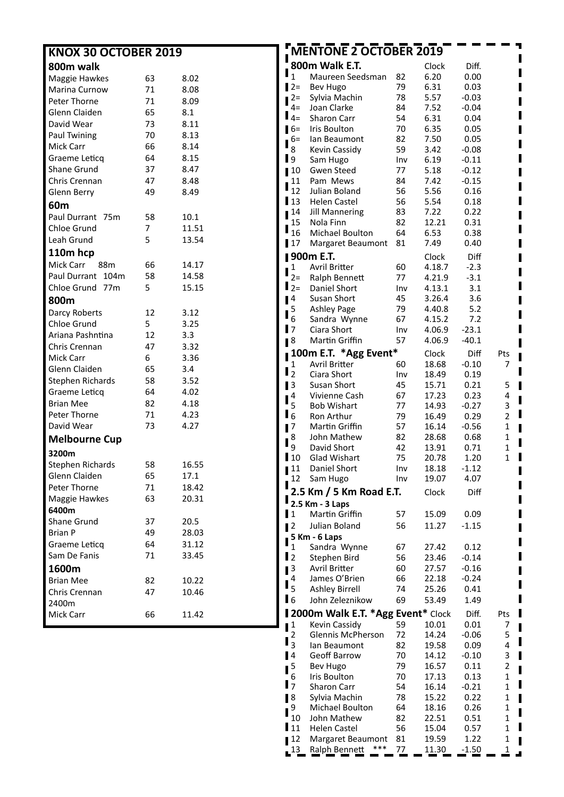| <b>KNOX 30 OCTOBER 2019</b> |        |       | MENTONE 2 OCTOBER 2019 |                                           |          |                |                 |             |
|-----------------------------|--------|-------|------------------------|-------------------------------------------|----------|----------------|-----------------|-------------|
| 800m walk                   |        |       |                        | 800m Walk E.T.                            |          | Clock          | Diff.           |             |
| Maggie Hawkes               | 63     | 8.02  | $\mathbf{1}$           | Maureen Seedsman                          | 82       | 6.20           | 0.00            |             |
| Marina Curnow               | 71     | 8.08  | $12 =$                 | Bev Hugo                                  | 79       | 6.31           | 0.03            |             |
| Peter Thorne                | 71     | 8.09  | $2 =$                  | Sylvia Machin                             | 78       | 5.57           | $-0.03$         |             |
| Glenn Claiden               | 65     | 8.1   | $4=$                   | Joan Clarke                               | 84       | 7.52           | $-0.04$         |             |
| David Wear                  | 73     | 8.11  | $\mathbf{I}_{4=}$      | Sharon Carr                               | 54       | 6.31           | 0.04            |             |
| Paul Twining                | 70     | 8.13  | $16=$                  | Iris Boulton                              | 70       | 6.35           | 0.05            |             |
| <b>Mick Carr</b>            | 66     | 8.14  | $6=$                   | Ian Beaumont                              | 82       | 7.50           | 0.05            |             |
| Graeme Leticq               | 64     | 8.15  | 8                      | Kevin Cassidy                             | 59       | 3.42           | $-0.08$         |             |
| Shane Grund                 | 37     | 8.47  | $\mathbf{I}$ 9         | Sam Hugo                                  | Inv      | 6.19           | $-0.11$         |             |
|                             |        |       | $\blacksquare$ 10      | Gwen Steed                                | 77       | 5.18           | $-0.12$         |             |
| Chris Crennan               | 47     | 8.48  | 11<br>12               | Pam Mews                                  | 84       | 7.42<br>5.56   | $-0.15$         |             |
| Glenn Berry                 | 49     | 8.49  | $\blacksquare$ 13      | Julian Boland<br>Helen Castel             | 56<br>56 | 5.54           | 0.16<br>0.18    |             |
| 60m                         |        |       | 14                     | <b>Jill Mannering</b>                     | 83       | 7.22           | 0.22            |             |
| Paul Durrant 75m            | 58     | 10.1  | 15                     | Nola Finn                                 | 82       | 12.21          | 0.31            |             |
| Chloe Grund                 | 7      | 11.51 | п<br>16                | Michael Boulton                           | 64       | 6.53           | 0.38            |             |
| Leah Grund                  | 5      | 13.54 | $\blacksquare$         | Margaret Beaumont                         | 81       | 7.49           | 0.40            |             |
| 110m hcp                    |        |       |                        | <b>  900m E.T.</b>                        |          | Clock          | Diff            |             |
| Mick Carr<br>88m            | 66     | 14.17 | $\mathbf{1}$           | Avril Britter                             | 60       | 4.18.7         | $-2.3$          |             |
| Paul Durrant 104m           | 58     | 14.58 | 2=                     | Ralph Bennett                             | 77       | 4.21.9         | $-3.1$          |             |
| Chloe Grund 77m             | 5      | 15.15 | $\mathbf{I}_2 =$       | Daniel Short                              | Inv      | 4.13.1         | 3.1             |             |
| 800m                        |        |       | $\blacksquare$         | Susan Short                               | 45       | 3.26.4         | 3.6             |             |
| Darcy Roberts               | 12     | 3.12  | 5                      | <b>Ashley Page</b>                        | 79       | 4.40.8         | 5.2             |             |
| Chloe Grund                 | 5      | 3.25  | $\boldsymbol{6}$       | Sandra Wynne                              | 67       | 4.15.2         | 7.2             |             |
|                             | 12     | 3.3   | $\mathbf{I}$           | Ciara Short                               | Inv      | 4.06.9         | $-23.1$         |             |
| Ariana Pashntina            |        |       | 1 <sup>8</sup>         | Martin Griffin                            | 57       | 4.06.9         | $-40.1$         |             |
| Chris Crennan               | 47     | 3.32  |                        | 100m E.T. * Agg Event*                    |          | Clock          | Diff            | Pts         |
| Mick Carr                   | 6      | 3.36  | 1                      | <b>Avril Britter</b>                      | 60       | 18.68          | $-0.10$         | 7           |
| Glenn Claiden               | 65     | 3.4   | $\mathbf{I}_2$         | Ciara Short                               | Inv      | 18.49          | 0.19            |             |
| Stephen Richards            | 58     | 3.52  | $\blacksquare$         | Susan Short                               | 45       | 15.71          | 0.21            | 5           |
| Graeme Leticq               | 64     | 4.02  | $\mathbf{I}^4$         | Vivienne Cash                             | 67       | 17.23          | 0.23            | 4           |
| <b>Brian Mee</b>            | 82     | 4.18  | 5                      | <b>Bob Wishart</b>                        | 77       | 14.93          | $-0.27$         | 3           |
| Peter Thorne                | 71     | 4.23  | $\mathbf{I}_{6}$       | Ron Arthur                                | 79       | 16.49          | 0.29            | 2           |
| David Wear                  | 73     | 4.27  | $\blacksquare$         | Martin Griffin                            | 57       | 16.14          | $-0.56$         | 1           |
| <b>Melbourne Cup</b>        |        |       | 8                      | John Mathew                               | 82       | 28.68          | 0.68            | 1           |
| 3200m                       |        |       | 9                      | David Short                               | 42       | 13.91          | 0.71            | 1           |
| Stephen Richards            | 58     | 16.55 | $\mathbf{I}$ 10        | Glad Wishart                              | 75       | 20.78          | 1.20            | 1           |
| Glenn Claiden               | 65     | 17.1  | 11                     | Daniel Short                              | Inv      | 18.18          | $-1.12$         |             |
| Peter Thorne                | $71\,$ | 18.42 | 12                     | Sam Hugo                                  | Inv      | 19.07          | 4.07            |             |
| Maggie Hawkes               | 63     | 20.31 |                        | 2.5 Km / 5 Km Road E.T.                   |          | Clock          | Diff            |             |
| 6400m                       |        |       |                        | 2.5 Km - 3 Laps                           |          |                |                 |             |
| Shane Grund                 | 37     | 20.5  | $\mathbf{I}$           | Martin Griffin                            | 57       | 15.09          | 0.09            |             |
| <b>Brian P</b>              | 49     | 28.03 | $\blacksquare$         | Julian Boland                             | 56       | 11.27          | $-1.15$         |             |
| Graeme Leticq               | 64     | 31.12 |                        | 5 Km - 6 Laps                             |          |                |                 |             |
|                             |        |       | 1                      | Sandra Wynne                              | 67       | 27.42          | 0.12            |             |
| Sam De Fanis                | 71     | 33.45 | $\mathbf{I}_2$         | Stephen Bird                              | 56       | 23.46          | $-0.14$         |             |
| 1600m                       |        |       | $\mathbf{I}^3$         | Avril Britter                             | 60       | 27.57          | $-0.16$         |             |
| <b>Brian Mee</b>            | 82     | 10.22 | 4<br>$\mathbf{I}_{5}$  | James O'Brien                             | 66       | 22.18          | $-0.24$         |             |
| Chris Crennan               | 47     | 10.46 |                        | <b>Ashley Birrell</b>                     | 74       | 25.26          | 0.41            |             |
| 2400m                       |        |       | $\blacksquare$         | John Zeleznikow                           | 69       | 53.49          | 1.49            |             |
| Mick Carr                   | 66     | 11.42 |                        | 12000m Walk E.T. * Agg Event* Clock       |          |                | Diff.           | a ka<br>Pts |
|                             |        |       | $\blacksquare$         | Kevin Cassidy<br><b>Glennis McPherson</b> | 59<br>72 | 10.01<br>14.24 | 0.01<br>$-0.06$ | 7           |
|                             |        |       | 2<br>$\mathbf{I}_3$    |                                           | 82       |                |                 | 5<br>4      |
|                             |        |       | $\blacksquare$         | Ian Beaumont<br><b>Geoff Barrow</b>       | 70       | 19.58<br>14.12 | 0.09<br>$-0.10$ | 3           |
|                             |        |       | 5                      | Bev Hugo                                  | 79       | 16.57          | 0.11            | 2           |
|                             |        |       | 6                      | Iris Boulton                              | 70       | 17.13          | 0.13            | 1           |
|                             |        |       | $\mathbf{I}$           | Sharon Carr                               | 54       | 16.14          | $-0.21$         | 1           |
|                             |        |       | $\blacksquare$         | Sylvia Machin                             | 78       | 15.22          | 0.22            | 1<br>Ш      |
|                             |        |       | 9                      | Michael Boulton                           | 64       | 18.16          | 0.26            | 1           |
|                             |        |       | 10                     | John Mathew                               | 82       | 22.51          | 0.51            | 1           |
|                             |        |       | $\mathbf{I}_{11}$      | <b>Helen Castel</b>                       | 56       | 15.04          | 0.57            | 1           |
|                             |        |       | 12                     | Margaret Beaumont 81                      |          | 19.59          | 1.22            | 1           |

13 Ralph Bennett \*\*\* 77 11.30 -1.50 1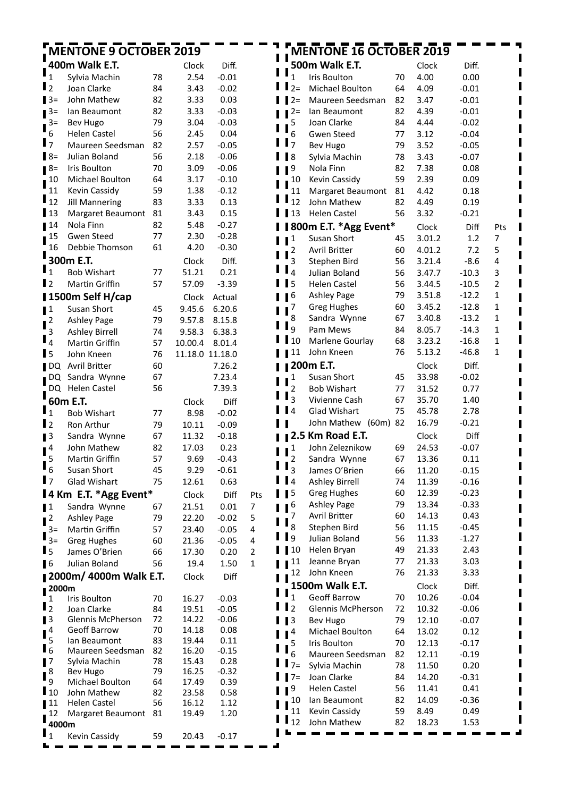|                                 | MENTONE 9 OCTOBER 2019                      |          |                 |                    |                |                | <b>MENTONE 16 OCTOBER 2019</b> |          |                |                  |                         |
|---------------------------------|---------------------------------------------|----------|-----------------|--------------------|----------------|----------------|--------------------------------|----------|----------------|------------------|-------------------------|
|                                 | 400m Walk E.T.                              |          | Clock           | Diff.              |                |                | 500m Walk E.T.                 |          | Clock          | Diff.            |                         |
| $\mathbf{I}_1$                  | Sylvia Machin                               | 78       | 2.54            | $-0.01$            |                | $\mathbf{1}$   | Iris Boulton                   | 70       | 4.00           | 0.00             |                         |
| $\mathbf{I}_2$                  | Joan Clarke                                 | 84       | 3.43            | $-0.02$            |                | $2=$           | Michael Boulton                | 64       | 4.09           | $-0.01$          |                         |
| $13=$                           | John Mathew                                 | 82       | 3.33            | 0.03               |                | $2=$           | Maureen Seedsman               | 82       | 3.47           | $-0.01$          |                         |
| $13=$                           | lan Beaumont                                | 82       | 3.33            | $-0.03$            |                | $2 =$          | lan Beaumont                   | 82       | 4.39           | $-0.01$          |                         |
| $\mathbf{I}^{3=}$               | Bev Hugo                                    | 79       | 3.04            | $-0.03$            |                | 5              | Joan Clarke                    | 84       | 4.44           | $-0.02$          |                         |
| 6                               | <b>Helen Castel</b>                         | 56       | 2.45            | 0.04               |                | 6              | Gwen Steed                     | 77       | 3.12           | $-0.04$          |                         |
| $\mathbf{I}$                    | Maureen Seedsman                            | 82       | 2.57            | $-0.05$            |                | $\overline{7}$ | <b>Bev Hugo</b>                | 79       | 3.52           | $-0.05$          |                         |
| $B =$                           | Julian Boland                               | 56       | 2.18            | $-0.06$            |                | 8              | Sylvia Machin                  | 78       | 3.43           | $-0.07$          |                         |
| $18=$                           | Iris Boulton                                | 70       | 3.09            | $-0.06$            |                | 9              | Nola Finn                      | 82       | 7.38           | 0.08             |                         |
| $\mathbf{I}^{10}$               | Michael Boulton                             | 64       | 3.17            | $-0.10$            |                | 10             | Kevin Cassidy                  | 59       | 2.39           | 0.09             |                         |
| 11                              | Kevin Cassidy                               | 59       | 1.38            | $-0.12$            |                | 11             | Margaret Beaumont              | 81       | 4.42           | 0.18             |                         |
| $\mathbf{I}_{12}$               | <b>Jill Mannering</b>                       | 83       | 3.33            | 0.13               |                | 12             | John Mathew                    | 82       | 4.49           | 0.19             |                         |
| $\blacksquare$ 13               | Margaret Beaumont                           | 81       | 3.43            | 0.15               |                | 13             | <b>Helen Castel</b>            | 56       | 3.32           | $-0.21$          |                         |
| 14                              | Nola Finn                                   | 82       | 5.48            | $-0.27$            |                |                | 800m E.T. * Agg Event*         |          | Clock          | Diff             | Pts                     |
| 1 <sup>15</sup>                 | Gwen Steed                                  | 77       | 2.30            | $-0.28$            |                | 1              | Susan Short                    | 45       | 3.01.2         | 1.2              | $\overline{7}$          |
| 16                              | Debbie Thomson                              | 61       | 4.20            | $-0.30$            |                | 2              | <b>Avril Britter</b>           | 60       | 4.01.2         | 7.2              | 5                       |
|                                 | 300m E.T.                                   |          | Clock           | Diff.              |                | 3              | Stephen Bird                   | 56       | 3.21.4         | $-8.6$           | $\overline{\mathbf{4}}$ |
| $\mathbf{I}_1$                  | <b>Bob Wishart</b>                          | 77       | 51.21           | 0.21               |                | 4              | Julian Boland                  | 56       | 3.47.7         | $-10.3$          | 3                       |
| $\mathbf{I}$                    | Martin Griffin                              | 57       | 57.09           | $-3.39$            |                | 5              | <b>Helen Castel</b>            | 56       | 3.44.5         | $-10.5$          | $\overline{2}$          |
|                                 | 1500m Self H/cap                            |          | Clock           | Actual             |                | 6              | <b>Ashley Page</b>             | 79       | 3.51.8         | $-12.2$          | $\mathbf{1}$            |
| $\mathbf{I}^1$                  | Susan Short                                 | 45       | 9.45.6          | 6.20.6             |                | 7              | <b>Greg Hughes</b>             | 60       | 3.45.2         | $-12.8$          | $\mathbf{1}$            |
| $\frac{1}{3}$                   | <b>Ashley Page</b>                          | 79       | 9.57.8          | 8.15.8             |                | 8              | Sandra Wynne                   | 67       | 3.40.8         | $-13.2$          | $\mathbf{1}$            |
|                                 | <b>Ashley Birrell</b>                       | 74       | 9.58.3          | 6.38.3             |                | 9              | Pam Mews                       | 84       | 8.05.7         | $-14.3$          | $\mathbf{1}$            |
| $\mathbf{I}_4$                  | Martin Griffin                              | 57       | 10.00.4         | 8.01.4             |                | 10             | Marlene Gourlay                | 68       | 3.23.2         | $-16.8$          | $\mathbf{1}$            |
| $\blacksquare$                  | John Kneen                                  | 76       | 11.18.0 11.18.0 |                    |                | 11             | John Kneen                     | 76       | 5.13.2         | $-46.8$          | $\mathbf{1}$            |
| $\blacksquare$                  | Avril Britter                               | 60       |                 | 7.26.2             |                |                | 200m E.T.                      |          | Clock          | Diff.            |                         |
| $\blacksquare$                  | Sandra Wynne                                | 67       |                 | 7.23.4             |                | 1              | Susan Short                    | 45       | 33.98          | $-0.02$          |                         |
|                                 | DQ Helen Castel                             | 56       |                 | 7.39.3             |                | $\overline{c}$ | <b>Bob Wishart</b>             | 77       | 31.52          | 0.77             |                         |
|                                 | 60m E.T.                                    |          | Clock           | Diff               |                | $\overline{3}$ | Vivienne Cash                  | 67       | 35.70          | 1.40             |                         |
| $\mathbf{I}_1$                  | <b>Bob Wishart</b>                          | 77       | 8.98            | $-0.02$            |                | $\blacksquare$ | Glad Wishart                   | 75       | 45.78          | 2.78             |                         |
| l 2                             | Ron Arthur                                  | 79       | 10.11           | $-0.09$            |                |                | John Mathew (60m) 82           |          | 16.79          | $-0.21$          |                         |
| $\blacksquare$                  | Sandra Wynne                                | 67       | 11.32           | $-0.18$            |                |                | 2.5 Km Road E.T.               |          | Clock          | Diff             |                         |
| $\mathbf{I}^4$                  | John Mathew                                 | 82       | 17.03           | 0.23               |                | 1              | John Zeleznikow                | 69       | 24.53          | $-0.07$          |                         |
| 5                               | Martin Griffin                              | 57       | 9.69            | $-0.43$            |                | 2              | Sandra Wynne                   | 67       | 13.36          | 0.11             |                         |
| " 6                             | Susan Short                                 | 45       | 9.29            | $-0.61$            |                | 3              | James O'Brien                  | 66       | 11.20          | $-0.15$          |                         |
| $\mathbf{I}$                    | <b>Glad Wishart</b>                         | 75       | 12.61           | 0.63               |                | $\blacksquare$ | <b>Ashley Birrell</b>          | 74       | 11.39          | $-0.16$          |                         |
|                                 | 14 Km E.T. *Agg Event*                      |          | Clock           | Diff               | Pts            | 5              | <b>Greg Hughes</b>             | 60       | 12.39          | $-0.23$          |                         |
| $\blacksquare$                  | Sandra Wynne                                | 67       | 21.51           | 0.01               | 7              | 6              | <b>Ashley Page</b>             | 79       | 13.34          | $-0.33$          |                         |
| $\mathbf{I}^2$                  | <b>Ashley Page</b>                          | 79       | 22.20           | $-0.02$            | 5              | 7<br>8         | Avril Britter<br>Stephen Bird  | 60<br>56 | 14.13          | 0.43             |                         |
| $3=$                            | Martin Griffin                              | 57       | 23.40           | $-0.05$            | 4              | 9              | Julian Boland                  | 56       | 11.15          | $-0.45$          |                         |
| $\mathbf{I}_{3=}$               | <b>Greg Hughes</b>                          | 60       | 21.36           | $-0.05$            | 4              | 10             | Helen Bryan                    | 49       | 11.33<br>21.33 | $-1.27$<br>2.43  |                         |
| l 5                             | James O'Brien                               | 66       | 17.30           | 0.20               | $\overline{2}$ | 11             | Jeanne Bryan                   | 77       | 21.33          | 3.03             |                         |
| $\blacksquare$                  | Julian Boland                               | 56       | 19.4            | 1.50               | $\mathbf{1}$   | 12             | John Kneen                     | 76       | 21.33          | 3.33             |                         |
|                                 | <b>2000m/4000m Walk E.T.</b>                |          | Clock           | Diff               |                |                | 1500m Walk E.T.                |          |                |                  |                         |
| $\blacksquare$ <sup>2000m</sup> |                                             |          |                 |                    |                | $\mathbf{1}$   | <b>Geoff Barrow</b>            | 70       | Clock<br>10.26 | Diff.<br>$-0.04$ |                         |
| 1<br>$\mathbf{I}_2$             | Iris Boulton<br>Joan Clarke                 | 70<br>84 | 16.27<br>19.51  | $-0.03$<br>$-0.05$ |                | $\mathbf{I}_2$ | Glennis McPherson              | 72       | 10.32          | $-0.06$          |                         |
| $\blacksquare$                  | Glennis McPherson                           | 72       | 14.22           | $-0.06$            |                | 3              | Bev Hugo                       | 79       | 12.10          | $-0.07$          |                         |
|                                 | <b>Geoff Barrow</b>                         | 70       | 14.18           | 0.08               |                | 4              | Michael Boulton                | 64       | 13.02          | 0.12             |                         |
| $\frac{4}{5}$                   | lan Beaumont                                | 83       | 19.44           | 0.11               |                | 5              | Iris Boulton                   | 70       | 12.13          | $-0.17$          |                         |
| $\mathbf{I}_{6}$                | Maureen Seedsman                            | 82       | 16.20           | $-0.15$            |                | 6              | Maureen Seedsman               | 82       | 12.11          | $-0.19$          |                         |
| $\blacksquare$                  | Sylvia Machin                               | 78       | 15.43           | 0.28               |                | $7=$           | Sylvia Machin                  | 78       | 11.50          | 0.20             |                         |
| $\mathbf{I}_9^8$                | Bev Hugo                                    | 79       | 16.25           | $-0.32$            |                | $7=$           | Joan Clarke                    | 84       | 14.20          | $-0.31$          |                         |
|                                 | Michael Boulton                             | 64       | 17.49           | 0.39               |                | 9              | <b>Helen Castel</b>            | 56       | 11.41          | 0.41             |                         |
| $\mathbf{I}_{10}$               | John Mathew                                 | 82       | 23.58           | 0.58               |                | 10             | Ian Beaumont                   | 82       | 14.09          | $-0.36$          |                         |
| 11<br>, 12                      | <b>Helen Castel</b><br>Margaret Beaumont 81 | 56       | 16.12<br>19.49  | 1.12<br>1.20       |                | 11             | Kevin Cassidy                  | 59       | 8.49           | 0.49             |                         |
| 4000m                           |                                             |          |                 |                    |                | 12             | John Mathew                    | 82       | 18.23          | 1.53             |                         |
| $\mathbf{I}_1$                  | Kevin Cassidy                               | 59       | 20.43           | $-0.17$            |                |                |                                |          |                |                  |                         |
|                                 |                                             |          |                 |                    |                |                |                                |          |                |                  |                         |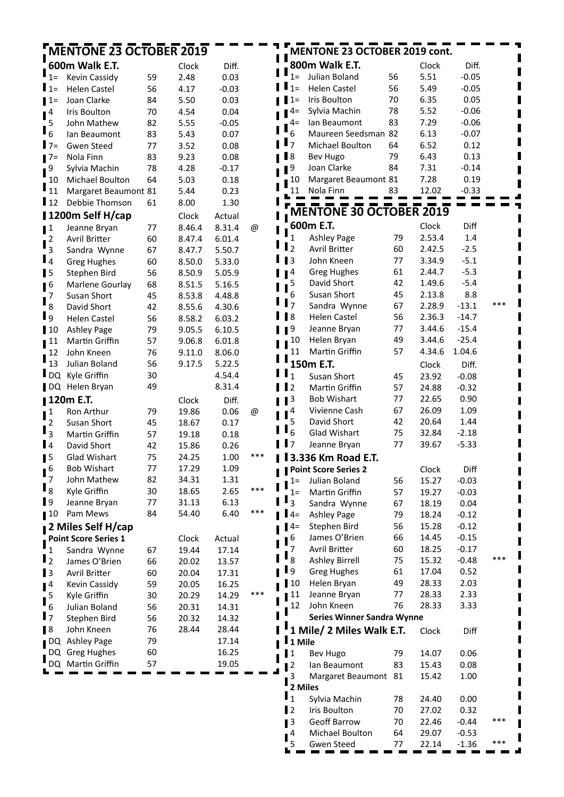| <b>MENTONE 23 OCTOBER 2019</b> |                      |    |        |         | MENTONE 23 OCTOBER 2019 cont. |                         |                                   |    |        |         |     |
|--------------------------------|----------------------|----|--------|---------|-------------------------------|-------------------------|-----------------------------------|----|--------|---------|-----|
|                                | 600m Walk E.T.       |    | Clock  | Diff.   |                               |                         | 800m Walk E.T.                    |    | Clock  | Diff.   |     |
| 1=                             | Kevin Cassidy        | 59 | 2.48   | 0.03    |                               | $1 =$                   | Julian Boland                     | 56 | 5.51   | $-0.05$ |     |
| l 1=                           | <b>Helen Castel</b>  | 56 | 4.17   | $-0.03$ |                               | $1=$                    | <b>Helen Castel</b>               | 56 | 5.49   | $-0.05$ |     |
| l 1=                           | Joan Clarke          | 84 | 5.50   | 0.03    |                               | $1=$                    | Iris Boulton                      | 70 | 6.35   | 0.05    |     |
| 4                              | Iris Boulton         | 70 | 4.54   | 0.04    |                               | 4=                      | Sylvia Machin                     | 78 | 5.52   | $-0.06$ |     |
| 5                              | John Mathew          | 82 | 5.55   | $-0.05$ |                               | $4=$                    | lan Beaumont                      | 83 | 7.29   | $-0.06$ |     |
| $6\overline{6}$                | Ian Beaumont         | 83 | 5.43   | 0.07    |                               | 6                       | Maureen Seedsman 82               |    | 6.13   | $-0.07$ |     |
| $I$ 7=                         | <b>Gwen Steed</b>    | 77 | 3.52   | 0.08    |                               | 7                       | Michael Boulton                   | 64 | 6.52   | 0.12    |     |
| l 7=                           | Nola Finn            | 83 | 9.23   | 0.08    |                               | $\mathsf{R}$            | <b>Bev Hugo</b>                   | 79 | 6.43   | 0.13    |     |
| 9                              | Sylvia Machin        | 78 | 4.28   | $-0.17$ |                               | 9                       | Joan Clarke                       | 84 | 7.31   | $-0.14$ |     |
| 10                             | Michael Boulton      | 64 | 5.03   | 0.18    |                               | 10                      | Margaret Beaumont 81              |    | 7.28   | 0.19    |     |
| 11                             | Margaret Beaumont 81 |    | 5.44   | 0.23    |                               | 11                      | Nola Finn                         | 83 | 12.02  | $-0.33$ |     |
| l 12                           | Debbie Thomson       | 61 | 8.00   | 1.30    |                               |                         |                                   |    |        |         |     |
|                                | 1200m Self H/cap     |    | Clock  | Actual  |                               |                         | MENTONE 30 OCTOBER 2019           |    |        |         |     |
| $\blacksquare$                 | Jeanne Bryan         | 77 | 8.46.4 | 8.31.4  | @                             |                         | 600m E.T.                         |    | Clock  | Diff    |     |
| $^{\bullet}$ 2                 | Avril Britter        | 60 | 8.47.4 | 6.01.4  |                               | 1                       | <b>Ashley Page</b>                | 79 | 2.53.4 | 1.4     |     |
| $\overline{3}$                 | Sandra Wynne         | 67 | 8.47.7 | 5.50.7  |                               | $\mathbf{I}_2$          | Avril Britter                     | 60 | 2.42.5 | $-2.5$  |     |
| $\mathbf{I}_4$                 | <b>Greg Hughes</b>   | 60 | 8.50.0 | 5.33.0  |                               | $\overline{\mathbf{3}}$ | John Kneen                        | 77 | 3.34.9 | $-5.1$  |     |
| $\blacksquare$                 | Stephen Bird         | 56 | 8.50.9 | 5.05.9  |                               | 4                       | <b>Greg Hughes</b>                | 61 | 2.44.7 | $-5.3$  |     |
| $\blacksquare$                 | Marlene Gourlay      | 68 | 8.51.5 | 5.16.5  |                               | 5                       | David Short                       | 42 | 1.49.6 | $-5.4$  |     |
| 7                              | Susan Short          | 45 | 8.53.8 | 4.48.8  |                               | 6                       | Susan Short                       | 45 | 2.13.8 | 8.8     |     |
| 8                              | David Short          | 42 | 8.55.6 | 4.30.6  |                               | $\overline{7}$          | Sandra Wynne                      | 67 | 2.28.9 | $-13.1$ | *** |
| l 9                            | <b>Helen Castel</b>  | 56 | 8.58.2 | 6.03.2  |                               | 8                       | <b>Helen Castel</b>               | 56 | 2.36.3 | $-14.7$ |     |
| $\blacksquare$ 10              | <b>Ashley Page</b>   | 79 | 9.05.5 | 6.10.5  |                               | 9                       | Jeanne Bryan                      | 77 | 3.44.6 | $-15.4$ |     |
| ∎ 11                           | Martin Griffin       | 57 | 9.06.8 | 6.01.8  |                               | 10                      | Helen Bryan                       | 49 | 3.44.6 | $-25.4$ |     |
| 12                             | John Kneen           | 76 | 9.11.0 | 8.06.0  |                               | 11                      | Martin Griffin                    | 57 | 4.34.6 | 1.04.6  |     |
| 13                             | Julian Boland        | 56 | 9.17.5 | 5.22.5  |                               |                         | 150m E.T.                         |    | Clock  | Diff.   |     |
| ∎ DO                           | Kyle Griffin         | 30 |        | 4.54.4  |                               | 1                       | Susan Short                       | 45 | 23.92  | $-0.08$ |     |
|                                | DQ Helen Bryan       | 49 |        | 8.31.4  |                               | $\overline{2}$          | Martin Griffin                    | 57 | 24.88  | $-0.32$ |     |
|                                | 120m E.T.            |    | Clock  | Diff.   |                               | 3                       | <b>Bob Wishart</b>                | 77 | 22.65  | 0.90    |     |
| $\mathbf{1}$                   | Ron Arthur           | 79 | 19.86  | 0.06    | @                             | 4                       | Vivienne Cash                     | 67 | 26.09  | 1.09    |     |
| $\overline{2}$                 | Susan Short          | 45 | 18.67  | 0.17    |                               | 5                       | David Short                       | 42 | 20.64  | 1.44    |     |
| $\overline{3}$                 | Martin Griffin       | 57 | 19.18  | 0.18    |                               | 6                       | Glad Wishart                      | 75 | 32.84  | $-2.18$ |     |
| ∎4                             | David Short          | 42 | 15.86  | 0.26    |                               | 7                       | Jeanne Bryan                      | 77 | 39.67  | $-5.33$ |     |
| ∎5                             | Glad Wishart         | 75 | 24.25  | 1.00    | ***                           |                         | 3.336 Km Road E.T.                |    |        |         |     |
| $\sqrt{6}$                     | <b>Bob Wishart</b>   | 77 | 17.29  | 1.09    |                               |                         | <b>Point Score Series 2</b>       |    | Clock  | Diff    |     |
| 7                              | John Mathew          | 82 | 34.31  | 1.31    |                               | $1=$                    | Julian Boland                     | 56 | 15.27  | $-0.03$ |     |
| ╹ 8                            | Kyle Griffin         | 30 | 18.65  | 2.65    | $***$                         | $1=$                    | Martin Griffin                    | 57 | 19.27  | $-0.03$ |     |
| $\mathbf{I}$ 9                 | Jeanne Bryan         | 77 | 31.13  | 6.13    |                               | $\overline{3}$          | Sandra Wynne                      | 67 | 18.19  | 0.04    |     |
| $\blacksquare$ 10              | Pam Mews             | 84 | 54.40  | 6.40    | $***$                         | $4=$                    | <b>Ashley Page</b>                | 79 | 18.24  | $-0.12$ |     |
|                                | 2 Miles Self H/cap   |    |        |         |                               | $4=$                    | Stephen Bird                      | 56 | 15.28  | $-0.12$ |     |
|                                | Point Score Series 1 |    | Clock  | Actual  |                               | 6                       | James O'Brien                     | 66 | 14.45  | $-0.15$ |     |
| 1                              | Sandra Wynne         | 67 | 19.44  | 17.14   |                               | 7                       | Avril Britter                     | 60 | 18.25  | $-0.17$ |     |
| $\mathbf{I}_2$                 | James O'Brien        | 66 | 20.02  | 13.57   |                               | 8                       | <b>Ashley Birrell</b>             | 75 | 15.32  | $-0.48$ | *** |
| $\blacksquare$                 | <b>Avril Britter</b> | 60 | 20.04  | 17.31   |                               | <b>l</b> 9              | <b>Greg Hughes</b>                | 61 | 17.04  | 0.52    |     |
| $\blacksquare$ <sup>4</sup>    | Kevin Cassidy        | 59 | 20.05  | 16.25   |                               | 10                      | Helen Bryan                       | 49 | 28.33  | 2.03    |     |
| 5                              | Kyle Griffin         | 30 | 20.29  | 14.29   | ***                           | 11                      | Jeanne Bryan                      | 77 | 28.33  | 2.33    |     |
| 6                              | Julian Boland        | 56 | 20.31  | 14.31   |                               | 12                      | John Kneen                        | 76 | 28.33  | 3.33    |     |
| $\blacksquare$                 | Stephen Bird         | 56 | 20.32  | 14.32   |                               |                         | <b>Series Winner Sandra Wynne</b> |    |        |         |     |
| <b>18</b>                      | John Kneen           | 76 | 28.44  | 28.44   |                               |                         | 1 Mile/ 2 Miles Walk E.T.         |    | Clock  | Diff    |     |
|                                | DQ Ashley Page       | 79 |        | 17.14   |                               | 1 Mile                  |                                   |    |        |         |     |
|                                | DQ Greg Hughes       | 60 |        | 16.25   |                               | $\blacksquare$          | Bev Hugo                          | 79 | 14.07  | 0.06    |     |
|                                | DQ Martin Griffin    | 57 |        | 19.05   |                               | $\sqrt{2}$              | lan Beaumont                      | 83 | 15.43  | 0.08    |     |
|                                |                      |    |        |         |                               | 3                       | Margaret Beaumont 81              |    | 15.42  | 1.00    |     |
|                                |                      |    |        |         |                               | 2 Miles                 |                                   |    |        |         |     |
|                                |                      |    |        |         |                               | $\mathbf{I}_1$          | Sylvia Machin                     | 78 | 24.40  | 0.00    |     |
|                                |                      |    |        |         |                               | $\mathbf{I}$            | Iris Boulton                      | 70 | 27.02  | 0.32    |     |
|                                |                      |    |        |         |                               | $\blacksquare$          | <b>Geoff Barrow</b>               | 70 | 22.46  | $-0.44$ | *** |
|                                |                      |    |        |         |                               | 4                       | Michael Boulton                   | 64 | 29.07  | $-0.53$ |     |
|                                |                      |    |        |         |                               | 5                       | Gwen Steed                        | 77 | 22.14  | $-1.36$ | *** |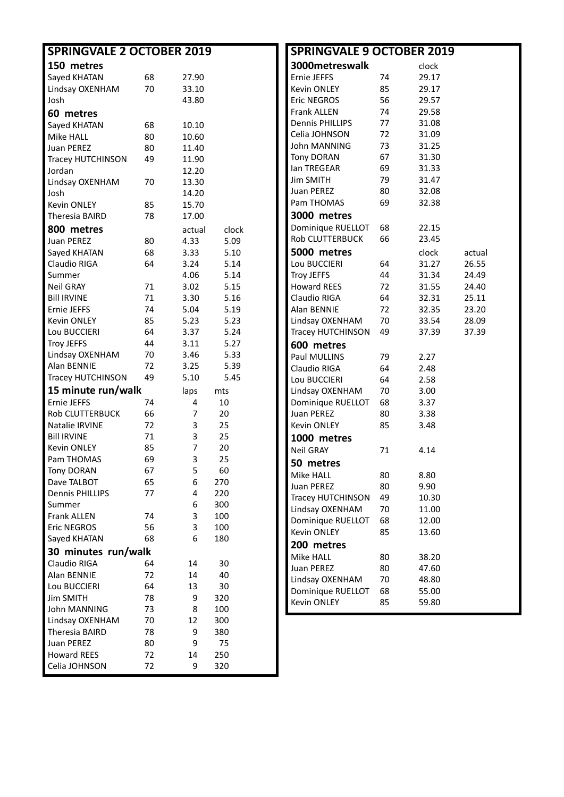| <b>SPRINGVALE 2 OCTOBER 2019</b> |          |                | <b>SPRINGVALE 9 OCTOBER 2019</b> |  |                        |    |       |        |
|----------------------------------|----------|----------------|----------------------------------|--|------------------------|----|-------|--------|
| 150 metres                       |          |                |                                  |  | 3000metreswalk         |    | clock |        |
| Sayed KHATAN                     | 68       | 27.90          |                                  |  | Ernie JEFFS            | 74 | 29.17 |        |
| Lindsay OXENHAM                  | 70       | 33.10          |                                  |  | Kevin ONLEY            | 85 | 29.17 |        |
| Josh                             |          | 43.80          |                                  |  | Eric NEGROS            | 56 | 29.57 |        |
| 60 metres                        |          |                |                                  |  | Frank ALLEN            | 74 | 29.58 |        |
| Sayed KHATAN                     | 68       | 10.10          |                                  |  | <b>Dennis PHILLIPS</b> | 77 | 31.08 |        |
| Mike HALL                        | 80       | 10.60          |                                  |  | Celia JOHNSON          | 72 | 31.09 |        |
| <b>Juan PEREZ</b>                | 80       | 11.40          |                                  |  | <b>John MANNING</b>    | 73 | 31.25 |        |
| Tracey HUTCHINSON                | 49       | 11.90          |                                  |  | <b>Tony DORAN</b>      | 67 | 31.30 |        |
| Jordan                           |          | 12.20          |                                  |  | Ian TREGEAR            | 69 | 31.33 |        |
| Lindsay OXENHAM                  | 70       | 13.30          |                                  |  | Jim SMITH              | 79 | 31.47 |        |
| Josh                             |          | 14.20          |                                  |  | Juan PEREZ             | 80 | 32.08 |        |
| <b>Kevin ONLEY</b>               | 85       | 15.70          |                                  |  | Pam THOMAS             | 69 | 32.38 |        |
| Theresia BAIRD                   | 78       | 17.00          |                                  |  | 3000 metres            |    |       |        |
| 800 metres                       |          | actual         | clock                            |  | Dominique RUELLOT      | 68 | 22.15 |        |
| <b>Juan PEREZ</b>                | 80       | 4.33           | 5.09                             |  | Rob CLUTTERBUCK        | 66 | 23.45 |        |
| Sayed KHATAN                     | 68       | 3.33           | 5.10                             |  | 5000 metres            |    | clock | actual |
| Claudio RIGA                     |          |                | 5.14                             |  | Lou BUCCIERI           |    |       | 26.55  |
|                                  | 64       | 3.24           |                                  |  | <b>Troy JEFFS</b>      | 64 | 31.27 |        |
| Summer                           | 71       | 4.06           | 5.14                             |  | <b>Howard REES</b>     | 44 | 31.34 | 24.49  |
| Neil GRAY<br><b>Bill IRVINE</b>  |          | 3.02           | 5.15                             |  |                        | 72 | 31.55 | 24.40  |
|                                  | 71       | 3.30           | 5.16                             |  | Claudio RIGA           | 64 | 32.31 | 25.11  |
| Ernie JEFFS                      | 74       | 5.04           | 5.19                             |  | Alan BENNIE            | 72 | 32.35 | 23.20  |
| Kevin ONLEY                      | 85       | 5.23           | 5.23                             |  | Lindsay OXENHAM        | 70 | 33.54 | 28.09  |
| Lou BUCCIERI                     | 64       | 3.37           | 5.24                             |  | Tracey HUTCHINSON      | 49 | 37.39 | 37.39  |
| <b>Troy JEFFS</b>                | 44       | 3.11           | 5.27                             |  | 600 metres             |    |       |        |
| Lindsay OXENHAM                  | 70       | 3.46           | 5.33                             |  | Paul MULLINS           | 79 | 2.27  |        |
| Alan BENNIE                      | 72<br>49 | 3.25<br>5.10   | 5.39                             |  | Claudio RIGA           | 64 | 2.48  |        |
| Tracey HUTCHINSON                |          |                | 5.45                             |  | Lou BUCCIERI           | 64 | 2.58  |        |
| 15 minute run/walk               |          | laps           | mts                              |  | Lindsay OXENHAM        | 70 | 3.00  |        |
| Ernie JEFFS                      | 74       | 4              | 10                               |  | Dominique RUELLOT      | 68 | 3.37  |        |
| Rob CLUTTERBUCK                  | 66       | $\overline{7}$ | 20                               |  | Juan PEREZ             | 80 | 3.38  |        |
| Natalie IRVINE                   | 72       | 3              | 25                               |  | Kevin ONLEY            | 85 | 3.48  |        |
| <b>Bill IRVINE</b>               | 71       | 3              | 25                               |  | 1000 metres            |    |       |        |
| <b>Kevin ONLEY</b>               | 85       | 7              | 20                               |  | <b>Neil GRAY</b>       | 71 | 4.14  |        |
| Pam THOMAS                       | 69       | 3              | 25                               |  | 50 metres              |    |       |        |
| <b>Tony DORAN</b>                | 67       | 5              | 60                               |  | Mike HALL              | 80 | 8.80  |        |
| Dave TALBOT                      | 65       | 6              | 270                              |  | Juan PEREZ             | 80 | 9.90  |        |
| <b>Dennis PHILLIPS</b>           | 77       | 4              | 220                              |  | Tracey HUTCHINSON      | 49 | 10.30 |        |
| Summer                           |          | 6              | 300                              |  | Lindsay OXENHAM        | 70 | 11.00 |        |
| Frank ALLEN                      | 74<br>56 | 3              | 100                              |  | Dominique RUELLOT      | 68 | 12.00 |        |
| <b>Eric NEGROS</b>               | 68       | 3              | 100                              |  | Kevin ONLEY            | 85 | 13.60 |        |
| Sayed KHATAN                     |          | 6              | 180                              |  | 200 metres             |    |       |        |
| 30 minutes run/walk              |          |                |                                  |  | Mike HALL              | 80 | 38.20 |        |
| Claudio RIGA                     | 64       | 14             | 30                               |  | Juan PEREZ             | 80 | 47.60 |        |
| Alan BENNIE                      | 72       | 14             | 40                               |  | Lindsay OXENHAM        | 70 | 48.80 |        |
| Lou BUCCIERI                     | 64       | 13             | 30                               |  | Dominique RUELLOT      | 68 | 55.00 |        |
| <b>Jim SMITH</b>                 | 78       | 9              | 320                              |  | Kevin ONLEY            | 85 | 59.80 |        |
| John MANNING                     | 73       | 8              | 100                              |  |                        |    |       |        |
| Lindsay OXENHAM                  | 70       | 12             | 300                              |  |                        |    |       |        |
| Theresia BAIRD                   | 78       | 9              | 380                              |  |                        |    |       |        |
| <b>Juan PEREZ</b>                | 80       | 9              | 75                               |  |                        |    |       |        |
| <b>Howard REES</b>               | 72       | 14             | 250                              |  |                        |    |       |        |
| Celia JOHNSON                    | 72       | 9              | 320                              |  |                        |    |       |        |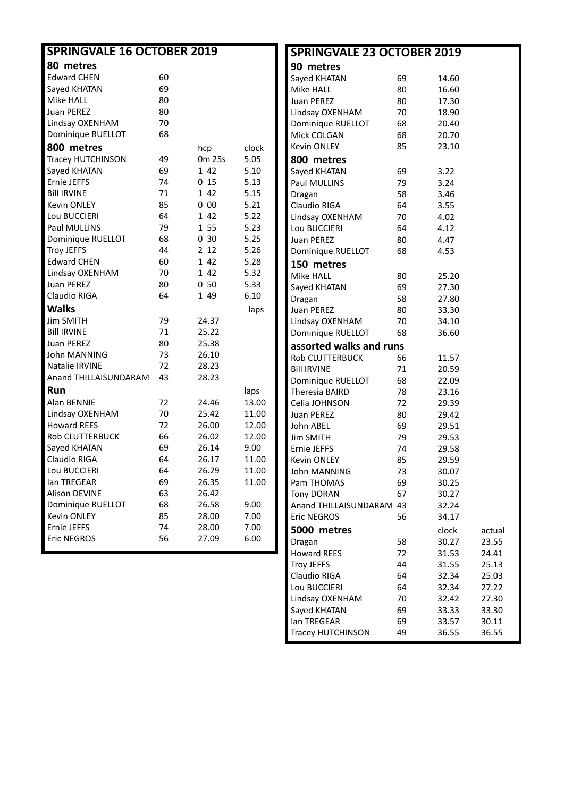| <b>SPRINGVALE 16 OCTOBER 2019</b> |    |        | <b>SPRINGVALE 23 OCTOBER 2019</b> |                          |    |       |        |
|-----------------------------------|----|--------|-----------------------------------|--------------------------|----|-------|--------|
| 80 metres                         |    |        |                                   | 90 metres                |    |       |        |
| <b>Edward CHEN</b>                | 60 |        |                                   | Sayed KHATAN             | 69 | 14.60 |        |
| Sayed KHATAN                      | 69 |        |                                   | Mike HALL                | 80 | 16.60 |        |
| Mike HALL                         | 80 |        |                                   | <b>Juan PEREZ</b>        | 80 | 17.30 |        |
| Juan PEREZ                        | 80 |        |                                   | Lindsay OXENHAM          | 70 | 18.90 |        |
| Lindsay OXENHAM                   | 70 |        |                                   | Dominique RUELLOT        | 68 | 20.40 |        |
| Dominique RUELLOT                 | 68 |        |                                   | Mick COLGAN              | 68 | 20.70 |        |
| 800 metres                        |    | hcp    | clock                             | Kevin ONLEY              | 85 | 23.10 |        |
| <b>Tracey HUTCHINSON</b>          | 49 | 0m 25s | 5.05                              | 800 metres               |    |       |        |
| Sayed KHATAN                      | 69 | 1 42   | 5.10                              | Sayed KHATAN             | 69 | 3.22  |        |
| Ernie JEFFS                       | 74 | 015    | 5.13                              | Paul MULLINS             | 79 | 3.24  |        |
| <b>Bill IRVINE</b>                | 71 | 1 42   | 5.15                              | Dragan                   | 58 | 3.46  |        |
| Kevin ONLEY                       | 85 | 000    | 5.21                              | Claudio RIGA             | 64 | 3.55  |        |
| Lou BUCCIERI                      | 64 | 1 42   | 5.22                              | Lindsay OXENHAM          | 70 | 4.02  |        |
| Paul MULLINS                      | 79 | 1 55   | 5.23                              | Lou BUCCIERI             | 64 | 4.12  |        |
| Dominique RUELLOT                 | 68 | 030    | 5.25                              | Juan PEREZ               | 80 | 4.47  |        |
| <b>Troy JEFFS</b>                 | 44 | 2 1 2  | 5.26                              | Dominique RUELLOT        | 68 | 4.53  |        |
| <b>Edward CHEN</b>                | 60 | 1 42   | 5.28                              | 150 metres               |    |       |        |
| Lindsay OXENHAM                   | 70 | 1 42   | 5.32                              | Mike HALL                | 80 | 25.20 |        |
| <b>Juan PEREZ</b>                 | 80 | 050    | 5.33                              | Sayed KHATAN             | 69 | 27.30 |        |
| Claudio RIGA                      | 64 | 1 4 9  | 6.10                              | Dragan                   | 58 | 27.80 |        |
| <b>Walks</b>                      |    |        | laps                              | Juan PEREZ               | 80 | 33.30 |        |
| <b>Jim SMITH</b>                  | 79 | 24.37  |                                   | Lindsay OXENHAM          | 70 | 34.10 |        |
| <b>Bill IRVINE</b>                | 71 | 25.22  |                                   | Dominique RUELLOT        | 68 | 36.60 |        |
| Juan PEREZ                        | 80 | 25.38  |                                   | assorted walks and runs  |    |       |        |
| John MANNING                      | 73 | 26.10  |                                   | Rob CLUTTERBUCK          | 66 | 11.57 |        |
| Natalie IRVINE                    | 72 | 28.23  |                                   | <b>Bill IRVINE</b>       | 71 | 20.59 |        |
| Anand THILLAISUNDARAM             | 43 | 28.23  |                                   | Dominique RUELLOT        | 68 | 22.09 |        |
| Run                               |    |        | laps                              | Theresia BAIRD           | 78 | 23.16 |        |
| Alan BENNIE                       | 72 | 24.46  | 13.00                             | Celia JOHNSON            | 72 | 29.39 |        |
| Lindsay OXENHAM                   | 70 | 25.42  | 11.00                             | Juan PEREZ               | 80 | 29.42 |        |
| <b>Howard REES</b>                | 72 | 26.00  | 12.00                             | John ABEL                | 69 | 29.51 |        |
| <b>Rob CLUTTERBUCK</b>            | 66 | 26.02  | 12.00                             | <b>Jim SMITH</b>         | 79 | 29.53 |        |
| Sayed KHATAN                      | 69 | 26.14  | 9.00                              | Ernie JEFFS              | 74 | 29.58 |        |
| Claudio RIGA                      | 64 | 26.17  | 11.00                             | Kevin ONLEY              | 85 | 29.59 |        |
| Lou BUCCIERI                      | 64 | 26.29  | 11.00                             | John MANNING             | 73 | 30.07 |        |
| lan TREGEAR                       | 69 | 26.35  | 11.00                             | Pam THOMAS               | 69 | 30.25 |        |
| Alison DEVINE                     | 63 | 26.42  |                                   | <b>Tony DORAN</b>        | 67 | 30.27 |        |
| Dominique RUELLOT                 | 68 | 26.58  | 9.00                              | Anand THILLAISUNDARAM 43 |    | 32.24 |        |
| Kevin ONLEY                       | 85 | 28.00  | 7.00                              | Eric NEGROS              | 56 | 34.17 |        |
| Ernie JEFFS                       | 74 | 28.00  | 7.00                              | 5000 metres              |    | clock | actual |
| Eric NEGROS                       | 56 | 27.09  | 6.00                              | Dragan                   | 58 | 30.27 | 23.55  |
|                                   |    |        |                                   | <b>Howard REES</b>       | 72 | 31.53 | 24.41  |
|                                   |    |        |                                   | <b>Troy JEFFS</b>        | 44 | 31.55 | 25.13  |
|                                   |    |        |                                   | Claudio RIGA             | 64 | 32.34 | 25.03  |

Lou BUCCIERI 64 32.34 27.22 Lindsay OXENHAM 70 32.42 27.30 Sayed KHATAN 69 33.33 33.30<br>
lan TREGEAR 69 33.57 30.11 Ian TREGEAR 69 33.57 30.11 Tracey HUTCHINSON 49 36.55 36.55